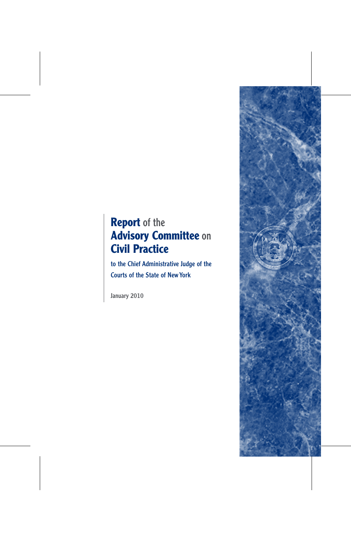# **Report** of the **Advisory Committee** on **Civil Practice**

to the Chief Administrative Judge of the Courts of the State of NewYork

January 2010

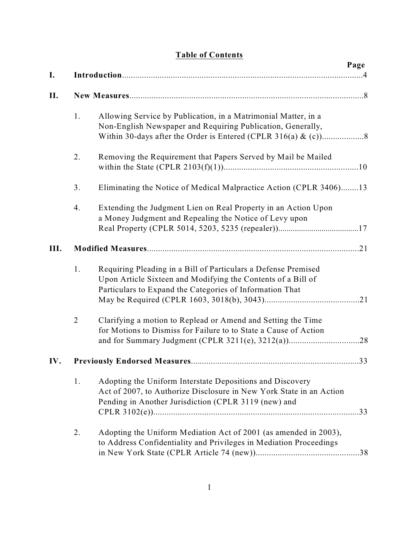## **Table of Contents**

| I.   |                |                                                                                                                                                                                            | Page |  |
|------|----------------|--------------------------------------------------------------------------------------------------------------------------------------------------------------------------------------------|------|--|
| II.  |                |                                                                                                                                                                                            |      |  |
|      | 1.             | Allowing Service by Publication, in a Matrimonial Matter, in a<br>Non-English Newspaper and Requiring Publication, Generally,                                                              |      |  |
|      | 2.             | Removing the Requirement that Papers Served by Mail be Mailed                                                                                                                              |      |  |
|      | 3.             | Eliminating the Notice of Medical Malpractice Action (CPLR 3406)13                                                                                                                         |      |  |
|      | 4.             | Extending the Judgment Lien on Real Property in an Action Upon<br>a Money Judgment and Repealing the Notice of Levy upon                                                                   |      |  |
| III. |                |                                                                                                                                                                                            |      |  |
|      | 1.             | Requiring Pleading in a Bill of Particulars a Defense Premised<br>Upon Article Sixteen and Modifying the Contents of a Bill of<br>Particulars to Expand the Categories of Information That |      |  |
|      | $\overline{2}$ | Clarifying a motion to Replead or Amend and Setting the Time<br>for Motions to Dismiss for Failure to to State a Cause of Action                                                           |      |  |
| IV.  |                |                                                                                                                                                                                            |      |  |
|      | 1.             | Adopting the Uniform Interstate Depositions and Discovery<br>Act of 2007, to Authorize Disclosure in New York State in an Action<br>Pending in Another Jurisdiction (CPLR 3119 (new) and   |      |  |
|      | 2.             | Adopting the Uniform Mediation Act of 2001 (as amended in 2003),<br>to Address Confidentiality and Privileges in Mediation Proceedings                                                     |      |  |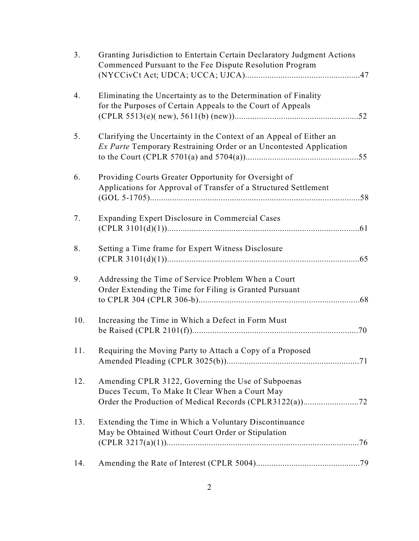| 3.  | Granting Jurisdiction to Entertain Certain Declaratory Judgment Actions<br>Commenced Pursuant to the Fee Dispute Resolution Program              |
|-----|--------------------------------------------------------------------------------------------------------------------------------------------------|
| 4.  | Eliminating the Uncertainty as to the Determination of Finality<br>for the Purposes of Certain Appeals to the Court of Appeals                   |
| 5.  | Clarifying the Uncertainty in the Context of an Appeal of Either an<br><i>Ex Parte</i> Temporary Restraining Order or an Uncontested Application |
| 6.  | Providing Courts Greater Opportunity for Oversight of<br>Applications for Approval of Transfer of a Structured Settlement                        |
| 7.  | <b>Expanding Expert Disclosure in Commercial Cases</b>                                                                                           |
| 8.  | Setting a Time frame for Expert Witness Disclosure                                                                                               |
| 9.  | Addressing the Time of Service Problem When a Court<br>Order Extending the Time for Filing is Granted Pursuant                                   |
| 10. | Increasing the Time in Which a Defect in Form Must                                                                                               |
| 11. | Requiring the Moving Party to Attach a Copy of a Proposed                                                                                        |
| 12. | Amending CPLR 3122, Governing the Use of Subpoenas<br>Duces Tecum, To Make It Clear When a Court May                                             |
| 13. | Extending the Time in Which a Voluntary Discontinuance<br>May be Obtained Without Court Order or Stipulation                                     |
| 14. |                                                                                                                                                  |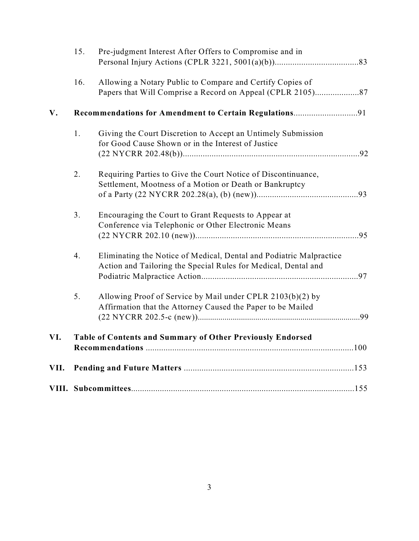|      | 15.                                                        | Pre-judgment Interest After Offers to Compromise and in             |  |  |
|------|------------------------------------------------------------|---------------------------------------------------------------------|--|--|
|      |                                                            |                                                                     |  |  |
|      | 16.                                                        | Allowing a Notary Public to Compare and Certify Copies of           |  |  |
|      |                                                            |                                                                     |  |  |
| V.   |                                                            |                                                                     |  |  |
|      | 1.                                                         | Giving the Court Discretion to Accept an Untimely Submission        |  |  |
|      |                                                            | for Good Cause Shown or in the Interest of Justice                  |  |  |
|      |                                                            |                                                                     |  |  |
|      | 2.                                                         | Requiring Parties to Give the Court Notice of Discontinuance,       |  |  |
|      |                                                            | Settlement, Mootness of a Motion or Death or Bankruptcy             |  |  |
|      |                                                            |                                                                     |  |  |
|      | 3.                                                         | Encouraging the Court to Grant Requests to Appear at                |  |  |
|      |                                                            | Conference via Telephonic or Other Electronic Means                 |  |  |
|      |                                                            |                                                                     |  |  |
|      | 4.                                                         | Eliminating the Notice of Medical, Dental and Podiatric Malpractice |  |  |
|      |                                                            | Action and Tailoring the Special Rules for Medical, Dental and      |  |  |
|      |                                                            |                                                                     |  |  |
|      | 5.                                                         | Allowing Proof of Service by Mail under CPLR 2103(b)(2) by          |  |  |
|      |                                                            | Affirmation that the Attorney Caused the Paper to be Mailed         |  |  |
|      |                                                            |                                                                     |  |  |
| VI.  | Table of Contents and Summary of Other Previously Endorsed |                                                                     |  |  |
|      |                                                            |                                                                     |  |  |
| VII. |                                                            |                                                                     |  |  |
|      |                                                            |                                                                     |  |  |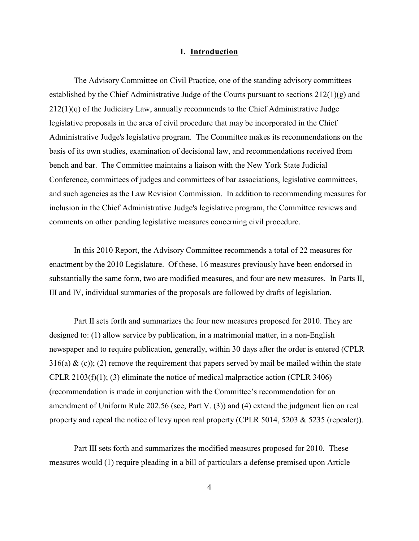## **I. Introduction**

The Advisory Committee on Civil Practice, one of the standing advisory committees established by the Chief Administrative Judge of the Courts pursuant to sections  $212(1)(g)$  and 212(1)(q) of the Judiciary Law, annually recommends to the Chief Administrative Judge legislative proposals in the area of civil procedure that may be incorporated in the Chief Administrative Judge's legislative program. The Committee makes its recommendations on the basis of its own studies, examination of decisional law, and recommendations received from bench and bar. The Committee maintains a liaison with the New York State Judicial Conference, committees of judges and committees of bar associations, legislative committees, and such agencies as the Law Revision Commission. In addition to recommending measures for inclusion in the Chief Administrative Judge's legislative program, the Committee reviews and comments on other pending legislative measures concerning civil procedure.

In this 2010 Report, the Advisory Committee recommends a total of 22 measures for enactment by the 2010 Legislature. Of these, 16 measures previously have been endorsed in substantially the same form, two are modified measures, and four are new measures. In Parts II, III and IV, individual summaries of the proposals are followed by drafts of legislation.

Part II sets forth and summarizes the four new measures proposed for 2010. They are designed to: (1) allow service by publication, in a matrimonial matter, in a non-English newspaper and to require publication, generally, within 30 days after the order is entered (CPLR 316(a)  $\&$  (c)); (2) remove the requirement that papers served by mail be mailed within the state CPLR 2103(f)(1); (3) eliminate the notice of medical malpractice action (CPLR 3406) (recommendation is made in conjunction with the Committee's recommendation for an amendment of Uniform Rule 202.56 (see, Part V. (3)) and (4) extend the judgment lien on real property and repeal the notice of levy upon real property (CPLR 5014, 5203 & 5235 (repealer)).

Part III sets forth and summarizes the modified measures proposed for 2010. These measures would (1) require pleading in a bill of particulars a defense premised upon Article

4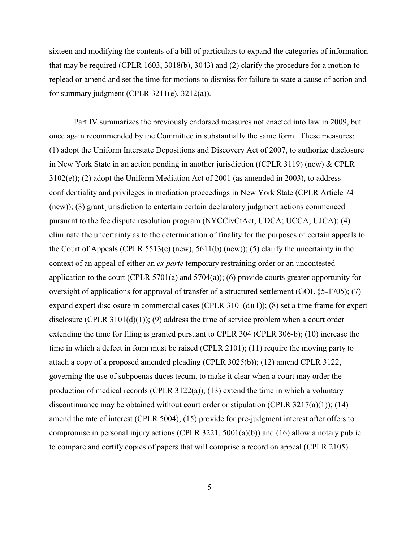sixteen and modifying the contents of a bill of particulars to expand the categories of information that may be required (CPLR 1603, 3018(b), 3043) and (2) clarify the procedure for a motion to replead or amend and set the time for motions to dismiss for failure to state a cause of action and for summary judgment (CPLR 3211(e), 3212(a)).

Part IV summarizes the previously endorsed measures not enacted into law in 2009, but once again recommended by the Committee in substantially the same form. These measures: (1) adopt the Uniform Interstate Depositions and Discovery Act of 2007, to authorize disclosure in New York State in an action pending in another jurisdiction ((CPLR 3119) (new) & CPLR 3102(e)); (2) adopt the Uniform Mediation Act of 2001 (as amended in 2003), to address confidentiality and privileges in mediation proceedings in New York State (CPLR Article 74 (new)); (3) grant jurisdiction to entertain certain declaratory judgment actions commenced pursuant to the fee dispute resolution program (NYCCivCtAct; UDCA; UCCA; UJCA); (4) eliminate the uncertainty as to the determination of finality for the purposes of certain appeals to the Court of Appeals (CPLR 5513(e) (new), 5611(b) (new)); (5) clarify the uncertainty in the context of an appeal of either an *ex parte* temporary restraining order or an uncontested application to the court (CPLR 5701(a) and 5704(a)); (6) provide courts greater opportunity for oversight of applications for approval of transfer of a structured settlement (GOL §5-1705); (7) expand expert disclosure in commercial cases (CPLR 3101(d)(1)); (8) set a time frame for expert disclosure (CPLR 3101(d)(1)); (9) address the time of service problem when a court order extending the time for filing is granted pursuant to CPLR 304 (CPLR 306-b); (10) increase the time in which a defect in form must be raised (CPLR 2101); (11) require the moving party to attach a copy of a proposed amended pleading (CPLR 3025(b)); (12) amend CPLR 3122, governing the use of subpoenas duces tecum, to make it clear when a court may order the production of medical records (CPLR 3122(a)); (13) extend the time in which a voluntary discontinuance may be obtained without court order or stipulation (CPLR 3217(a)(1)); (14) amend the rate of interest (CPLR 5004); (15) provide for pre-judgment interest after offers to compromise in personal injury actions (CPLR 3221, 5001(a)(b)) and (16) allow a notary public to compare and certify copies of papers that will comprise a record on appeal (CPLR 2105).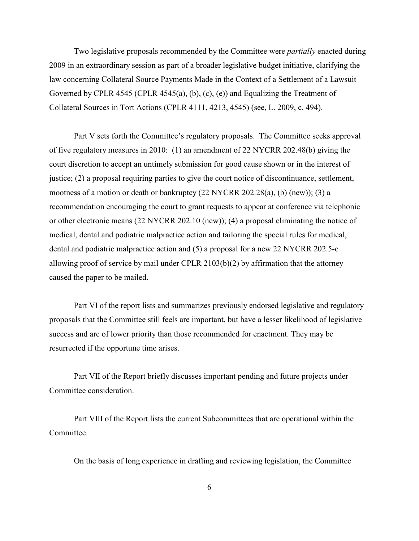Two legislative proposals recommended by the Committee were *partially* enacted during 2009 in an extraordinary session as part of a broader legislative budget initiative, clarifying the law concerning Collateral Source Payments Made in the Context of a Settlement of a Lawsuit Governed by CPLR 4545 (CPLR 4545(a), (b), (c), (e)) and Equalizing the Treatment of Collateral Sources in Tort Actions (CPLR 4111, 4213, 4545) (see, L. 2009, c. 494).

Part V sets forth the Committee's regulatory proposals. The Committee seeks approval of five regulatory measures in 2010: (1) an amendment of 22 NYCRR 202.48(b) giving the court discretion to accept an untimely submission for good cause shown or in the interest of justice; (2) a proposal requiring parties to give the court notice of discontinuance, settlement, mootness of a motion or death or bankruptcy (22 NYCRR 202.28(a), (b) (new)); (3) a recommendation encouraging the court to grant requests to appear at conference via telephonic or other electronic means (22 NYCRR 202.10 (new)); (4) a proposal eliminating the notice of medical, dental and podiatric malpractice action and tailoring the special rules for medical, dental and podiatric malpractice action and (5) a proposal for a new 22 NYCRR 202.5-c allowing proof of service by mail under CPLR 2103(b)(2) by affirmation that the attorney caused the paper to be mailed.

Part VI of the report lists and summarizes previously endorsed legislative and regulatory proposals that the Committee still feels are important, but have a lesser likelihood of legislative success and are of lower priority than those recommended for enactment. They may be resurrected if the opportune time arises.

Part VII of the Report briefly discusses important pending and future projects under Committee consideration.

Part VIII of the Report lists the current Subcommittees that are operational within the Committee.

On the basis of long experience in drafting and reviewing legislation, the Committee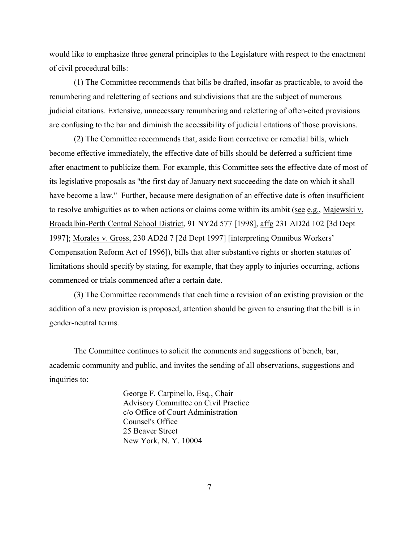would like to emphasize three general principles to the Legislature with respect to the enactment of civil procedural bills:

(1) The Committee recommends that bills be drafted, insofar as practicable, to avoid the renumbering and relettering of sections and subdivisions that are the subject of numerous judicial citations. Extensive, unnecessary renumbering and relettering of often-cited provisions are confusing to the bar and diminish the accessibility of judicial citations of those provisions.

(2) The Committee recommends that, aside from corrective or remedial bills, which become effective immediately, the effective date of bills should be deferred a sufficient time after enactment to publicize them. For example, this Committee sets the effective date of most of its legislative proposals as "the first day of January next succeeding the date on which it shall have become a law." Further, because mere designation of an effective date is often insufficient to resolve ambiguities as to when actions or claims come within its ambit (see e.g., Majewski v. Broadalbin-Perth Central School District, 91 NY2d 577 [1998], affg 231 AD2d 102 [3d Dept 1997]; Morales v. Gross, 230 AD2d 7 [2d Dept 1997] [interpreting Omnibus Workers' Compensation Reform Act of 1996]), bills that alter substantive rights or shorten statutes of limitations should specify by stating, for example, that they apply to injuries occurring, actions commenced or trials commenced after a certain date.

(3) The Committee recommends that each time a revision of an existing provision or the addition of a new provision is proposed, attention should be given to ensuring that the bill is in gender-neutral terms.

The Committee continues to solicit the comments and suggestions of bench, bar, academic community and public, and invites the sending of all observations, suggestions and inquiries to:

> George F. Carpinello, Esq., Chair Advisory Committee on Civil Practice c/o Office of Court Administration Counsel's Office 25 Beaver Street New York, N. Y. 10004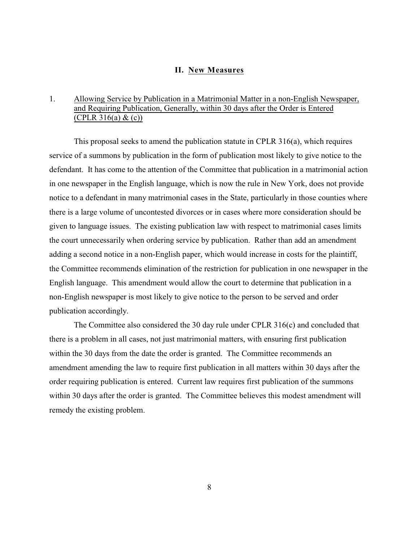#### **II. New Measures**

## 1. Allowing Service by Publication in a Matrimonial Matter in a non-English Newspaper, and Requiring Publication, Generally, within 30 days after the Order is Entered  $(CPLR 316(a) & (c))$

This proposal seeks to amend the publication statute in CPLR 316(a), which requires service of a summons by publication in the form of publication most likely to give notice to the defendant. It has come to the attention of the Committee that publication in a matrimonial action in one newspaper in the English language, which is now the rule in New York, does not provide notice to a defendant in many matrimonial cases in the State, particularly in those counties where there is a large volume of uncontested divorces or in cases where more consideration should be given to language issues. The existing publication law with respect to matrimonial cases limits the court unnecessarily when ordering service by publication. Rather than add an amendment adding a second notice in a non-English paper, which would increase in costs for the plaintiff, the Committee recommends elimination of the restriction for publication in one newspaper in the English language. This amendment would allow the court to determine that publication in a non-English newspaper is most likely to give notice to the person to be served and order publication accordingly.

The Committee also considered the 30 day rule under CPLR 316(c) and concluded that there is a problem in all cases, not just matrimonial matters, with ensuring first publication within the 30 days from the date the order is granted. The Committee recommends an amendment amending the law to require first publication in all matters within 30 days after the order requiring publication is entered. Current law requires first publication of the summons within 30 days after the order is granted. The Committee believes this modest amendment will remedy the existing problem.

8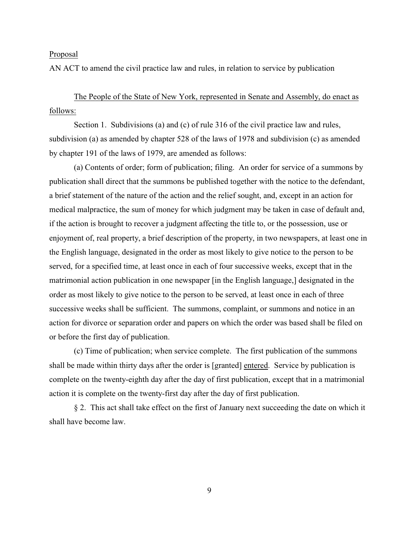AN ACT to amend the civil practice law and rules, in relation to service by publication

The People of the State of New York, represented in Senate and Assembly, do enact as follows:

Section 1. Subdivisions (a) and (c) of rule 316 of the civil practice law and rules, subdivision (a) as amended by chapter 528 of the laws of 1978 and subdivision (c) as amended by chapter 191 of the laws of 1979, are amended as follows:

(a) Contents of order; form of publication; filing. An order for service of a summons by publication shall direct that the summons be published together with the notice to the defendant, a brief statement of the nature of the action and the relief sought, and, except in an action for medical malpractice, the sum of money for which judgment may be taken in case of default and, if the action is brought to recover a judgment affecting the title to, or the possession, use or enjoyment of, real property, a brief description of the property, in two newspapers, at least one in the English language, designated in the order as most likely to give notice to the person to be served, for a specified time, at least once in each of four successive weeks, except that in the matrimonial action publication in one newspaper [in the English language,] designated in the order as most likely to give notice to the person to be served, at least once in each of three successive weeks shall be sufficient. The summons, complaint, or summons and notice in an action for divorce or separation order and papers on which the order was based shall be filed on or before the first day of publication.

(c) Time of publication; when service complete. The first publication of the summons shall be made within thirty days after the order is [granted] entered. Service by publication is complete on the twenty-eighth day after the day of first publication, except that in a matrimonial action it is complete on the twenty-first day after the day of first publication.

§ 2. This act shall take effect on the first of January next succeeding the date on which it shall have become law.

9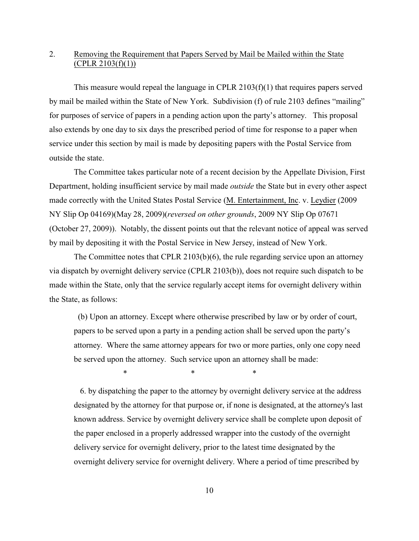## 2. Removing the Requirement that Papers Served by Mail be Mailed within the State  $(CPLR 2103(f)(1))$

This measure would repeal the language in CPLR 2103(f)(1) that requires papers served by mail be mailed within the State of New York. Subdivision (f) of rule 2103 defines "mailing" for purposes of service of papers in a pending action upon the party's attorney. This proposal also extends by one day to six days the prescribed period of time for response to a paper when service under this section by mail is made by depositing papers with the Postal Service from outside the state.

The Committee takes particular note of a recent decision by the Appellate Division, First Department, holding insufficient service by mail made *outside* the State but in every other aspect made correctly with the United States Postal Service (M. Entertainment, Inc. v. Leydier (2009 NY Slip Op 04169)(May 28, 2009)(*reversed on other grounds*, 2009 NY Slip Op 07671 (October 27, 2009)). Notably, the dissent points out that the relevant notice of appeal was served by mail by depositing it with the Postal Service in New Jersey, instead of New York.

The Committee notes that CPLR 2103(b)(6), the rule regarding service upon an attorney via dispatch by overnight delivery service (CPLR 2103(b)), does not require such dispatch to be made within the State, only that the service regularly accept items for overnight delivery within the State, as follows:

 (b) Upon an attorney. Except where otherwise prescribed by law or by order of court, papers to be served upon a party in a pending action shall be served upon the party's attorney. Where the same attorney appears for two or more parties, only one copy need be served upon the attorney. Such service upon an attorney shall be made:

\* \* \*

 6. by dispatching the paper to the attorney by overnight delivery service at the address designated by the attorney for that purpose or, if none is designated, at the attorney's last known address. Service by overnight delivery service shall be complete upon deposit of the paper enclosed in a properly addressed wrapper into the custody of the overnight delivery service for overnight delivery, prior to the latest time designated by the overnight delivery service for overnight delivery. Where a period of time prescribed by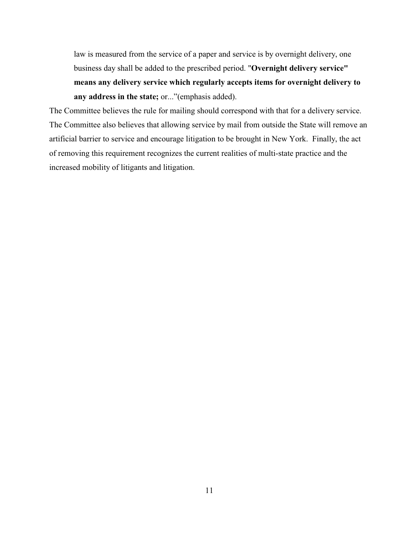law is measured from the service of a paper and service is by overnight delivery, one business day shall be added to the prescribed period. "**Overnight delivery service" means any delivery service which regularly accepts items for overnight delivery to any address in the state;** or..."(emphasis added).

The Committee believes the rule for mailing should correspond with that for a delivery service. The Committee also believes that allowing service by mail from outside the State will remove an artificial barrier to service and encourage litigation to be brought in New York. Finally, the act of removing this requirement recognizes the current realities of multi-state practice and the increased mobility of litigants and litigation.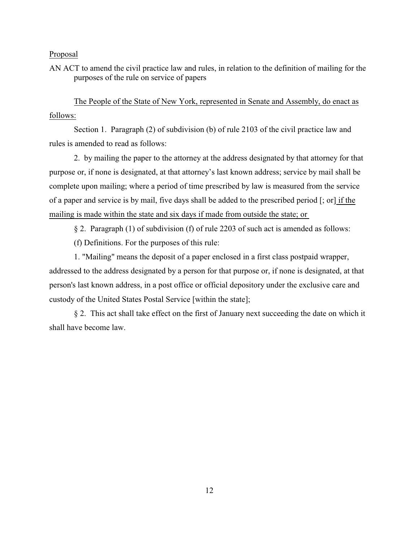AN ACT to amend the civil practice law and rules, in relation to the definition of mailing for the purposes of the rule on service of papers

The People of the State of New York, represented in Senate and Assembly, do enact as follows:

Section 1. Paragraph (2) of subdivision (b) of rule 2103 of the civil practice law and rules is amended to read as follows:

2. by mailing the paper to the attorney at the address designated by that attorney for that purpose or, if none is designated, at that attorney's last known address; service by mail shall be complete upon mailing; where a period of time prescribed by law is measured from the service of a paper and service is by mail, five days shall be added to the prescribed period [; or] if the mailing is made within the state and six days if made from outside the state; or

§ 2. Paragraph (1) of subdivision (f) of rule 2203 of such act is amended as follows:

(f) Definitions. For the purposes of this rule:

1. "Mailing" means the deposit of a paper enclosed in a first class postpaid wrapper, addressed to the address designated by a person for that purpose or, if none is designated, at that person's last known address, in a post office or official depository under the exclusive care and custody of the United States Postal Service [within the state];

§ 2. This act shall take effect on the first of January next succeeding the date on which it shall have become law.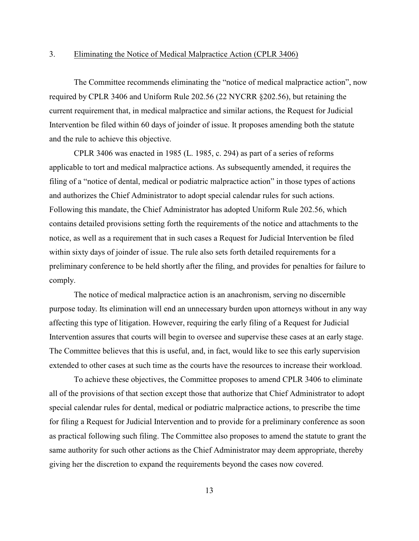## 3. Eliminating the Notice of Medical Malpractice Action (CPLR 3406)

The Committee recommends eliminating the "notice of medical malpractice action", now required by CPLR 3406 and Uniform Rule 202.56 (22 NYCRR §202.56), but retaining the current requirement that, in medical malpractice and similar actions, the Request for Judicial Intervention be filed within 60 days of joinder of issue. It proposes amending both the statute and the rule to achieve this objective.

CPLR 3406 was enacted in 1985 (L. 1985, c. 294) as part of a series of reforms applicable to tort and medical malpractice actions. As subsequently amended, it requires the filing of a "notice of dental, medical or podiatric malpractice action" in those types of actions and authorizes the Chief Administrator to adopt special calendar rules for such actions. Following this mandate, the Chief Administrator has adopted Uniform Rule 202.56, which contains detailed provisions setting forth the requirements of the notice and attachments to the notice, as well as a requirement that in such cases a Request for Judicial Intervention be filed within sixty days of joinder of issue. The rule also sets forth detailed requirements for a preliminary conference to be held shortly after the filing, and provides for penalties for failure to comply.

The notice of medical malpractice action is an anachronism, serving no discernible purpose today. Its elimination will end an unnecessary burden upon attorneys without in any way affecting this type of litigation. However, requiring the early filing of a Request for Judicial Intervention assures that courts will begin to oversee and supervise these cases at an early stage. The Committee believes that this is useful, and, in fact, would like to see this early supervision extended to other cases at such time as the courts have the resources to increase their workload.

To achieve these objectives, the Committee proposes to amend CPLR 3406 to eliminate all of the provisions of that section except those that authorize that Chief Administrator to adopt special calendar rules for dental, medical or podiatric malpractice actions, to prescribe the time for filing a Request for Judicial Intervention and to provide for a preliminary conference as soon as practical following such filing. The Committee also proposes to amend the statute to grant the same authority for such other actions as the Chief Administrator may deem appropriate, thereby giving her the discretion to expand the requirements beyond the cases now covered.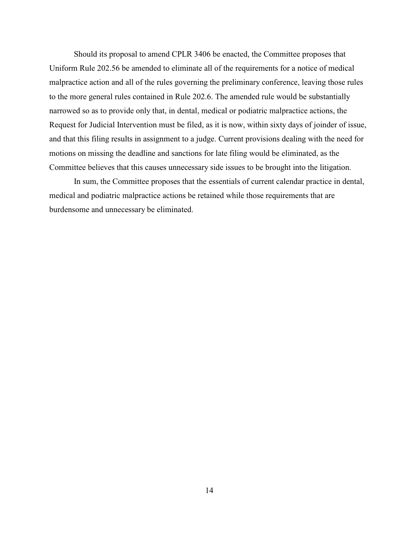Should its proposal to amend CPLR 3406 be enacted, the Committee proposes that Uniform Rule 202.56 be amended to eliminate all of the requirements for a notice of medical malpractice action and all of the rules governing the preliminary conference, leaving those rules to the more general rules contained in Rule 202.6. The amended rule would be substantially narrowed so as to provide only that, in dental, medical or podiatric malpractice actions, the Request for Judicial Intervention must be filed, as it is now, within sixty days of joinder of issue, and that this filing results in assignment to a judge. Current provisions dealing with the need for motions on missing the deadline and sanctions for late filing would be eliminated, as the Committee believes that this causes unnecessary side issues to be brought into the litigation.

In sum, the Committee proposes that the essentials of current calendar practice in dental, medical and podiatric malpractice actions be retained while those requirements that are burdensome and unnecessary be eliminated.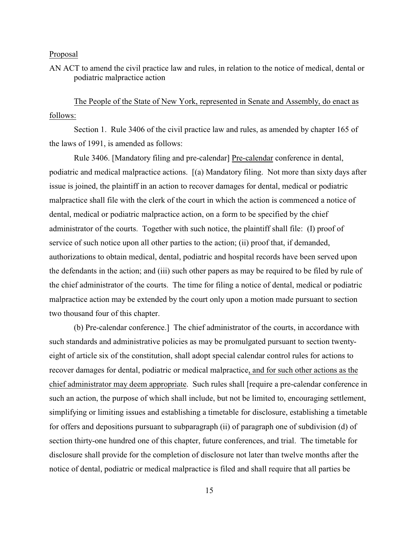AN ACT to amend the civil practice law and rules, in relation to the notice of medical, dental or podiatric malpractice action

The People of the State of New York, represented in Senate and Assembly, do enact as follows:

Section 1. Rule 3406 of the civil practice law and rules, as amended by chapter 165 of the laws of 1991, is amended as follows:

Rule 3406. [Mandatory filing and pre-calendar] Pre-calendar conference in dental, podiatric and medical malpractice actions. [(a) Mandatory filing. Not more than sixty days after issue is joined, the plaintiff in an action to recover damages for dental, medical or podiatric malpractice shall file with the clerk of the court in which the action is commenced a notice of dental, medical or podiatric malpractice action, on a form to be specified by the chief administrator of the courts. Together with such notice, the plaintiff shall file: (I) proof of service of such notice upon all other parties to the action; (ii) proof that, if demanded, authorizations to obtain medical, dental, podiatric and hospital records have been served upon the defendants in the action; and (iii) such other papers as may be required to be filed by rule of the chief administrator of the courts. The time for filing a notice of dental, medical or podiatric malpractice action may be extended by the court only upon a motion made pursuant to section two thousand four of this chapter.

 (b) Pre-calendar conference.] The chief administrator of the courts, in accordance with such standards and administrative policies as may be promulgated pursuant to section twentyeight of article six of the constitution, shall adopt special calendar control rules for actions to recover damages for dental, podiatric or medical malpractice, and for such other actions as the chief administrator may deem appropriate. Such rules shall [require a pre-calendar conference in such an action, the purpose of which shall include, but not be limited to, encouraging settlement, simplifying or limiting issues and establishing a timetable for disclosure, establishing a timetable for offers and depositions pursuant to subparagraph (ii) of paragraph one of subdivision (d) of section thirty-one hundred one of this chapter, future conferences, and trial. The timetable for disclosure shall provide for the completion of disclosure not later than twelve months after the notice of dental, podiatric or medical malpractice is filed and shall require that all parties be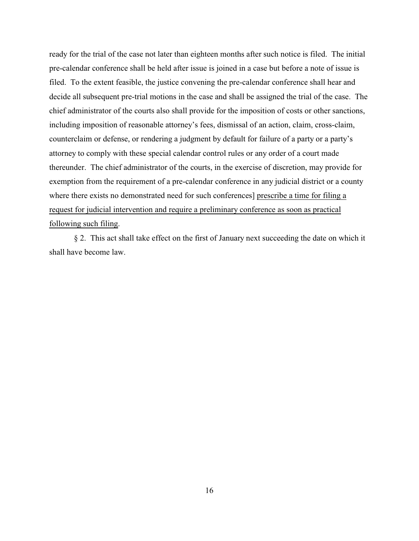ready for the trial of the case not later than eighteen months after such notice is filed. The initial pre-calendar conference shall be held after issue is joined in a case but before a note of issue is filed. To the extent feasible, the justice convening the pre-calendar conference shall hear and decide all subsequent pre-trial motions in the case and shall be assigned the trial of the case. The chief administrator of the courts also shall provide for the imposition of costs or other sanctions, including imposition of reasonable attorney's fees, dismissal of an action, claim, cross-claim, counterclaim or defense, or rendering a judgment by default for failure of a party or a party's attorney to comply with these special calendar control rules or any order of a court made thereunder. The chief administrator of the courts, in the exercise of discretion, may provide for exemption from the requirement of a pre-calendar conference in any judicial district or a county where there exists no demonstrated need for such conferences] prescribe a time for filing a request for judicial intervention and require a preliminary conference as soon as practical following such filing.

§ 2. This act shall take effect on the first of January next succeeding the date on which it shall have become law.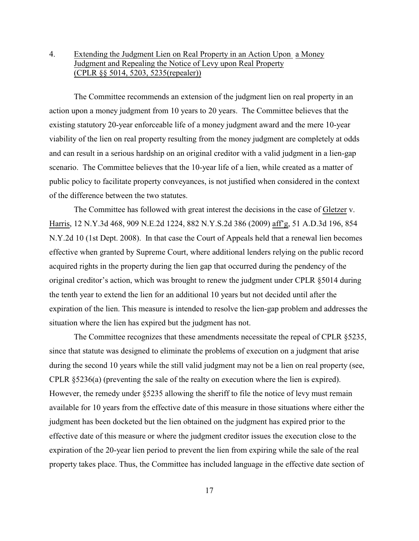## 4. Extending the Judgment Lien on Real Property in an Action Upon a Money Judgment and Repealing the Notice of Levy upon Real Property (CPLR §§ 5014, 5203, 5235(repealer))

The Committee recommends an extension of the judgment lien on real property in an action upon a money judgment from 10 years to 20 years. The Committee believes that the existing statutory 20-year enforceable life of a money judgment award and the mere 10-year viability of the lien on real property resulting from the money judgment are completely at odds and can result in a serious hardship on an original creditor with a valid judgment in a lien-gap scenario. The Committee believes that the 10-year life of a lien, while created as a matter of public policy to facilitate property conveyances, is not justified when considered in the context of the difference between the two statutes.

The Committee has followed with great interest the decisions in the case of Gletzer v. Harris, 12 N.Y.3d 468, 909 N.E.2d 1224, 882 N.Y.S.2d 386 (2009) aff'g, 51 A.D.3d 196, 854 N.Y.2d 10 (1st Dept. 2008). In that case the Court of Appeals held that a renewal lien becomes effective when granted by Supreme Court, where additional lenders relying on the public record acquired rights in the property during the lien gap that occurred during the pendency of the original creditor's action, which was brought to renew the judgment under CPLR §5014 during the tenth year to extend the lien for an additional 10 years but not decided until after the expiration of the lien. This measure is intended to resolve the lien-gap problem and addresses the situation where the lien has expired but the judgment has not.

The Committee recognizes that these amendments necessitate the repeal of CPLR §5235, since that statute was designed to eliminate the problems of execution on a judgment that arise during the second 10 years while the still valid judgment may not be a lien on real property (see, CPLR §5236(a) (preventing the sale of the realty on execution where the lien is expired). However, the remedy under §5235 allowing the sheriff to file the notice of levy must remain available for 10 years from the effective date of this measure in those situations where either the judgment has been docketed but the lien obtained on the judgment has expired prior to the effective date of this measure or where the judgment creditor issues the execution close to the expiration of the 20-year lien period to prevent the lien from expiring while the sale of the real property takes place. Thus, the Committee has included language in the effective date section of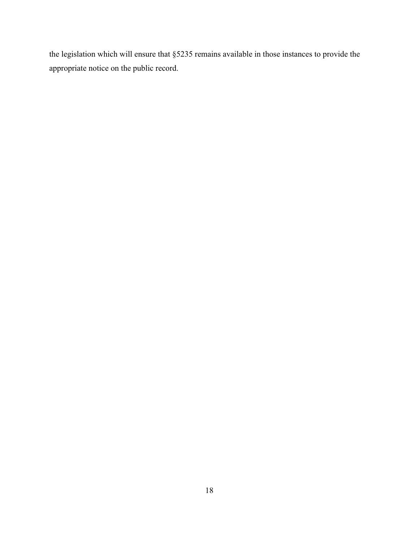the legislation which will ensure that §5235 remains available in those instances to provide the appropriate notice on the public record.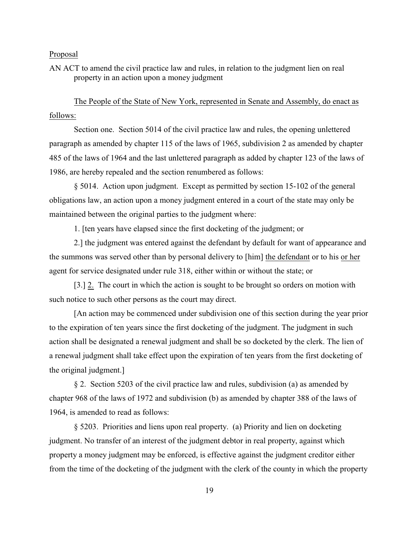AN ACT to amend the civil practice law and rules, in relation to the judgment lien on real property in an action upon a money judgment

The People of the State of New York, represented in Senate and Assembly, do enact as follows:

Section one. Section 5014 of the civil practice law and rules, the opening unlettered paragraph as amended by chapter 115 of the laws of 1965, subdivision 2 as amended by chapter 485 of the laws of 1964 and the last unlettered paragraph as added by chapter 123 of the laws of 1986, are hereby repealed and the section renumbered as follows:

§ 5014. Action upon judgment. Except as permitted by section 15-102 of the general obligations law, an action upon a money judgment entered in a court of the state may only be maintained between the original parties to the judgment where:

1. [ten years have elapsed since the first docketing of the judgment; or

2.] the judgment was entered against the defendant by default for want of appearance and the summons was served other than by personal delivery to [him] the defendant or to his or her agent for service designated under rule 318, either within or without the state; or

[3.] 2. The court in which the action is sought to be brought so orders on motion with such notice to such other persons as the court may direct.

[An action may be commenced under subdivision one of this section during the year prior to the expiration of ten years since the first docketing of the judgment. The judgment in such action shall be designated a renewal judgment and shall be so docketed by the clerk. The lien of a renewal judgment shall take effect upon the expiration of ten years from the first docketing of the original judgment.]

§ 2. Section 5203 of the civil practice law and rules, subdivision (a) as amended by chapter 968 of the laws of 1972 and subdivision (b) as amended by chapter 388 of the laws of 1964, is amended to read as follows:

§ 5203. Priorities and liens upon real property. (a) Priority and lien on docketing judgment. No transfer of an interest of the judgment debtor in real property, against which property a money judgment may be enforced, is effective against the judgment creditor either from the time of the docketing of the judgment with the clerk of the county in which the property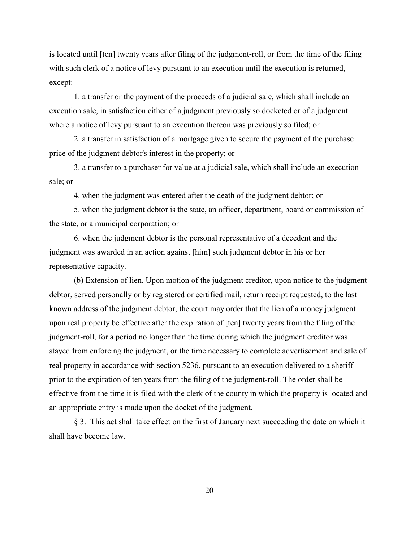is located until [ten] twenty years after filing of the judgment-roll, or from the time of the filing with such clerk of a notice of levy pursuant to an execution until the execution is returned, except:

1. a transfer or the payment of the proceeds of a judicial sale, which shall include an execution sale, in satisfaction either of a judgment previously so docketed or of a judgment where a notice of levy pursuant to an execution thereon was previously so filed; or

2. a transfer in satisfaction of a mortgage given to secure the payment of the purchase price of the judgment debtor's interest in the property; or

3. a transfer to a purchaser for value at a judicial sale, which shall include an execution sale; or

4. when the judgment was entered after the death of the judgment debtor; or

5. when the judgment debtor is the state, an officer, department, board or commission of the state, or a municipal corporation; or

6. when the judgment debtor is the personal representative of a decedent and the judgment was awarded in an action against [him] such judgment debtor in his or her representative capacity.

(b) Extension of lien. Upon motion of the judgment creditor, upon notice to the judgment debtor, served personally or by registered or certified mail, return receipt requested, to the last known address of the judgment debtor, the court may order that the lien of a money judgment upon real property be effective after the expiration of [ten] twenty years from the filing of the judgment-roll, for a period no longer than the time during which the judgment creditor was stayed from enforcing the judgment, or the time necessary to complete advertisement and sale of real property in accordance with section 5236, pursuant to an execution delivered to a sheriff prior to the expiration of ten years from the filing of the judgment-roll. The order shall be effective from the time it is filed with the clerk of the county in which the property is located and an appropriate entry is made upon the docket of the judgment.

§ 3. This act shall take effect on the first of January next succeeding the date on which it shall have become law.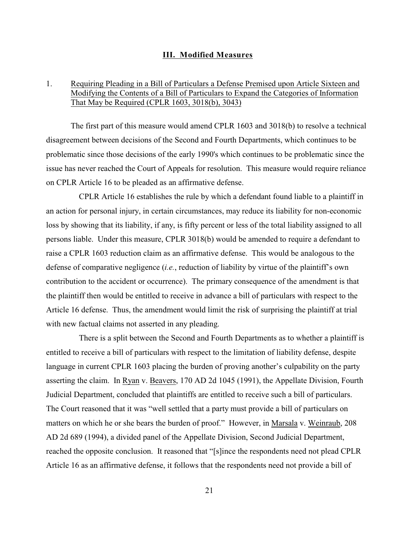## **III. Modified Measures**

## 1. Requiring Pleading in a Bill of Particulars a Defense Premised upon Article Sixteen and Modifying the Contents of a Bill of Particulars to Expand the Categories of Information That May be Required (CPLR 1603, 3018(b), 3043)

The first part of this measure would amend CPLR 1603 and 3018(b) to resolve a technical disagreement between decisions of the Second and Fourth Departments, which continues to be problematic since those decisions of the early 1990's which continues to be problematic since the issue has never reached the Court of Appeals for resolution. This measure would require reliance on CPLR Article 16 to be pleaded as an affirmative defense.

 CPLR Article 16 establishes the rule by which a defendant found liable to a plaintiff in an action for personal injury, in certain circumstances, may reduce its liability for non-economic loss by showing that its liability, if any, is fifty percent or less of the total liability assigned to all persons liable. Under this measure, CPLR 3018(b) would be amended to require a defendant to raise a CPLR 1603 reduction claim as an affirmative defense. This would be analogous to the defense of comparative negligence (*i.e.*, reduction of liability by virtue of the plaintiff's own contribution to the accident or occurrence). The primary consequence of the amendment is that the plaintiff then would be entitled to receive in advance a bill of particulars with respect to the Article 16 defense. Thus, the amendment would limit the risk of surprising the plaintiff at trial with new factual claims not asserted in any pleading.

 There is a split between the Second and Fourth Departments as to whether a plaintiff is entitled to receive a bill of particulars with respect to the limitation of liability defense, despite language in current CPLR 1603 placing the burden of proving another's culpability on the party asserting the claim. In Ryan v. Beavers, 170 AD 2d 1045 (1991), the Appellate Division, Fourth Judicial Department, concluded that plaintiffs are entitled to receive such a bill of particulars. The Court reasoned that it was "well settled that a party must provide a bill of particulars on matters on which he or she bears the burden of proof." However, in Marsala v. Weinraub, 208 AD 2d 689 (1994), a divided panel of the Appellate Division, Second Judicial Department, reached the opposite conclusion. It reasoned that "[s]ince the respondents need not plead CPLR Article 16 as an affirmative defense, it follows that the respondents need not provide a bill of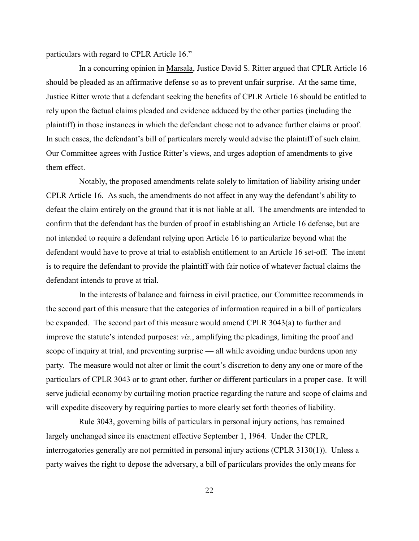particulars with regard to CPLR Article 16."

 In a concurring opinion in Marsala, Justice David S. Ritter argued that CPLR Article 16 should be pleaded as an affirmative defense so as to prevent unfair surprise. At the same time, Justice Ritter wrote that a defendant seeking the benefits of CPLR Article 16 should be entitled to rely upon the factual claims pleaded and evidence adduced by the other parties (including the plaintiff) in those instances in which the defendant chose not to advance further claims or proof. In such cases, the defendant's bill of particulars merely would advise the plaintiff of such claim. Our Committee agrees with Justice Ritter's views, and urges adoption of amendments to give them effect.

 Notably, the proposed amendments relate solely to limitation of liability arising under CPLR Article 16. As such, the amendments do not affect in any way the defendant's ability to defeat the claim entirely on the ground that it is not liable at all. The amendments are intended to confirm that the defendant has the burden of proof in establishing an Article 16 defense, but are not intended to require a defendant relying upon Article 16 to particularize beyond what the defendant would have to prove at trial to establish entitlement to an Article 16 set-off. The intent is to require the defendant to provide the plaintiff with fair notice of whatever factual claims the defendant intends to prove at trial.

 In the interests of balance and fairness in civil practice, our Committee recommends in the second part of this measure that the categories of information required in a bill of particulars be expanded. The second part of this measure would amend CPLR 3043(a) to further and improve the statute's intended purposes: *viz.*, amplifying the pleadings, limiting the proof and scope of inquiry at trial, and preventing surprise — all while avoiding undue burdens upon any party. The measure would not alter or limit the court's discretion to deny any one or more of the particulars of CPLR 3043 or to grant other, further or different particulars in a proper case. It will serve judicial economy by curtailing motion practice regarding the nature and scope of claims and will expedite discovery by requiring parties to more clearly set forth theories of liability.

 Rule 3043, governing bills of particulars in personal injury actions, has remained largely unchanged since its enactment effective September 1, 1964. Under the CPLR, interrogatories generally are not permitted in personal injury actions (CPLR 3130(1)). Unless a party waives the right to depose the adversary, a bill of particulars provides the only means for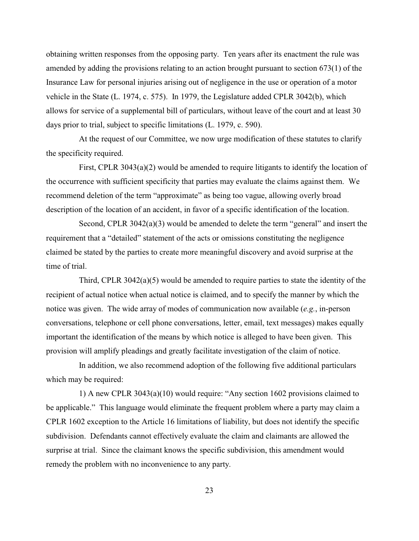obtaining written responses from the opposing party. Ten years after its enactment the rule was amended by adding the provisions relating to an action brought pursuant to section 673(1) of the Insurance Law for personal injuries arising out of negligence in the use or operation of a motor vehicle in the State (L. 1974, c. 575). In 1979, the Legislature added CPLR 3042(b), which allows for service of a supplemental bill of particulars, without leave of the court and at least 30 days prior to trial, subject to specific limitations (L. 1979, c. 590).

 At the request of our Committee, we now urge modification of these statutes to clarify the specificity required.

 First, CPLR 3043(a)(2) would be amended to require litigants to identify the location of the occurrence with sufficient specificity that parties may evaluate the claims against them. We recommend deletion of the term "approximate" as being too vague, allowing overly broad description of the location of an accident, in favor of a specific identification of the location.

 Second, CPLR 3042(a)(3) would be amended to delete the term "general" and insert the requirement that a "detailed" statement of the acts or omissions constituting the negligence claimed be stated by the parties to create more meaningful discovery and avoid surprise at the time of trial.

 Third, CPLR 3042(a)(5) would be amended to require parties to state the identity of the recipient of actual notice when actual notice is claimed, and to specify the manner by which the notice was given. The wide array of modes of communication now available (*e.g.*, in-person conversations, telephone or cell phone conversations, letter, email, text messages) makes equally important the identification of the means by which notice is alleged to have been given. This provision will amplify pleadings and greatly facilitate investigation of the claim of notice.

 In addition, we also recommend adoption of the following five additional particulars which may be required:

 1) A new CPLR 3043(a)(10) would require: "Any section 1602 provisions claimed to be applicable." This language would eliminate the frequent problem where a party may claim a CPLR 1602 exception to the Article 16 limitations of liability, but does not identify the specific subdivision. Defendants cannot effectively evaluate the claim and claimants are allowed the surprise at trial. Since the claimant knows the specific subdivision, this amendment would remedy the problem with no inconvenience to any party.

23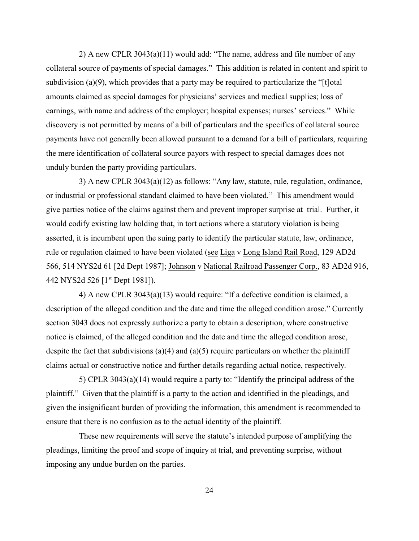2) A new CPLR 3043(a)(11) would add: "The name, address and file number of any collateral source of payments of special damages." This addition is related in content and spirit to subdivision (a)(9), which provides that a party may be required to particularize the "[t]otal amounts claimed as special damages for physicians' services and medical supplies; loss of earnings, with name and address of the employer; hospital expenses; nurses' services." While discovery is not permitted by means of a bill of particulars and the specifics of collateral source payments have not generally been allowed pursuant to a demand for a bill of particulars, requiring the mere identification of collateral source payors with respect to special damages does not unduly burden the party providing particulars.

 3) A new CPLR 3043(a)(12) as follows: "Any law, statute, rule, regulation, ordinance, or industrial or professional standard claimed to have been violated." This amendment would give parties notice of the claims against them and prevent improper surprise at trial. Further, it would codify existing law holding that, in tort actions where a statutory violation is being asserted, it is incumbent upon the suing party to identify the particular statute, law, ordinance, rule or regulation claimed to have been violated (see Liga v Long Island Rail Road, 129 AD2d 566, 514 NYS2d 61 [2d Dept 1987]; Johnson v National Railroad Passenger Corp., 83 AD2d 916, 442 NYS2d 526 [1<sup>st</sup> Dept 1981]).

 4) A new CPLR 3043(a)(13) would require: "If a defective condition is claimed, a description of the alleged condition and the date and time the alleged condition arose." Currently section 3043 does not expressly authorize a party to obtain a description, where constructive notice is claimed, of the alleged condition and the date and time the alleged condition arose, despite the fact that subdivisions (a)(4) and (a)(5) require particulars on whether the plaintiff claims actual or constructive notice and further details regarding actual notice, respectively.

 5) CPLR 3043(a)(14) would require a party to: "Identify the principal address of the plaintiff." Given that the plaintiff is a party to the action and identified in the pleadings, and given the insignificant burden of providing the information, this amendment is recommended to ensure that there is no confusion as to the actual identity of the plaintiff.

 These new requirements will serve the statute's intended purpose of amplifying the pleadings, limiting the proof and scope of inquiry at trial, and preventing surprise, without imposing any undue burden on the parties.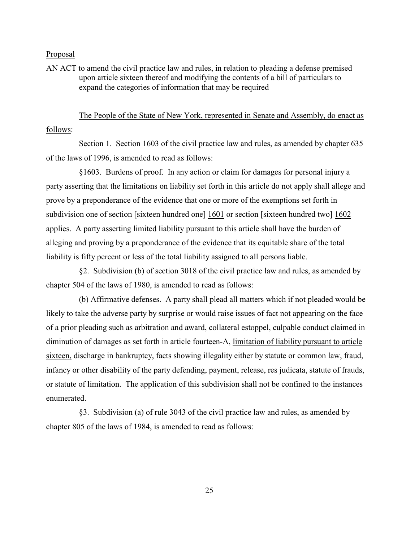AN ACT to amend the civil practice law and rules, in relation to pleading a defense premised upon article sixteen thereof and modifying the contents of a bill of particulars to expand the categories of information that may be required

 The People of the State of New York, represented in Senate and Assembly, do enact as follows:

 Section 1. Section 1603 of the civil practice law and rules, as amended by chapter 635 of the laws of 1996, is amended to read as follows:

 §1603. Burdens of proof. In any action or claim for damages for personal injury a party asserting that the limitations on liability set forth in this article do not apply shall allege and prove by a preponderance of the evidence that one or more of the exemptions set forth in subdivision one of section [sixteen hundred one] 1601 or section [sixteen hundred two] 1602 applies. A party asserting limited liability pursuant to this article shall have the burden of alleging and proving by a preponderance of the evidence that its equitable share of the total liability is fifty percent or less of the total liability assigned to all persons liable.

 §2. Subdivision (b) of section 3018 of the civil practice law and rules, as amended by chapter 504 of the laws of 1980, is amended to read as follows:

 (b) Affirmative defenses. A party shall plead all matters which if not pleaded would be likely to take the adverse party by surprise or would raise issues of fact not appearing on the face of a prior pleading such as arbitration and award, collateral estoppel, culpable conduct claimed in diminution of damages as set forth in article fourteen-A, limitation of liability pursuant to article sixteen, discharge in bankruptcy, facts showing illegality either by statute or common law, fraud, infancy or other disability of the party defending, payment, release, res judicata, statute of frauds, or statute of limitation. The application of this subdivision shall not be confined to the instances enumerated.

 §3. Subdivision (a) of rule 3043 of the civil practice law and rules, as amended by chapter 805 of the laws of 1984, is amended to read as follows: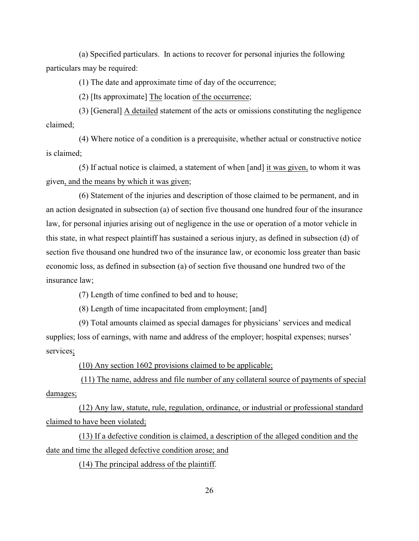(a) Specified particulars. In actions to recover for personal injuries the following particulars may be required:

(1) The date and approximate time of day of the occurrence;

(2) [Its approximate] The location of the occurrence;

 (3) [General] A detailed statement of the acts or omissions constituting the negligence claimed;

 (4) Where notice of a condition is a prerequisite, whether actual or constructive notice is claimed;

(5) If actual notice is claimed, a statement of when [and]  $\frac{1}{1}$  it was given, to whom it was given, and the means by which it was given;

 (6) Statement of the injuries and description of those claimed to be permanent, and in an action designated in subsection (a) of section five thousand one hundred four of the insurance law, for personal injuries arising out of negligence in the use or operation of a motor vehicle in this state, in what respect plaintiff has sustained a serious injury, as defined in subsection (d) of section five thousand one hundred two of the insurance law, or economic loss greater than basic economic loss, as defined in subsection (a) of section five thousand one hundred two of the insurance law;

(7) Length of time confined to bed and to house;

(8) Length of time incapacitated from employment; [and]

 (9) Total amounts claimed as special damages for physicians' services and medical supplies; loss of earnings, with name and address of the employer; hospital expenses; nurses' services;

(10) Any section 1602 provisions claimed to be applicable;

 (11) The name, address and file number of any collateral source of payments of special damages;

 (12) Any law, statute, rule, regulation, ordinance, or industrial or professional standard claimed to have been violated;

 (13) If a defective condition is claimed, a description of the alleged condition and the date and time the alleged defective condition arose; and

(14) The principal address of the plaintiff.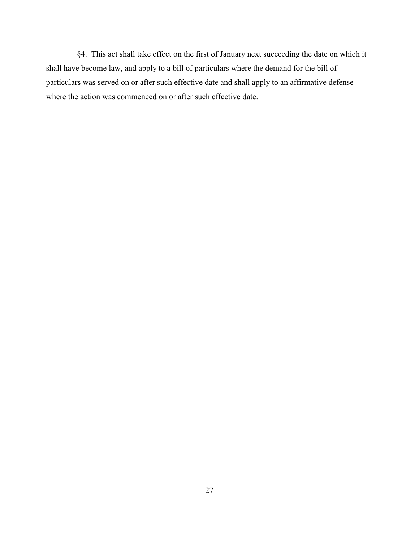§4. This act shall take effect on the first of January next succeeding the date on which it shall have become law, and apply to a bill of particulars where the demand for the bill of particulars was served on or after such effective date and shall apply to an affirmative defense where the action was commenced on or after such effective date.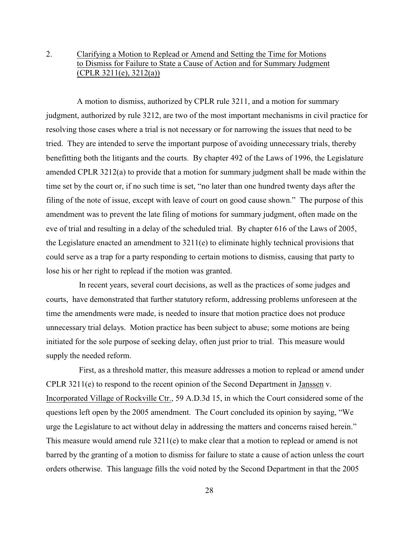## 2. Clarifying a Motion to Replead or Amend and Setting the Time for Motions to Dismiss for Failure to State a Cause of Action and for Summary Judgment (CPLR 3211(e), 3212(a))

 A motion to dismiss, authorized by CPLR rule 3211, and a motion for summary judgment, authorized by rule 3212, are two of the most important mechanisms in civil practice for resolving those cases where a trial is not necessary or for narrowing the issues that need to be tried. They are intended to serve the important purpose of avoiding unnecessary trials, thereby benefitting both the litigants and the courts. By chapter 492 of the Laws of 1996, the Legislature amended CPLR 3212(a) to provide that a motion for summary judgment shall be made within the time set by the court or, if no such time is set, "no later than one hundred twenty days after the filing of the note of issue, except with leave of court on good cause shown." The purpose of this amendment was to prevent the late filing of motions for summary judgment, often made on the eve of trial and resulting in a delay of the scheduled trial. By chapter 616 of the Laws of 2005, the Legislature enacted an amendment to 3211(e) to eliminate highly technical provisions that could serve as a trap for a party responding to certain motions to dismiss, causing that party to lose his or her right to replead if the motion was granted.

 In recent years, several court decisions, as well as the practices of some judges and courts, have demonstrated that further statutory reform, addressing problems unforeseen at the time the amendments were made, is needed to insure that motion practice does not produce unnecessary trial delays. Motion practice has been subject to abuse; some motions are being initiated for the sole purpose of seeking delay, often just prior to trial. This measure would supply the needed reform.

 First, as a threshold matter, this measure addresses a motion to replead or amend under CPLR 3211(e) to respond to the recent opinion of the Second Department in Janssen v. Incorporated Village of Rockville Ctr., 59 A.D.3d 15, in which the Court considered some of the questions left open by the 2005 amendment. The Court concluded its opinion by saying, "We urge the Legislature to act without delay in addressing the matters and concerns raised herein." This measure would amend rule 3211(e) to make clear that a motion to replead or amend is not barred by the granting of a motion to dismiss for failure to state a cause of action unless the court orders otherwise. This language fills the void noted by the Second Department in that the 2005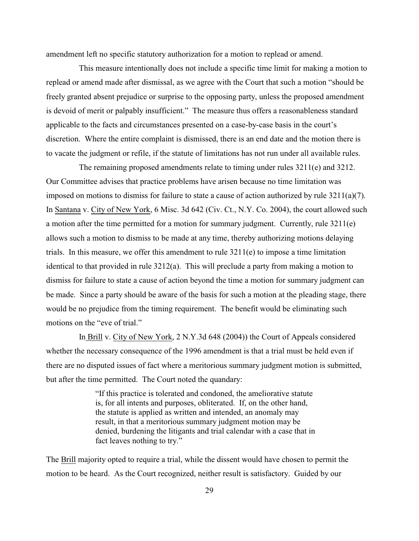amendment left no specific statutory authorization for a motion to replead or amend.

 This measure intentionally does not include a specific time limit for making a motion to replead or amend made after dismissal, as we agree with the Court that such a motion "should be freely granted absent prejudice or surprise to the opposing party, unless the proposed amendment is devoid of merit or palpably insufficient." The measure thus offers a reasonableness standard applicable to the facts and circumstances presented on a case-by-case basis in the court's discretion. Where the entire complaint is dismissed, there is an end date and the motion there is to vacate the judgment or refile, if the statute of limitations has not run under all available rules.

 The remaining proposed amendments relate to timing under rules 3211(e) and 3212. Our Committee advises that practice problems have arisen because no time limitation was imposed on motions to dismiss for failure to state a cause of action authorized by rule 3211(a)(7). In Santana v. City of New York, 6 Misc. 3d 642 (Civ. Ct., N.Y. Co. 2004), the court allowed such a motion after the time permitted for a motion for summary judgment. Currently, rule 3211(e) allows such a motion to dismiss to be made at any time, thereby authorizing motions delaying trials. In this measure, we offer this amendment to rule  $3211(e)$  to impose a time limitation identical to that provided in rule 3212(a). This will preclude a party from making a motion to dismiss for failure to state a cause of action beyond the time a motion for summary judgment can be made. Since a party should be aware of the basis for such a motion at the pleading stage, there would be no prejudice from the timing requirement. The benefit would be eliminating such motions on the "eve of trial."

 In Brill v. City of New York, 2 N.Y.3d 648 (2004)) the Court of Appeals considered whether the necessary consequence of the 1996 amendment is that a trial must be held even if there are no disputed issues of fact where a meritorious summary judgment motion is submitted, but after the time permitted. The Court noted the quandary:

> "If this practice is tolerated and condoned, the ameliorative statute is, for all intents and purposes, obliterated. If, on the other hand, the statute is applied as written and intended, an anomaly may result, in that a meritorious summary judgment motion may be denied, burdening the litigants and trial calendar with a case that in fact leaves nothing to try."

The Brill majority opted to require a trial, while the dissent would have chosen to permit the motion to be heard. As the Court recognized, neither result is satisfactory. Guided by our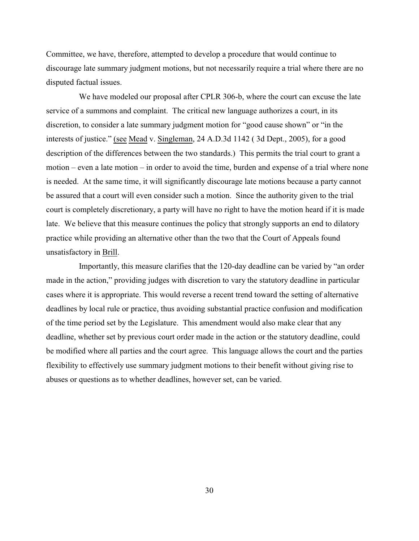Committee, we have, therefore, attempted to develop a procedure that would continue to discourage late summary judgment motions, but not necessarily require a trial where there are no disputed factual issues.

 We have modeled our proposal after CPLR 306-b, where the court can excuse the late service of a summons and complaint. The critical new language authorizes a court, in its discretion, to consider a late summary judgment motion for "good cause shown" or "in the interests of justice." (see Mead v. Singleman, 24 A.D.3d 1142 ( 3d Dept., 2005), for a good description of the differences between the two standards.) This permits the trial court to grant a motion – even a late motion – in order to avoid the time, burden and expense of a trial where none is needed. At the same time, it will significantly discourage late motions because a party cannot be assured that a court will even consider such a motion. Since the authority given to the trial court is completely discretionary, a party will have no right to have the motion heard if it is made late. We believe that this measure continues the policy that strongly supports an end to dilatory practice while providing an alternative other than the two that the Court of Appeals found unsatisfactory in Brill.

 Importantly, this measure clarifies that the 120-day deadline can be varied by "an order made in the action," providing judges with discretion to vary the statutory deadline in particular cases where it is appropriate. This would reverse a recent trend toward the setting of alternative deadlines by local rule or practice, thus avoiding substantial practice confusion and modification of the time period set by the Legislature. This amendment would also make clear that any deadline, whether set by previous court order made in the action or the statutory deadline, could be modified where all parties and the court agree. This language allows the court and the parties flexibility to effectively use summary judgment motions to their benefit without giving rise to abuses or questions as to whether deadlines, however set, can be varied.

30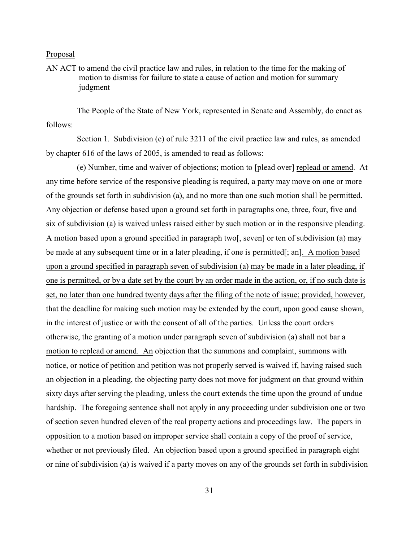AN ACT to amend the civil practice law and rules, in relation to the time for the making of motion to dismiss for failure to state a cause of action and motion for summary judgment

 The People of the State of New York, represented in Senate and Assembly, do enact as follows:

 Section 1. Subdivision (e) of rule 3211 of the civil practice law and rules, as amended by chapter 616 of the laws of 2005, is amended to read as follows:

 (e) Number, time and waiver of objections; motion to [plead over] replead or amend. At any time before service of the responsive pleading is required, a party may move on one or more of the grounds set forth in subdivision (a), and no more than one such motion shall be permitted. Any objection or defense based upon a ground set forth in paragraphs one, three, four, five and six of subdivision (a) is waived unless raised either by such motion or in the responsive pleading. A motion based upon a ground specified in paragraph two[, seven] or ten of subdivision (a) may be made at any subsequent time or in a later pleading, if one is permitted[; an]. A motion based upon a ground specified in paragraph seven of subdivision (a) may be made in a later pleading, if one is permitted, or by a date set by the court by an order made in the action, or, if no such date is set, no later than one hundred twenty days after the filing of the note of issue; provided, however, that the deadline for making such motion may be extended by the court, upon good cause shown, in the interest of justice or with the consent of all of the parties. Unless the court orders otherwise, the granting of a motion under paragraph seven of subdivision (a) shall not bar a motion to replead or amend. An objection that the summons and complaint, summons with notice, or notice of petition and petition was not properly served is waived if, having raised such an objection in a pleading, the objecting party does not move for judgment on that ground within sixty days after serving the pleading, unless the court extends the time upon the ground of undue hardship. The foregoing sentence shall not apply in any proceeding under subdivision one or two of section seven hundred eleven of the real property actions and proceedings law. The papers in opposition to a motion based on improper service shall contain a copy of the proof of service, whether or not previously filed. An objection based upon a ground specified in paragraph eight or nine of subdivision (a) is waived if a party moves on any of the grounds set forth in subdivision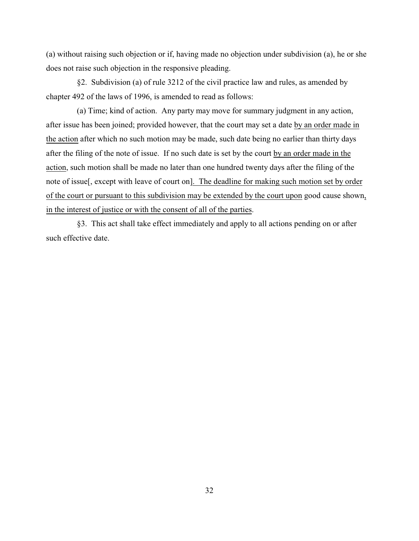(a) without raising such objection or if, having made no objection under subdivision (a), he or she does not raise such objection in the responsive pleading.

 §2. Subdivision (a) of rule 3212 of the civil practice law and rules, as amended by chapter 492 of the laws of 1996, is amended to read as follows:

 (a) Time; kind of action. Any party may move for summary judgment in any action, after issue has been joined; provided however, that the court may set a date by an order made in the action after which no such motion may be made, such date being no earlier than thirty days after the filing of the note of issue. If no such date is set by the court by an order made in the action, such motion shall be made no later than one hundred twenty days after the filing of the note of issue[, except with leave of court on]. The deadline for making such motion set by order of the court or pursuant to this subdivision may be extended by the court upon good cause shown, in the interest of justice or with the consent of all of the parties.

 §3. This act shall take effect immediately and apply to all actions pending on or after such effective date.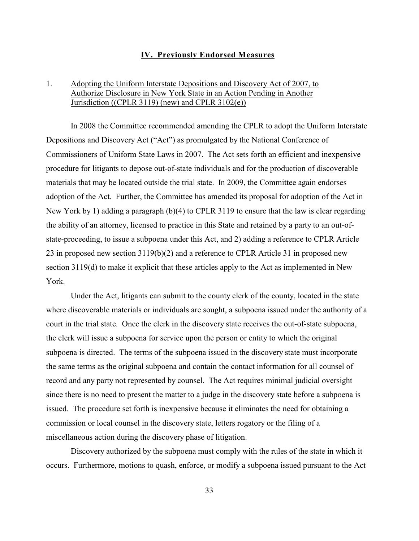## **IV. Previously Endorsed Measures**

## 1. Adopting the Uniform Interstate Depositions and Discovery Act of 2007, to Authorize Disclosure in New York State in an Action Pending in Another Jurisdiction ((CPLR 3119) (new) and CPLR 3102(e))

In 2008 the Committee recommended amending the CPLR to adopt the Uniform Interstate Depositions and Discovery Act ("Act") as promulgated by the National Conference of Commissioners of Uniform State Laws in 2007. The Act sets forth an efficient and inexpensive procedure for litigants to depose out-of-state individuals and for the production of discoverable materials that may be located outside the trial state. In 2009, the Committee again endorses adoption of the Act. Further, the Committee has amended its proposal for adoption of the Act in New York by 1) adding a paragraph (b)(4) to CPLR 3119 to ensure that the law is clear regarding the ability of an attorney, licensed to practice in this State and retained by a party to an out-ofstate-proceeding, to issue a subpoena under this Act, and 2) adding a reference to CPLR Article 23 in proposed new section 3119(b)(2) and a reference to CPLR Article 31 in proposed new section 3119(d) to make it explicit that these articles apply to the Act as implemented in New York.

Under the Act, litigants can submit to the county clerk of the county, located in the state where discoverable materials or individuals are sought, a subpoena issued under the authority of a court in the trial state. Once the clerk in the discovery state receives the out-of-state subpoena, the clerk will issue a subpoena for service upon the person or entity to which the original subpoena is directed. The terms of the subpoena issued in the discovery state must incorporate the same terms as the original subpoena and contain the contact information for all counsel of record and any party not represented by counsel. The Act requires minimal judicial oversight since there is no need to present the matter to a judge in the discovery state before a subpoena is issued. The procedure set forth is inexpensive because it eliminates the need for obtaining a commission or local counsel in the discovery state, letters rogatory or the filing of a miscellaneous action during the discovery phase of litigation.

Discovery authorized by the subpoena must comply with the rules of the state in which it occurs. Furthermore, motions to quash, enforce, or modify a subpoena issued pursuant to the Act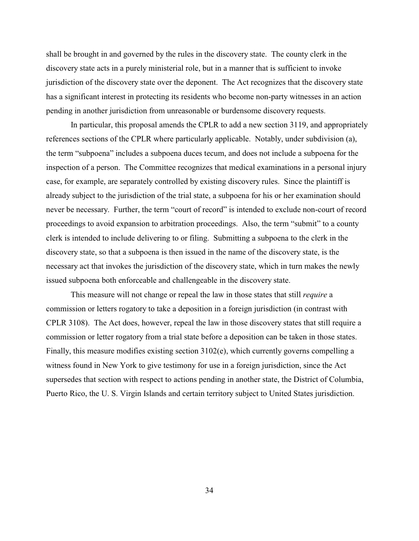shall be brought in and governed by the rules in the discovery state. The county clerk in the discovery state acts in a purely ministerial role, but in a manner that is sufficient to invoke jurisdiction of the discovery state over the deponent. The Act recognizes that the discovery state has a significant interest in protecting its residents who become non-party witnesses in an action pending in another jurisdiction from unreasonable or burdensome discovery requests.

In particular, this proposal amends the CPLR to add a new section 3119, and appropriately references sections of the CPLR where particularly applicable. Notably, under subdivision (a), the term "subpoena" includes a subpoena duces tecum, and does not include a subpoena for the inspection of a person. The Committee recognizes that medical examinations in a personal injury case, for example, are separately controlled by existing discovery rules. Since the plaintiff is already subject to the jurisdiction of the trial state, a subpoena for his or her examination should never be necessary. Further, the term "court of record" is intended to exclude non-court of record proceedings to avoid expansion to arbitration proceedings. Also, the term "submit" to a county clerk is intended to include delivering to or filing. Submitting a subpoena to the clerk in the discovery state, so that a subpoena is then issued in the name of the discovery state, is the necessary act that invokes the jurisdiction of the discovery state, which in turn makes the newly issued subpoena both enforceable and challengeable in the discovery state.

This measure will not change or repeal the law in those states that still *require* a commission or letters rogatory to take a deposition in a foreign jurisdiction (in contrast with CPLR 3108). The Act does, however, repeal the law in those discovery states that still require a commission or letter rogatory from a trial state before a deposition can be taken in those states. Finally, this measure modifies existing section 3102(e), which currently governs compelling a witness found in New York to give testimony for use in a foreign jurisdiction, since the Act supersedes that section with respect to actions pending in another state, the District of Columbia, Puerto Rico, the U. S. Virgin Islands and certain territory subject to United States jurisdiction.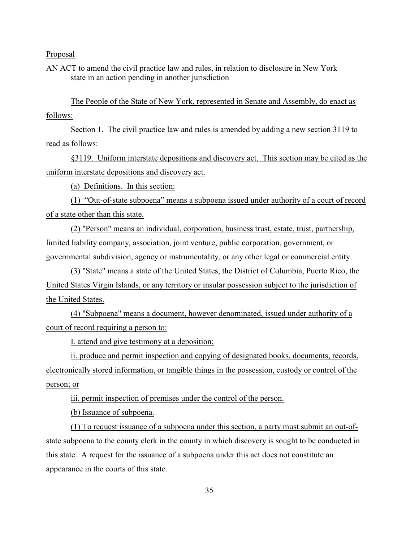AN ACT to amend the civil practice law and rules, in relation to disclosure in New York state in an action pending in another jurisdiction

The People of the State of New York, represented in Senate and Assembly, do enact as follows:

Section 1. The civil practice law and rules is amended by adding a new section 3119 to read as follows:

§3119. Uniform interstate depositions and discovery act. This section may be cited as the uniform interstate depositions and discovery act.

(a) Definitions. In this section:

(1) "Out-of-state subpoena" means a subpoena issued under authority of a court of record of a state other than this state.

(2) "Person" means an individual, corporation, business trust, estate, trust, partnership, limited liability company, association, joint venture, public corporation, government, or governmental subdivision, agency or instrumentality, or any other legal or commercial entity.

 (3) "State" means a state of the United States, the District of Columbia, Puerto Rico, the United States Virgin Islands, or any territory or insular possession subject to the jurisdiction of the United States.

(4) "Subpoena" means a document, however denominated, issued under authority of a court of record requiring a person to:

I. attend and give testimony at a deposition;

ii. produce and permit inspection and copying of designated books, documents, records, electronically stored information, or tangible things in the possession, custody or control of the person; or

iii. permit inspection of premises under the control of the person.

(b) Issuance of subpoena.

(1) To request issuance of a subpoena under this section, a party must submit an out-ofstate subpoena to the county clerk in the county in which discovery is sought to be conducted in this state. A request for the issuance of a subpoena under this act does not constitute an appearance in the courts of this state.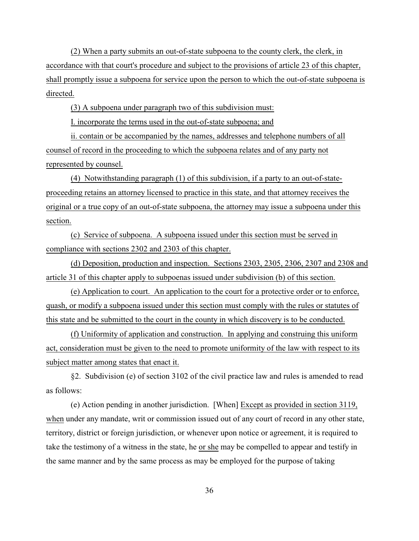(2) When a party submits an out-of-state subpoena to the county clerk, the clerk, in accordance with that court's procedure and subject to the provisions of article 23 of this chapter, shall promptly issue a subpoena for service upon the person to which the out-of-state subpoena is directed.

(3) A subpoena under paragraph two of this subdivision must:

I. incorporate the terms used in the out-of-state subpoena; and

ii. contain or be accompanied by the names, addresses and telephone numbers of all counsel of record in the proceeding to which the subpoena relates and of any party not represented by counsel.

(4) Notwithstanding paragraph (1) of this subdivision, if a party to an out-of-stateproceeding retains an attorney licensed to practice in this state, and that attorney receives the original or a true copy of an out-of-state subpoena, the attorney may issue a subpoena under this section.

(c) Service of subpoena. A subpoena issued under this section must be served in compliance with sections 2302 and 2303 of this chapter.

(d) Deposition, production and inspection. Sections 2303, 2305, 2306, 2307 and 2308 and article 31 of this chapter apply to subpoenas issued under subdivision (b) of this section.

(e) Application to court. An application to the court for a protective order or to enforce, quash, or modify a subpoena issued under this section must comply with the rules or statutes of this state and be submitted to the court in the county in which discovery is to be conducted.

(f) Uniformity of application and construction. In applying and construing this uniform act, consideration must be given to the need to promote uniformity of the law with respect to its subject matter among states that enact it.

§2. Subdivision (e) of section 3102 of the civil practice law and rules is amended to read as follows:

(e) Action pending in another jurisdiction. [When] Except as provided in section 3119, when under any mandate, writ or commission issued out of any court of record in any other state, territory, district or foreign jurisdiction, or whenever upon notice or agreement, it is required to take the testimony of a witness in the state, he or she may be compelled to appear and testify in the same manner and by the same process as may be employed for the purpose of taking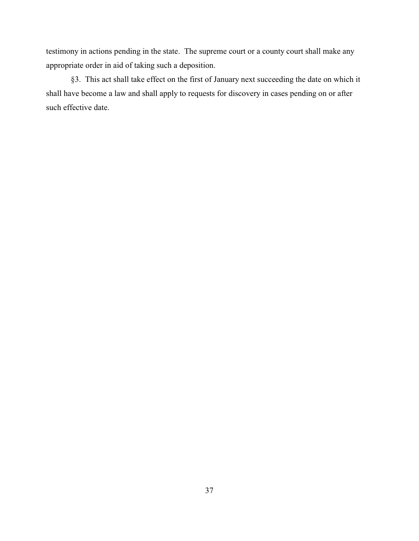testimony in actions pending in the state. The supreme court or a county court shall make any appropriate order in aid of taking such a deposition.

§3. This act shall take effect on the first of January next succeeding the date on which it shall have become a law and shall apply to requests for discovery in cases pending on or after such effective date.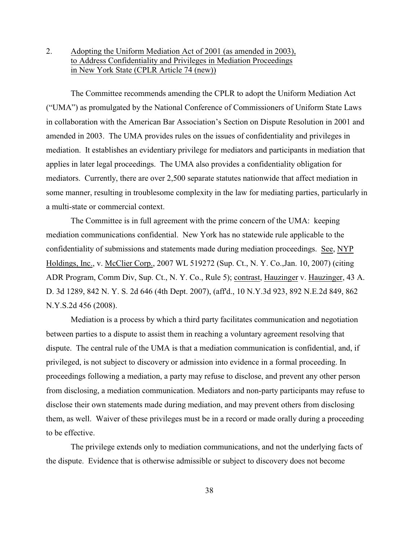2. Adopting the Uniform Mediation Act of 2001 (as amended in 2003), to Address Confidentiality and Privileges in Mediation Proceedings in New York State (CPLR Article 74 (new))

The Committee recommends amending the CPLR to adopt the Uniform Mediation Act ("UMA") as promulgated by the National Conference of Commissioners of Uniform State Laws in collaboration with the American Bar Association's Section on Dispute Resolution in 2001 and amended in 2003. The UMA provides rules on the issues of confidentiality and privileges in mediation. It establishes an evidentiary privilege for mediators and participants in mediation that applies in later legal proceedings. The UMA also provides a confidentiality obligation for mediators. Currently, there are over 2,500 separate statutes nationwide that affect mediation in some manner, resulting in troublesome complexity in the law for mediating parties, particularly in a multi-state or commercial context.

The Committee is in full agreement with the prime concern of the UMA: keeping mediation communications confidential. New York has no statewide rule applicable to the confidentiality of submissions and statements made during mediation proceedings. See, NYP Holdings, Inc., v. McClier Corp., 2007 WL 519272 (Sup. Ct., N. Y. Co.,Jan. 10, 2007) (citing ADR Program, Comm Div, Sup. Ct., N. Y. Co., Rule 5); contrast, Hauzinger v. Hauzinger, 43 A. D. 3d 1289, 842 N. Y. S. 2d 646 (4th Dept. 2007), (aff'd., 10 N.Y.3d 923, 892 N.E.2d 849, 862 N.Y.S.2d 456 (2008).

Mediation is a process by which a third party facilitates communication and negotiation between parties to a dispute to assist them in reaching a voluntary agreement resolving that dispute. The central rule of the UMA is that a mediation communication is confidential, and, if privileged, is not subject to discovery or admission into evidence in a formal proceeding. In proceedings following a mediation, a party may refuse to disclose, and prevent any other person from disclosing, a mediation communication. Mediators and non-party participants may refuse to disclose their own statements made during mediation, and may prevent others from disclosing them, as well. Waiver of these privileges must be in a record or made orally during a proceeding to be effective.

The privilege extends only to mediation communications, and not the underlying facts of the dispute. Evidence that is otherwise admissible or subject to discovery does not become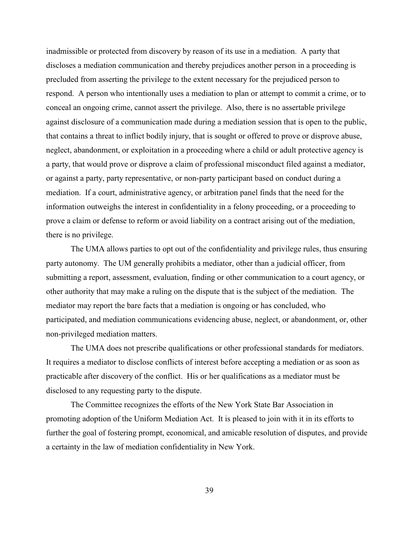inadmissible or protected from discovery by reason of its use in a mediation. A party that discloses a mediation communication and thereby prejudices another person in a proceeding is precluded from asserting the privilege to the extent necessary for the prejudiced person to respond. A person who intentionally uses a mediation to plan or attempt to commit a crime, or to conceal an ongoing crime, cannot assert the privilege. Also, there is no assertable privilege against disclosure of a communication made during a mediation session that is open to the public, that contains a threat to inflict bodily injury, that is sought or offered to prove or disprove abuse, neglect, abandonment, or exploitation in a proceeding where a child or adult protective agency is a party, that would prove or disprove a claim of professional misconduct filed against a mediator, or against a party, party representative, or non-party participant based on conduct during a mediation. If a court, administrative agency, or arbitration panel finds that the need for the information outweighs the interest in confidentiality in a felony proceeding, or a proceeding to prove a claim or defense to reform or avoid liability on a contract arising out of the mediation, there is no privilege.

The UMA allows parties to opt out of the confidentiality and privilege rules, thus ensuring party autonomy. The UM generally prohibits a mediator, other than a judicial officer, from submitting a report, assessment, evaluation, finding or other communication to a court agency, or other authority that may make a ruling on the dispute that is the subject of the mediation. The mediator may report the bare facts that a mediation is ongoing or has concluded, who participated, and mediation communications evidencing abuse, neglect, or abandonment, or, other non-privileged mediation matters.

The UMA does not prescribe qualifications or other professional standards for mediators. It requires a mediator to disclose conflicts of interest before accepting a mediation or as soon as practicable after discovery of the conflict. His or her qualifications as a mediator must be disclosed to any requesting party to the dispute.

The Committee recognizes the efforts of the New York State Bar Association in promoting adoption of the Uniform Mediation Act. It is pleased to join with it in its efforts to further the goal of fostering prompt, economical, and amicable resolution of disputes, and provide a certainty in the law of mediation confidentiality in New York.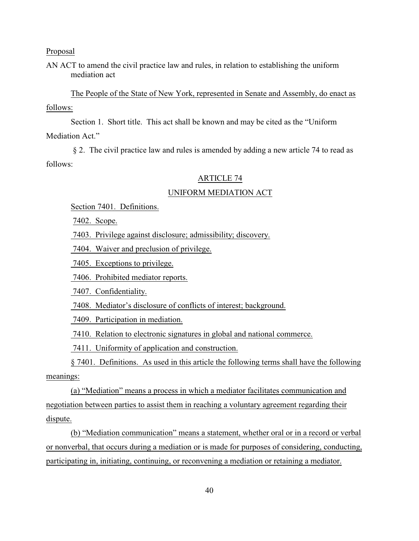AN ACT to amend the civil practice law and rules, in relation to establishing the uniform mediation act

The People of the State of New York, represented in Senate and Assembly, do enact as follows:

Section 1. Short title. This act shall be known and may be cited as the "Uniform Mediation Act."

 § 2. The civil practice law and rules is amended by adding a new article 74 to read as follows:

### ARTICLE 74

### UNIFORM MEDIATION ACT

Section 7401. Definitions.

7402. Scope.

7403. Privilege against disclosure; admissibility; discovery.

7404. Waiver and preclusion of privilege.

7405. Exceptions to privilege.

7406. Prohibited mediator reports.

7407. Confidentiality.

7408. Mediator's disclosure of conflicts of interest; background.

7409. Participation in mediation.

7410. Relation to electronic signatures in global and national commerce.

7411. Uniformity of application and construction.

§ 7401. Definitions. As used in this article the following terms shall have the following meanings:

(a) "Mediation" means a process in which a mediator facilitates communication and negotiation between parties to assist them in reaching a voluntary agreement regarding their dispute.

(b) "Mediation communication" means a statement, whether oral or in a record or verbal or nonverbal, that occurs during a mediation or is made for purposes of considering, conducting, participating in, initiating, continuing, or reconvening a mediation or retaining a mediator.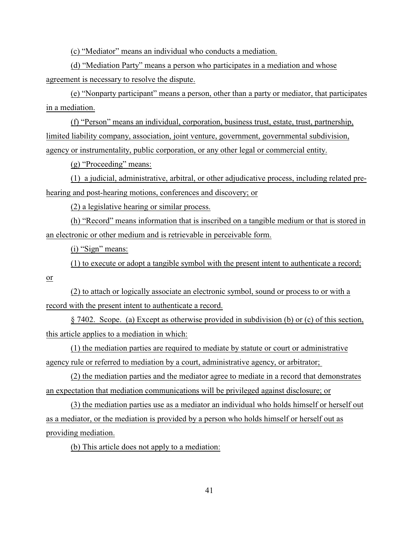(c) "Mediator" means an individual who conducts a mediation.

(d) "Mediation Party" means a person who participates in a mediation and whose agreement is necessary to resolve the dispute.

(e) "Nonparty participant" means a person, other than a party or mediator, that participates in a mediation.

(f) "Person" means an individual, corporation, business trust, estate, trust, partnership, limited liability company, association, joint venture, government, governmental subdivision, agency or instrumentality, public corporation, or any other legal or commercial entity.

(g) "Proceeding" means:

(1) a judicial, administrative, arbitral, or other adjudicative process, including related prehearing and post-hearing motions, conferences and discovery; or

(2) a legislative hearing or similar process.

(h) "Record" means information that is inscribed on a tangible medium or that is stored in an electronic or other medium and is retrievable in perceivable form.

(i) "Sign" means:

(1) to execute or adopt a tangible symbol with the present intent to authenticate a record;

or

(2) to attach or logically associate an electronic symbol, sound or process to or with a record with the present intent to authenticate a record.

§ 7402. Scope. (a) Except as otherwise provided in subdivision (b) or (c) of this section, this article applies to a mediation in which:

(1) the mediation parties are required to mediate by statute or court or administrative agency rule or referred to mediation by a court, administrative agency, or arbitrator;

(2) the mediation parties and the mediator agree to mediate in a record that demonstrates an expectation that mediation communications will be privileged against disclosure; or

(3) the mediation parties use as a mediator an individual who holds himself or herself out as a mediator, or the mediation is provided by a person who holds himself or herself out as providing mediation.

(b) This article does not apply to a mediation: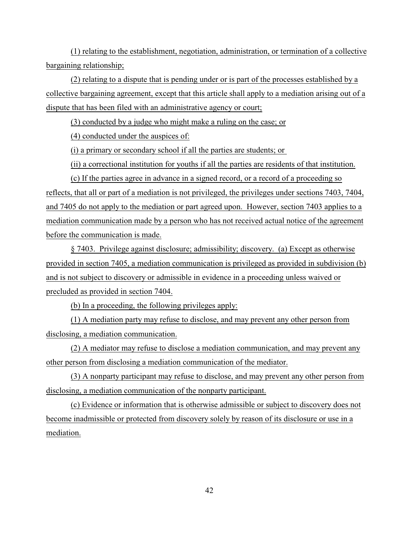(1) relating to the establishment, negotiation, administration, or termination of a collective bargaining relationship;

(2) relating to a dispute that is pending under or is part of the processes established by a collective bargaining agreement, except that this article shall apply to a mediation arising out of a dispute that has been filed with an administrative agency or court;

(3) conducted by a judge who might make a ruling on the case; or

(4) conducted under the auspices of:

(i) a primary or secondary school if all the parties are students; or

(ii) a correctional institution for youths if all the parties are residents of that institution.

(c) If the parties agree in advance in a signed record, or a record of a proceeding so reflects, that all or part of a mediation is not privileged, the privileges under sections 7403, 7404, and 7405 do not apply to the mediation or part agreed upon. However, section 7403 applies to a mediation communication made by a person who has not received actual notice of the agreement before the communication is made.

§ 7403. Privilege against disclosure; admissibility; discovery. (a) Except as otherwise provided in section 7405, a mediation communication is privileged as provided in subdivision (b) and is not subject to discovery or admissible in evidence in a proceeding unless waived or precluded as provided in section 7404.

(b) In a proceeding, the following privileges apply:

(1) A mediation party may refuse to disclose, and may prevent any other person from disclosing, a mediation communication.

(2) A mediator may refuse to disclose a mediation communication, and may prevent any other person from disclosing a mediation communication of the mediator.

(3) A nonparty participant may refuse to disclose, and may prevent any other person from disclosing, a mediation communication of the nonparty participant.

(c) Evidence or information that is otherwise admissible or subject to discovery does not become inadmissible or protected from discovery solely by reason of its disclosure or use in a mediation.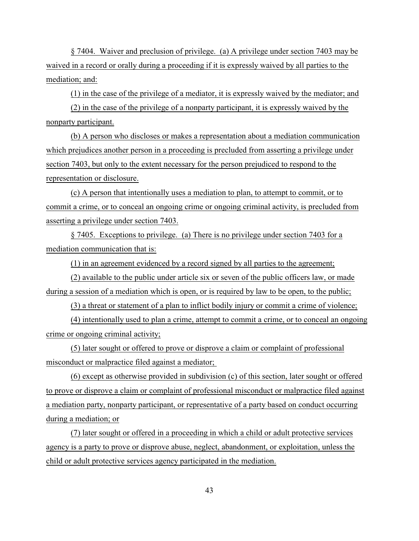§ 7404. Waiver and preclusion of privilege. (a) A privilege under section 7403 may be waived in a record or orally during a proceeding if it is expressly waived by all parties to the mediation; and:

(1) in the case of the privilege of a mediator, it is expressly waived by the mediator; and

(2) in the case of the privilege of a nonparty participant, it is expressly waived by the nonparty participant.

(b) A person who discloses or makes a representation about a mediation communication which prejudices another person in a proceeding is precluded from asserting a privilege under section 7403, but only to the extent necessary for the person prejudiced to respond to the representation or disclosure.

(c) A person that intentionally uses a mediation to plan, to attempt to commit, or to commit a crime, or to conceal an ongoing crime or ongoing criminal activity, is precluded from asserting a privilege under section 7403.

§ 7405. Exceptions to privilege. (a) There is no privilege under section 7403 for a mediation communication that is:

(1) in an agreement evidenced by a record signed by all parties to the agreement;

(2) available to the public under article six or seven of the public officers law, or made during a session of a mediation which is open, or is required by law to be open, to the public;

(3) a threat or statement of a plan to inflict bodily injury or commit a crime of violence;

(4) intentionally used to plan a crime, attempt to commit a crime, or to conceal an ongoing crime or ongoing criminal activity;

(5) later sought or offered to prove or disprove a claim or complaint of professional misconduct or malpractice filed against a mediator;

(6) except as otherwise provided in subdivision (c) of this section, later sought or offered to prove or disprove a claim or complaint of professional misconduct or malpractice filed against a mediation party, nonparty participant, or representative of a party based on conduct occurring during a mediation; or

(7) later sought or offered in a proceeding in which a child or adult protective services agency is a party to prove or disprove abuse, neglect, abandonment, or exploitation, unless the child or adult protective services agency participated in the mediation.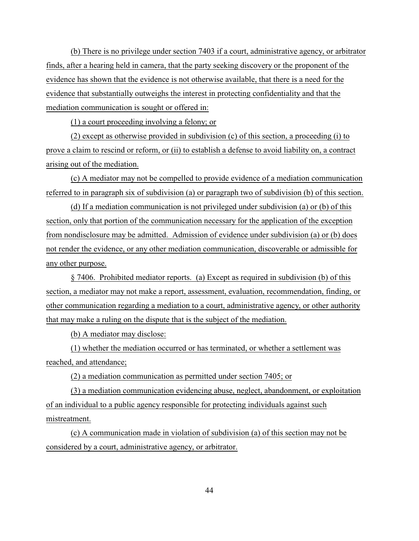(b) There is no privilege under section 7403 if a court, administrative agency, or arbitrator finds, after a hearing held in camera, that the party seeking discovery or the proponent of the evidence has shown that the evidence is not otherwise available, that there is a need for the evidence that substantially outweighs the interest in protecting confidentiality and that the mediation communication is sought or offered in:

(1) a court proceeding involving a felony; or

(2) except as otherwise provided in subdivision (c) of this section, a proceeding (i) to prove a claim to rescind or reform, or (ii) to establish a defense to avoid liability on, a contract arising out of the mediation.

(c) A mediator may not be compelled to provide evidence of a mediation communication referred to in paragraph six of subdivision (a) or paragraph two of subdivision (b) of this section.

(d) If a mediation communication is not privileged under subdivision (a) or (b) of this section, only that portion of the communication necessary for the application of the exception from nondisclosure may be admitted. Admission of evidence under subdivision (a) or (b) does not render the evidence, or any other mediation communication, discoverable or admissible for any other purpose.

§ 7406. Prohibited mediator reports. (a) Except as required in subdivision (b) of this section, a mediator may not make a report, assessment, evaluation, recommendation, finding, or other communication regarding a mediation to a court, administrative agency, or other authority that may make a ruling on the dispute that is the subject of the mediation.

(b) A mediator may disclose:

(1) whether the mediation occurred or has terminated, or whether a settlement was reached, and attendance;

(2) a mediation communication as permitted under section 7405; or

(3) a mediation communication evidencing abuse, neglect, abandonment, or exploitation of an individual to a public agency responsible for protecting individuals against such mistreatment.

(c) A communication made in violation of subdivision (a) of this section may not be considered by a court, administrative agency, or arbitrator.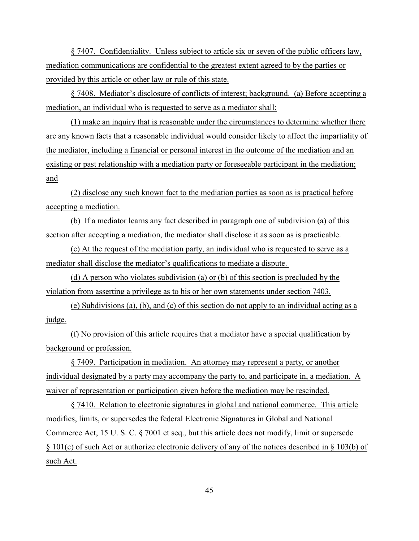§ 7407. Confidentiality. Unless subject to article six or seven of the public officers law, mediation communications are confidential to the greatest extent agreed to by the parties or provided by this article or other law or rule of this state.

§ 7408. Mediator's disclosure of conflicts of interest; background. (a) Before accepting a mediation, an individual who is requested to serve as a mediator shall:

(1) make an inquiry that is reasonable under the circumstances to determine whether there are any known facts that a reasonable individual would consider likely to affect the impartiality of the mediator, including a financial or personal interest in the outcome of the mediation and an existing or past relationship with a mediation party or foreseeable participant in the mediation; and

(2) disclose any such known fact to the mediation parties as soon as is practical before accepting a mediation.

(b) If a mediator learns any fact described in paragraph one of subdivision (a) of this section after accepting a mediation, the mediator shall disclose it as soon as is practicable.

(c) At the request of the mediation party, an individual who is requested to serve as a mediator shall disclose the mediator's qualifications to mediate a dispute.

(d) A person who violates subdivision (a) or (b) of this section is precluded by the violation from asserting a privilege as to his or her own statements under section 7403.

(e) Subdivisions (a), (b), and (c) of this section do not apply to an individual acting as a judge.

(f) No provision of this article requires that a mediator have a special qualification by background or profession.

§ 7409. Participation in mediation. An attorney may represent a party, or another individual designated by a party may accompany the party to, and participate in, a mediation. A waiver of representation or participation given before the mediation may be rescinded.

§ 7410. Relation to electronic signatures in global and national commerce. This article modifies, limits, or supersedes the federal Electronic Signatures in Global and National Commerce Act, 15 U. S. C. § 7001 et seq., but this article does not modify, limit or supersede § 101(c) of such Act or authorize electronic delivery of any of the notices described in § 103(b) of such Act.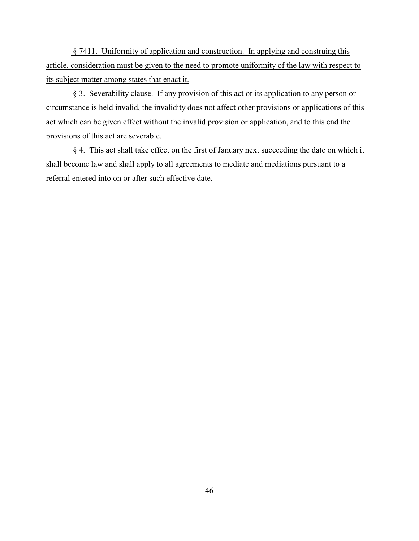§ 7411. Uniformity of application and construction. In applying and construing this article, consideration must be given to the need to promote uniformity of the law with respect to its subject matter among states that enact it.

 § 3. Severability clause. If any provision of this act or its application to any person or circumstance is held invalid, the invalidity does not affect other provisions or applications of this act which can be given effect without the invalid provision or application, and to this end the provisions of this act are severable.

 § 4. This act shall take effect on the first of January next succeeding the date on which it shall become law and shall apply to all agreements to mediate and mediations pursuant to a referral entered into on or after such effective date.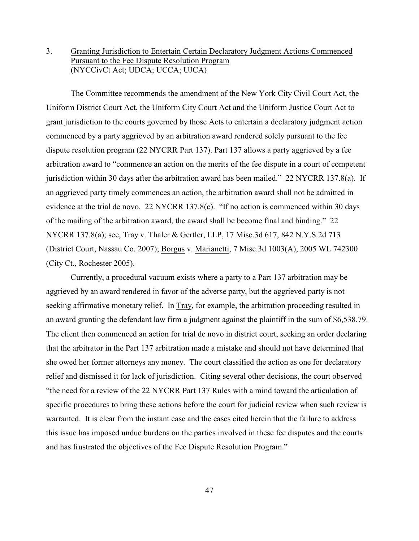# 3. Granting Jurisdiction to Entertain Certain Declaratory Judgment Actions Commenced Pursuant to the Fee Dispute Resolution Program (NYCCivCt Act; UDCA; UCCA; UJCA)

The Committee recommends the amendment of the New York City Civil Court Act, the Uniform District Court Act, the Uniform City Court Act and the Uniform Justice Court Act to grant jurisdiction to the courts governed by those Acts to entertain a declaratory judgment action commenced by a party aggrieved by an arbitration award rendered solely pursuant to the fee dispute resolution program (22 NYCRR Part 137). Part 137 allows a party aggrieved by a fee arbitration award to "commence an action on the merits of the fee dispute in a court of competent jurisdiction within 30 days after the arbitration award has been mailed." 22 NYCRR 137.8(a). If an aggrieved party timely commences an action, the arbitration award shall not be admitted in evidence at the trial de novo. 22 NYCRR 137.8(c). "If no action is commenced within 30 days of the mailing of the arbitration award, the award shall be become final and binding." 22 NYCRR 137.8(a); see, Tray v. Thaler & Gertler, LLP, 17 Misc.3d 617, 842 N.Y.S.2d 713 (District Court, Nassau Co. 2007); Borgus v. Marianetti, 7 Misc.3d 1003(A), 2005 WL 742300 (City Ct., Rochester 2005).

Currently, a procedural vacuum exists where a party to a Part 137 arbitration may be aggrieved by an award rendered in favor of the adverse party, but the aggrieved party is not seeking affirmative monetary relief. In Tray, for example, the arbitration proceeding resulted in an award granting the defendant law firm a judgment against the plaintiff in the sum of \$6,538.79. The client then commenced an action for trial de novo in district court, seeking an order declaring that the arbitrator in the Part 137 arbitration made a mistake and should not have determined that she owed her former attorneys any money. The court classified the action as one for declaratory relief and dismissed it for lack of jurisdiction. Citing several other decisions, the court observed "the need for a review of the 22 NYCRR Part 137 Rules with a mind toward the articulation of specific procedures to bring these actions before the court for judicial review when such review is warranted. It is clear from the instant case and the cases cited herein that the failure to address this issue has imposed undue burdens on the parties involved in these fee disputes and the courts and has frustrated the objectives of the Fee Dispute Resolution Program."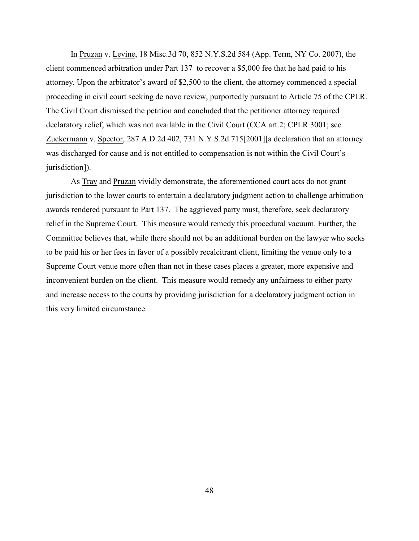In Pruzan v. Levine, 18 Misc.3d 70, 852 N.Y.S.2d 584 (App. Term, NY Co. 2007), the client commenced arbitration under Part 137 to recover a \$5,000 fee that he had paid to his attorney. Upon the arbitrator's award of \$2,500 to the client, the attorney commenced a special proceeding in civil court seeking de novo review, purportedly pursuant to Article 75 of the CPLR. The Civil Court dismissed the petition and concluded that the petitioner attorney required declaratory relief, which was not available in the Civil Court (CCA art.2; CPLR 3001; see Zuckermann v. Spector, 287 A.D.2d 402, 731 N.Y.S.2d 715[2001][a declaration that an attorney was discharged for cause and is not entitled to compensation is not within the Civil Court's jurisdiction]).

As Tray and Pruzan vividly demonstrate, the aforementioned court acts do not grant jurisdiction to the lower courts to entertain a declaratory judgment action to challenge arbitration awards rendered pursuant to Part 137. The aggrieved party must, therefore, seek declaratory relief in the Supreme Court. This measure would remedy this procedural vacuum. Further, the Committee believes that, while there should not be an additional burden on the lawyer who seeks to be paid his or her fees in favor of a possibly recalcitrant client, limiting the venue only to a Supreme Court venue more often than not in these cases places a greater, more expensive and inconvenient burden on the client. This measure would remedy any unfairness to either party and increase access to the courts by providing jurisdiction for a declaratory judgment action in this very limited circumstance.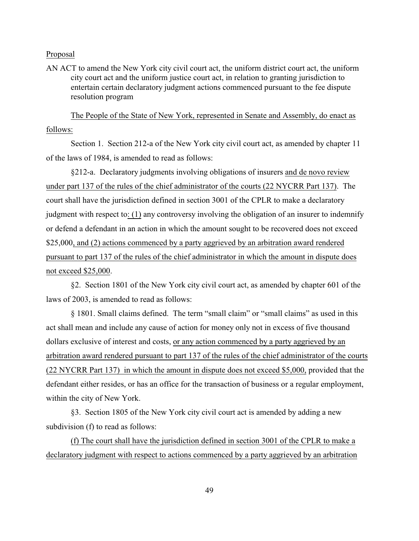AN ACT to amend the New York city civil court act, the uniform district court act, the uniform city court act and the uniform justice court act, in relation to granting jurisdiction to entertain certain declaratory judgment actions commenced pursuant to the fee dispute resolution program

The People of the State of New York, represented in Senate and Assembly, do enact as follows:

Section 1. Section 212-a of the New York city civil court act, as amended by chapter 11 of the laws of 1984, is amended to read as follows:

§212-a. Declaratory judgments involving obligations of insurers and de novo review under part 137 of the rules of the chief administrator of the courts (22 NYCRR Part 137). The court shall have the jurisdiction defined in [section 3001 of the CPLR](file:///|//_top) to make a declaratory judgment with respect to: (1) any controversy involving the obligation of an insurer to indemnify or defend a defendant in an action in which the amount sought to be recovered does not exceed \$25,000, and (2) actions commenced by a party aggrieved by an arbitration award rendered pursuant to part 137 of the rules of the chief administrator in which the amount in dispute does not exceed \$25,000.

§2. Section 1801 of the New York city civil court act, as amended by chapter 601 of the laws of 2003, is amended to read as follows:

§ 1801. Small claims defined. The term "small claim" or "small claims" as used in this act shall mean and include any cause of action for money only not in excess of five thousand dollars exclusive of interest and costs, or any action commenced by a party aggrieved by an arbitration award rendered pursuant to part 137 of the rules of the chief administrator of the courts (22 NYCRR Part 137) in which the amount in dispute does not exceed \$5,000, provided that the defendant either resides, or has an office for the transaction of business or a regular employment, within the city of New York.

§3. Section 1805 of the New York city civil court act is amended by adding a new subdivision (f) to read as follows:

(f) The court shall have the jurisdiction defined in section 3001 of the CPLR to make a declaratory judgment with respect to actions commenced by a party aggrieved by an arbitration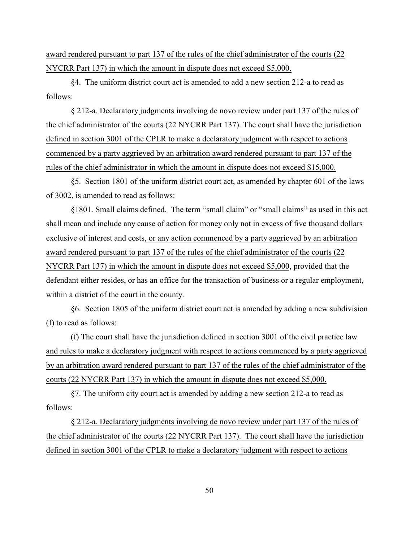award rendered pursuant to part 137 of the rules of the chief administrator of the courts (22 NYCRR Part 137) in which the amount in dispute does not exceed \$5,000.

§4. The uniform district court act is amended to add a new section 212-a to read as follows:

[§ 212-a](file:///|//_top). Declaratory judgments involving de novo review under part 137 of the rules of the chief administrator of the courts (22 NYCRR Part 137). The court shall have the jurisdiction defined in section 3001 of the CPLR to make a declaratory judgment with respect to actions commenced by a party aggrieved by an arbitration award rendered pursuant to part 137 of the rules of the chief administrator in which the amount in dispute does not exceed \$15,000.

§5. Section 1801 of the uniform district court act, as amended by chapter 601 of the laws of 3002, is amended to read as follows:

§1801. Small claims defined. The term "small claim" or "small claims" as used in this act shall mean and include any cause of action for money only not in excess of five thousand dollars exclusive of interest and costs, or any action commenced by a party aggrieved by an arbitration award rendered pursuant to part 137 of the rules of the chief administrator of the courts (22 NYCRR Part 137) in which the amount in dispute does not exceed \$5,000, provided that the defendant either resides, or has an office for the transaction of business or a regular employment, within a district of the court in the county.

§6. Section 1805 of the uniform district court act is amended by adding a new subdivision (f) to read as follows:

(f) The court shall have the jurisdiction defined in section 3001 of the civil practice law and rules to make a declaratory judgment with respect to actions commenced by a party aggrieved by an arbitration award rendered pursuant to part 137 of the rules of the chief administrator of the courts (22 NYCRR Part 137) in which the amount in dispute does not exceed \$5,000.

§7. The uniform city court act is amended by adding a new section 212-a to read as follows:

§ 212-a. Declaratory judgments involving de novo review under part 137 of the rules of the chief administrator of the courts (22 NYCRR Part 137). The court shall have the jurisdiction defined in section 3001 of the CPLR to make a declaratory judgment with respect to actions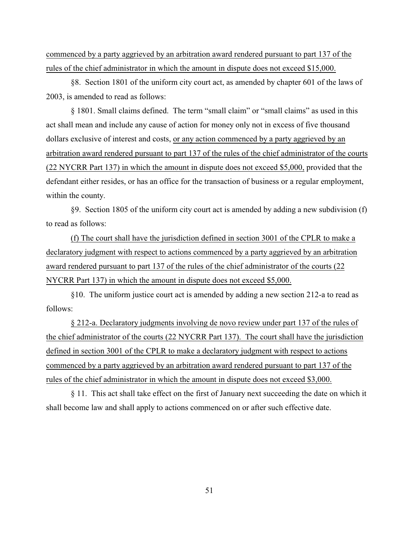commenced by a party aggrieved by an arbitration award rendered pursuant to part 137 of the rules of the chief administrator in which the amount in dispute does not exceed \$15,000.

§8. Section 1801 of the uniform city court act, as amended by chapter 601 of the laws of 2003, is amended to read as follows:

§ 1801. Small claims defined. The term "small claim" or "small claims" as used in this act shall mean and include any cause of action for money only not in excess of five thousand dollars exclusive of interest and costs, or any action commenced by a party aggrieved by an arbitration award rendered pursuant to part 137 of the rules of the chief administrator of the courts (22 NYCRR Part 137) in which the amount in dispute does not exceed \$5,000, provided that the defendant either resides, or has an office for the transaction of business or a regular employment, within the county.

§9. Section 1805 of the uniform city court act is amended by adding a new subdivision (f) to read as follows:

(f) The court shall have the jurisdiction defined in section 3001 of the CPLR to make a declaratory judgment with respect to actions commenced by a party aggrieved by an arbitration award rendered pursuant to part 137 of the rules of the chief administrator of the courts (22 NYCRR Part 137) in which the amount in dispute does not exceed \$5,000.

§10. The uniform justice court act is amended by adding a new section 212-a to read as follows:

§ 212-a. Declaratory judgments involving de novo review under part 137 of the rules of the chief administrator of the courts (22 NYCRR Part 137). The court shall have the jurisdiction defined in section 3001 of the CPLR to make a declaratory judgment with respect to actions commenced by a party aggrieved by an arbitration award rendered pursuant to part 137 of the rules of the chief administrator in which the amount in dispute does not exceed \$3,000.

§ 11. This act shall take effect on the first of January next succeeding the date on which it shall become law and shall apply to actions commenced on or after such effective date.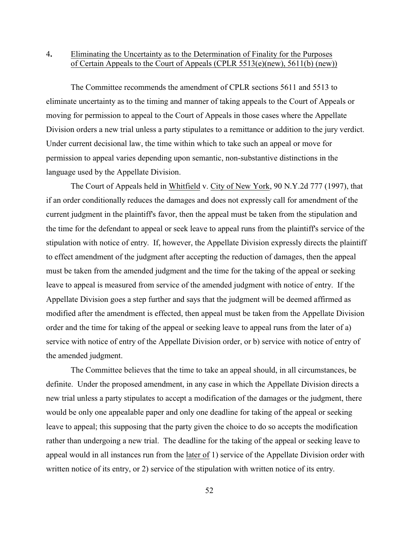# 4**.** Eliminating the Uncertainty as to the Determination of Finality for the Purposes of Certain Appeals to the Court of Appeals (CPLR 5513(e)(new), 5611(b) (new))

The Committee recommends the amendment of CPLR sections 5611 and 5513 to eliminate uncertainty as to the timing and manner of taking appeals to the Court of Appeals or moving for permission to appeal to the Court of Appeals in those cases where the Appellate Division orders a new trial unless a party stipulates to a remittance or addition to the jury verdict. Under current decisional law, the time within which to take such an appeal or move for permission to appeal varies depending upon semantic, non-substantive distinctions in the language used by the Appellate Division.

The Court of Appeals held in Whitfield v. City of New York, 90 N.Y.2d 777 (1997), that if an order conditionally reduces the damages and does not expressly call for amendment of the current judgment in the plaintiff's favor, then the appeal must be taken from the stipulation and the time for the defendant to appeal or seek leave to appeal runs from the plaintiff's service of the stipulation with notice of entry. If, however, the Appellate Division expressly directs the plaintiff to effect amendment of the judgment after accepting the reduction of damages, then the appeal must be taken from the amended judgment and the time for the taking of the appeal or seeking leave to appeal is measured from service of the amended judgment with notice of entry. If the Appellate Division goes a step further and says that the judgment will be deemed affirmed as modified after the amendment is effected, then appeal must be taken from the Appellate Division order and the time for taking of the appeal or seeking leave to appeal runs from the later of a) service with notice of entry of the Appellate Division order, or b) service with notice of entry of the amended judgment.

The Committee believes that the time to take an appeal should, in all circumstances, be definite. Under the proposed amendment, in any case in which the Appellate Division directs a new trial unless a party stipulates to accept a modification of the damages or the judgment, there would be only one appealable paper and only one deadline for taking of the appeal or seeking leave to appeal; this supposing that the party given the choice to do so accepts the modification rather than undergoing a new trial. The deadline for the taking of the appeal or seeking leave to appeal would in all instances run from the later of 1) service of the Appellate Division order with written notice of its entry, or 2) service of the stipulation with written notice of its entry.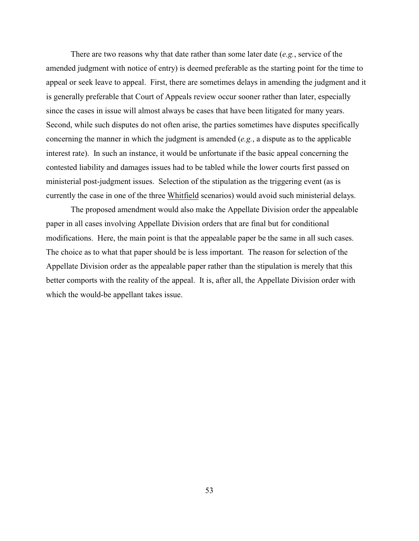There are two reasons why that date rather than some later date (*e.g.*, service of the amended judgment with notice of entry) is deemed preferable as the starting point for the time to appeal or seek leave to appeal. First, there are sometimes delays in amending the judgment and it is generally preferable that Court of Appeals review occur sooner rather than later, especially since the cases in issue will almost always be cases that have been litigated for many years. Second, while such disputes do not often arise, the parties sometimes have disputes specifically concerning the manner in which the judgment is amended (*e.g.*, a dispute as to the applicable interest rate). In such an instance, it would be unfortunate if the basic appeal concerning the contested liability and damages issues had to be tabled while the lower courts first passed on ministerial post-judgment issues. Selection of the stipulation as the triggering event (as is currently the case in one of the three Whitfield scenarios) would avoid such ministerial delays.

The proposed amendment would also make the Appellate Division order the appealable paper in all cases involving Appellate Division orders that are final but for conditional modifications. Here, the main point is that the appealable paper be the same in all such cases. The choice as to what that paper should be is less important. The reason for selection of the Appellate Division order as the appealable paper rather than the stipulation is merely that this better comports with the reality of the appeal. It is, after all, the Appellate Division order with which the would-be appellant takes issue.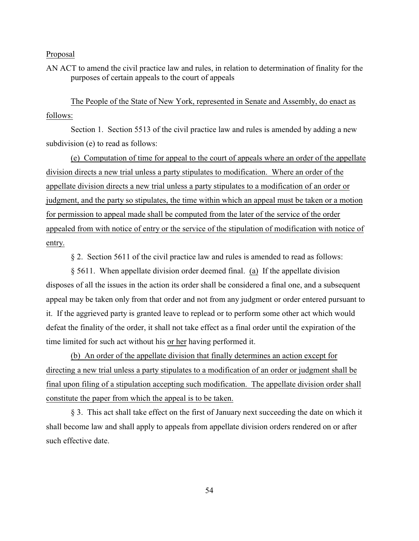AN ACT to amend the civil practice law and rules, in relation to determination of finality for the purposes of certain appeals to the court of appeals

The People of the State of New York, represented in Senate and Assembly, do enact as follows:

Section 1. Section 5513 of the civil practice law and rules is amended by adding a new subdivision (e) to read as follows:

(e) Computation of time for appeal to the court of appeals where an order of the appellate division directs a new trial unless a party stipulates to modification. Where an order of the appellate division directs a new trial unless a party stipulates to a modification of an order or judgment, and the party so stipulates, the time within which an appeal must be taken or a motion for permission to appeal made shall be computed from the later of the service of the order appealed from with notice of entry or the service of the stipulation of modification with notice of entry.

§ 2. Section 5611 of the civil practice law and rules is amended to read as follows:

§ 5611. When appellate division order deemed final. (a) If the appellate division disposes of all the issues in the action its order shall be considered a final one, and a subsequent appeal may be taken only from that order and not from any judgment or order entered pursuant to it. If the aggrieved party is granted leave to replead or to perform some other act which would defeat the finality of the order, it shall not take effect as a final order until the expiration of the time limited for such act without his or her having performed it.

(b) An order of the appellate division that finally determines an action except for directing a new trial unless a party stipulates to a modification of an order or judgment shall be final upon filing of a stipulation accepting such modification. The appellate division order shall constitute the paper from which the appeal is to be taken.

§ 3. This act shall take effect on the first of January next succeeding the date on which it shall become law and shall apply to appeals from appellate division orders rendered on or after such effective date.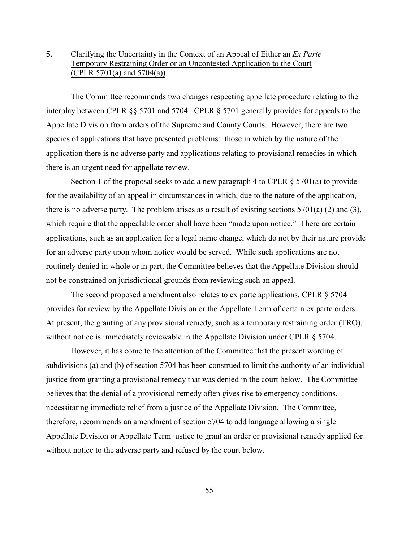# **5.** Clarifying the Uncertainty in the Context of an Appeal of Either an *Ex Parte* Temporary Restraining Order or an Uncontested Application to the Court (CPLR 5701(a) and 5704(a))

The Committee recommends two changes respecting appellate procedure relating to the interplay between CPLR §§ 5701 and 5704. CPLR § 5701 generally provides for appeals to the Appellate Division from orders of the Supreme and County Courts. However, there are two species of applications that have presented problems: those in which by the nature of the application there is no adverse party and applications relating to provisional remedies in which there is an urgent need for appellate review.

Section 1 of the proposal seeks to add a new paragraph 4 to CPLR  $\S$  5701(a) to provide for the availability of an appeal in circumstances in which, due to the nature of the application, there is no adverse party. The problem arises as a result of existing sections 5701(a) (2) and (3), which require that the appealable order shall have been "made upon notice." There are certain applications, such as an application for a legal name change, which do not by their nature provide for an adverse party upon whom notice would be served. While such applications are not routinely denied in whole or in part, the Committee believes that the Appellate Division should not be constrained on jurisdictional grounds from reviewing such an appeal.

The second proposed amendment also relates to ex parte applications. CPLR § 5704 provides for review by the Appellate Division or the Appellate Term of certain ex parte orders. At present, the granting of any provisional remedy, such as a temporary restraining order (TRO), without notice is immediately reviewable in the Appellate Division under CPLR § 5704.

However, it has come to the attention of the Committee that the present wording of subdivisions (a) and (b) of section 5704 has been construed to limit the authority of an individual justice from granting a provisional remedy that was denied in the court below. The Committee believes that the denial of a provisional remedy often gives rise to emergency conditions, necessitating immediate relief from a justice of the Appellate Division. The Committee, therefore, recommends an amendment of section 5704 to add language allowing a single Appellate Division or Appellate Term justice to grant an order or provisional remedy applied for without notice to the adverse party and refused by the court below.

55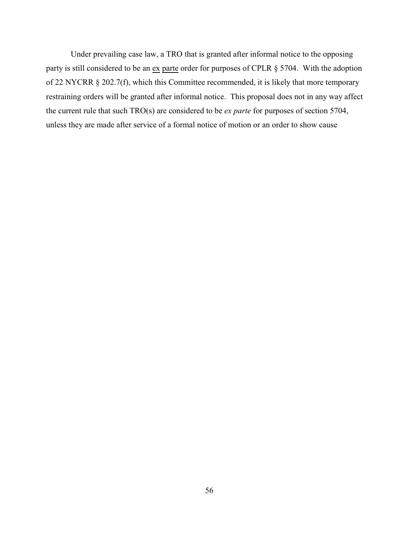Under prevailing case law, a TRO that is granted after informal notice to the opposing party is still considered to be an ex parte order for purposes of CPLR § 5704. With the adoption of 22 NYCRR § 202.7(f), which this Committee recommended, it is likely that more temporary restraining orders will be granted after informal notice. This proposal does not in any way affect the current rule that such TRO(s) are considered to be *ex parte* for purposes of section 5704, unless they are made after service of a formal notice of motion or an order to show cause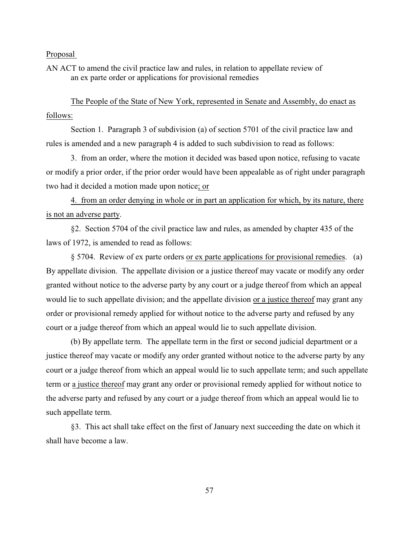AN ACT to amend the civil practice law and rules, in relation to appellate review of an ex parte order or applications for provisional remedies

The People of the State of New York, represented in Senate and Assembly, do enact as follows:

Section 1. Paragraph 3 of subdivision (a) of section 5701 of the civil practice law and rules is amended and a new paragraph 4 is added to such subdivision to read as follows:

3. from an order, where the motion it decided was based upon notice, refusing to vacate or modify a prior order, if the prior order would have been appealable as of right under paragraph two had it decided a motion made upon notice; or

4. from an order denying in whole or in part an application for which, by its nature, there is not an adverse party.

§2. Section 5704 of the civil practice law and rules, as amended by chapter 435 of the laws of 1972, is amended to read as follows:

§ 5704. Review of ex parte orders or ex parte applications for provisional remedies. (a) By appellate division. The appellate division or a justice thereof may vacate or modify any order granted without notice to the adverse party by any court or a judge thereof from which an appeal would lie to such appellate division; and the appellate division or a justice thereof may grant any order or provisional remedy applied for without notice to the adverse party and refused by any court or a judge thereof from which an appeal would lie to such appellate division.

(b) By appellate term. The appellate term in the first or second judicial department or a justice thereof may vacate or modify any order granted without notice to the adverse party by any court or a judge thereof from which an appeal would lie to such appellate term; and such appellate term or a justice thereof may grant any order or provisional remedy applied for without notice to the adverse party and refused by any court or a judge thereof from which an appeal would lie to such appellate term.

§3. This act shall take effect on the first of January next succeeding the date on which it shall have become a law.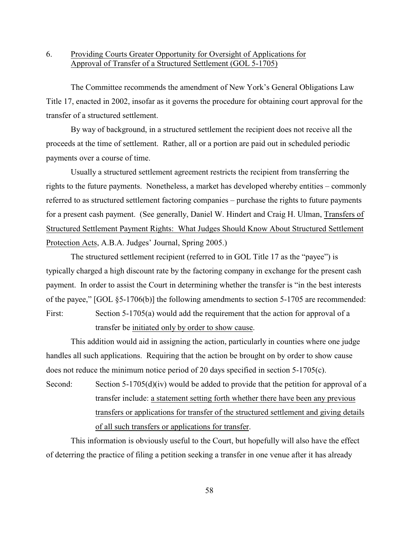# 6. Providing Courts Greater Opportunity for Oversight of Applications for Approval of Transfer of a Structured Settlement (GOL 5-1705)

The Committee recommends the amendment of New York's General Obligations Law Title 17, enacted in 2002, insofar as it governs the procedure for obtaining court approval for the transfer of a structured settlement.

By way of background, in a structured settlement the recipient does not receive all the proceeds at the time of settlement. Rather, all or a portion are paid out in scheduled periodic payments over a course of time.

Usually a structured settlement agreement restricts the recipient from transferring the rights to the future payments. Nonetheless, a market has developed whereby entities – commonly referred to as structured settlement factoring companies – purchase the rights to future payments for a present cash payment. (See generally, Daniel W. Hindert and Craig H. Ulman, Transfers of Structured Settlement Payment Rights: What Judges Should Know About Structured Settlement Protection Acts, A.B.A. Judges' Journal, Spring 2005.)

The structured settlement recipient (referred to in GOL Title 17 as the "payee") is typically charged a high discount rate by the factoring company in exchange for the present cash payment. In order to assist the Court in determining whether the transfer is "in the best interests of the payee," [GOL §5-1706(b)] the following amendments to section 5-1705 are recommended:

First: Section 5-1705(a) would add the requirement that the action for approval of a transfer be initiated only by order to show cause.

This addition would aid in assigning the action, particularly in counties where one judge handles all such applications. Requiring that the action be brought on by order to show cause does not reduce the minimum notice period of 20 days specified in section 5-1705(c).

Second: Section 5-1705(d)(iv) would be added to provide that the petition for approval of a transfer include: a statement setting forth whether there have been any previous transfers or applications for transfer of the structured settlement and giving details of all such transfers or applications for transfer.

This information is obviously useful to the Court, but hopefully will also have the effect of deterring the practice of filing a petition seeking a transfer in one venue after it has already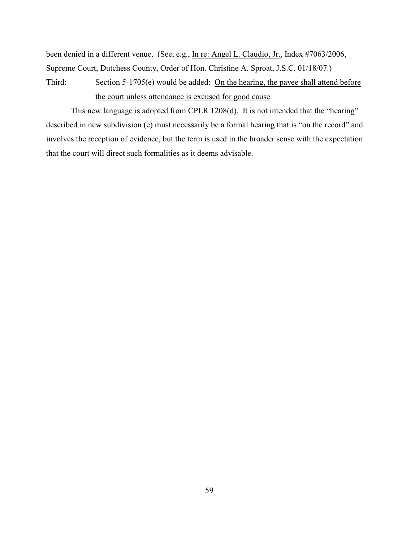been denied in a different venue. (See, e.g., In re: Angel L. Claudio, Jr., Index #7063/2006, Supreme Court, Dutchess County, Order of Hon. Christine A. Sproat, J.S.C. 01/18/07.)

Third: Section 5-1705(e) would be added: On the hearing, the payee shall attend before the court unless attendance is excused for good cause.

This new language is adopted from CPLR 1208(d). It is not intended that the "hearing" described in new subdivision (e) must necessarily be a formal hearing that is "on the record" and involves the reception of evidence, but the term is used in the broader sense with the expectation that the court will direct such formalities as it deems advisable.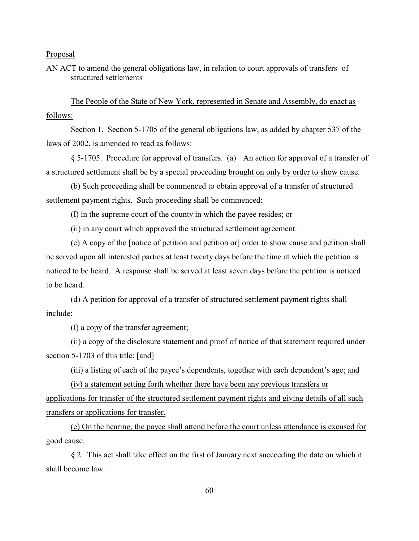AN ACT to amend the general obligations law, in relation to court approvals of transfers of structured settlements

The People of the State of New York, represented in Senate and Assembly, do enact as follows:

Section 1. Section 5-1705 of the general obligations law, as added by chapter 537 of the laws of 2002, is amended to read as follows:

§ 5-1705. Procedure for approval of transfers. (a) An action for approval of a transfer of a structured settlement shall be by a special proceeding brought on only by order to show cause.

(b) Such proceeding shall be commenced to obtain approval of a transfer of structured settlement payment rights. Such proceeding shall be commenced:

(I) in the supreme court of the county in which the payee resides; or

(ii) in any court which approved the structured settlement agreement.

(c) A copy of the [notice of petition and petition or] order to show cause and petition shall be served upon all interested parties at least twenty days before the time at which the petition is noticed to be heard. A response shall be served at least seven days before the petition is noticed to be heard.

(d) A petition for approval of a transfer of structured settlement payment rights shall include:

(I) a copy of the transfer agreement;

(ii) a copy of the disclosure statement and proof of notice of that statement required under section 5-1703 of this title; [and]

(iii) a listing of each of the payee's dependents, together with each dependent's age; and

(iv) a statement setting forth whether there have been any previous transfers or applications for transfer of the structured settlement payment rights and giving details of all such transfers or applications for transfer.

(e) On the hearing, the payee shall attend before the court unless attendance is excused for good cause.

§ 2. This act shall take effect on the first of January next succeeding the date on which it shall become law.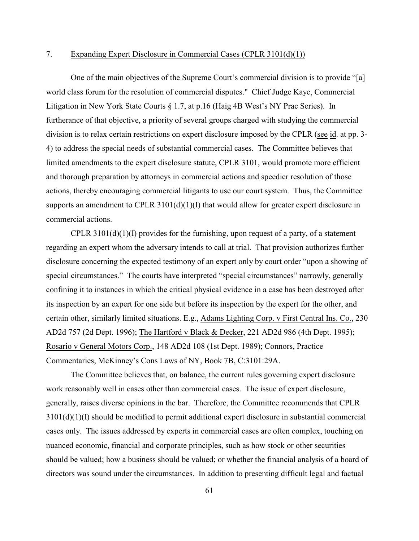## 7. Expanding Expert Disclosure in Commercial Cases (CPLR 3101(d)(1))

One of the main objectives of the Supreme Court's commercial division is to provide "[a] world class forum for the resolution of commercial disputes." Chief Judge Kaye, Commercial Litigation in New York State Courts § 1.7, at p.16 (Haig 4B West's NY Prac Series). In furtherance of that objective, a priority of several groups charged with studying the commercial division is to relax certain restrictions on expert disclosure imposed by the CPLR (see id. at pp. 3- 4) to address the special needs of substantial commercial cases. The Committee believes that limited amendments to the expert disclosure statute, CPLR 3101, would promote more efficient and thorough preparation by attorneys in commercial actions and speedier resolution of those actions, thereby encouraging commercial litigants to use our court system. Thus, the Committee supports an amendment to CPLR  $3101(d)(1)(I)$  that would allow for greater expert disclosure in commercial actions.

CPLR  $3101(d)(1)(I)$  provides for the furnishing, upon request of a party, of a statement regarding an expert whom the adversary intends to call at trial. That provision authorizes further disclosure concerning the expected testimony of an expert only by court order "upon a showing of special circumstances." The courts have interpreted "special circumstances" narrowly, generally confining it to instances in which the critical physical evidence in a case has been destroyed after its inspection by an expert for one side but before its inspection by the expert for the other, and certain other, similarly limited situations. E.g., Adams Lighting Corp. v First Central Ins. Co., 230 AD2d 757 (2d Dept. 1996); The Hartford v Black & Decker, 221 AD2d 986 (4th Dept. 1995); Rosario v General Motors Corp., 148 AD2d 108 (1st Dept. 1989); Connors, Practice Commentaries, McKinney's Cons Laws of NY, Book 7B, C:3101:29A.

The Committee believes that, on balance, the current rules governing expert disclosure work reasonably well in cases other than commercial cases. The issue of expert disclosure, generally, raises diverse opinions in the bar.Therefore, the Committee recommends that CPLR 3101(d)(1)(I) should be modified to permit additional expert disclosure in substantial commercial cases only. The issues addressed by experts in commercial cases are often complex, touching on nuanced economic, financial and corporate principles, such as how stock or other securities should be valued; how a business should be valued; or whether the financial analysis of a board of directors was sound under the circumstances. In addition to presenting difficult legal and factual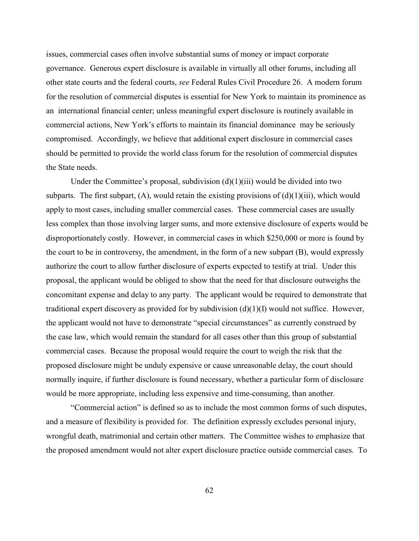issues, commercial cases often involve substantial sums of money or impact corporate governance. Generous expert disclosure is available in virtually all other forums, including all other state courts and the federal courts, *see* Federal Rules Civil Procedure 26. A modern forum for the resolution of commercial disputes is essential for New York to maintain its prominence as an international financial center; unless meaningful expert disclosure is routinely available in commercial actions, New York's efforts to maintain its financial dominance may be seriously compromised. Accordingly, we believe that additional expert disclosure in commercial cases should be permitted to provide the world class forum for the resolution of commercial disputes the State needs.

Under the Committee's proposal, subdivision  $(d)(1)(iii)$  would be divided into two subparts. The first subpart,  $(A)$ , would retain the existing provisions of  $(d)(1)(iii)$ , which would apply to most cases, including smaller commercial cases. These commercial cases are usually less complex than those involving larger sums, and more extensive disclosure of experts would be disproportionately costly. However, in commercial cases in which \$250,000 or more is found by the court to be in controversy, the amendment, in the form of a new subpart (B), would expressly authorize the court to allow further disclosure of experts expected to testify at trial. Under this proposal, the applicant would be obliged to show that the need for that disclosure outweighs the concomitant expense and delay to any party. The applicant would be required to demonstrate that traditional expert discovery as provided for by subdivision (d)(1)(I) would not suffice. However, the applicant would not have to demonstrate "special circumstances" as currently construed by the case law, which would remain the standard for all cases other than this group of substantial commercial cases. Because the proposal would require the court to weigh the risk that the proposed disclosure might be unduly expensive or cause unreasonable delay, the court should normally inquire, if further disclosure is found necessary, whether a particular form of disclosure would be more appropriate, including less expensive and time-consuming, than another.

"Commercial action" is defined so as to include the most common forms of such disputes, and a measure of flexibility is provided for. The definition expressly excludes personal injury, wrongful death, matrimonial and certain other matters. The Committee wishes to emphasize that the proposed amendment would not alter expert disclosure practice outside commercial cases. To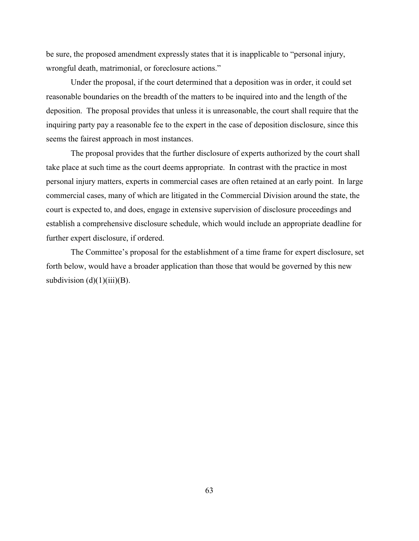be sure, the proposed amendment expressly states that it is inapplicable to "personal injury, wrongful death, matrimonial, or foreclosure actions."

Under the proposal, if the court determined that a deposition was in order, it could set reasonable boundaries on the breadth of the matters to be inquired into and the length of the deposition. The proposal provides that unless it is unreasonable, the court shall require that the inquiring party pay a reasonable fee to the expert in the case of deposition disclosure, since this seems the fairest approach in most instances.

The proposal provides that the further disclosure of experts authorized by the court shall take place at such time as the court deems appropriate. In contrast with the practice in most personal injury matters, experts in commercial cases are often retained at an early point. In large commercial cases, many of which are litigated in the Commercial Division around the state, the court is expected to, and does, engage in extensive supervision of disclosure proceedings and establish a comprehensive disclosure schedule, which would include an appropriate deadline for further expert disclosure, if ordered.

The Committee's proposal for the establishment of a time frame for expert disclosure, set forth below, would have a broader application than those that would be governed by this new subdivision  $(d)(1)(iii)(B)$ .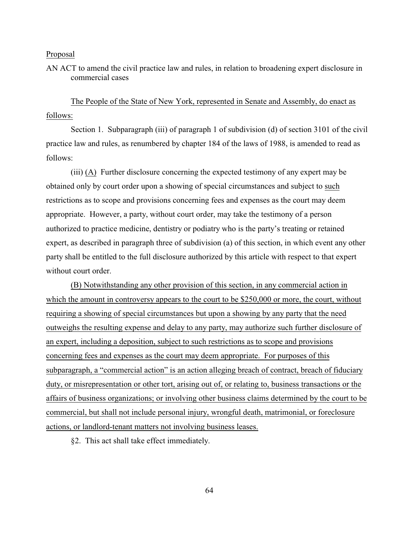AN ACT to amend the civil practice law and rules, in relation to broadening expert disclosure in commercial cases

The People of the State of New York, represented in Senate and Assembly, do enact as follows:

Section 1. Subparagraph (iii) of paragraph 1 of subdivision (d) of section 3101 of the civil practice law and rules, as renumbered by chapter 184 of the laws of 1988, is amended to read as follows:

(iii) (A) Further disclosure concerning the expected testimony of any expert may be obtained only by court order upon a showing of special circumstances and subject to such restrictions as to scope and provisions concerning fees and expenses as the court may deem appropriate. However, a party, without court order, may take the testimony of a person authorized to practice medicine, dentistry or podiatry who is the party's treating or retained expert, as described in paragraph three of subdivision (a) of this section, in which event any other party shall be entitled to the full disclosure authorized by this article with respect to that expert without court order.

(B) Notwithstanding any other provision of this section, in any commercial action in which the amount in controversy appears to the court to be \$250,000 or more, the court, without requiring a showing of special circumstances but upon a showing by any party that the need outweighs the resulting expense and delay to any party, may authorize such further disclosure of an expert, including a deposition, subject to such restrictions as to scope and provisions concerning fees and expenses as the court may deem appropriate. For purposes of this subparagraph, a "commercial action" is an action alleging breach of contract, breach of fiduciary duty, or misrepresentation or other tort, arising out of, or relating to, business transactions or the affairs of business organizations; or involving other business claims determined by the court to be commercial, but shall not include personal injury, wrongful death, matrimonial, or foreclosure actions, or landlord-tenant matters not involving business leases.

§2. This act shall take effect immediately.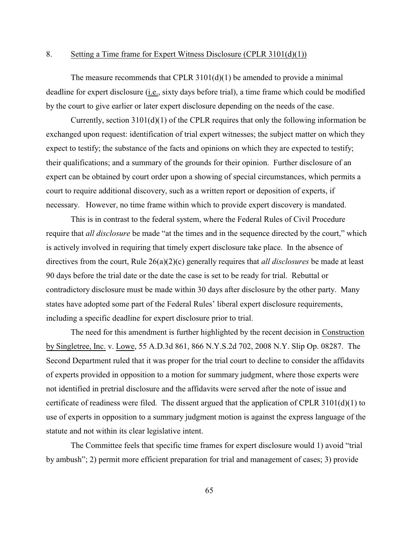#### 8. Setting a Time frame for Expert Witness Disclosure (CPLR 3101(d)(1))

The measure recommends that CPLR  $3101(d)(1)$  be amended to provide a minimal deadline for expert disclosure (i.e., sixty days before trial), a time frame which could be modified by the court to give earlier or later expert disclosure depending on the needs of the case.

Currently, section 3101(d)(1) of the CPLR requires that only the following information be exchanged upon request: identification of trial expert witnesses; the subject matter on which they expect to testify; the substance of the facts and opinions on which they are expected to testify; their qualifications; and a summary of the grounds for their opinion. Further disclosure of an expert can be obtained by court order upon a showing of special circumstances, which permits a court to require additional discovery, such as a written report or deposition of experts, if necessary. However, no time frame within which to provide expert discovery is mandated.

This is in contrast to the federal system, where the Federal Rules of Civil Procedure require that *all disclosure* be made "at the times and in the sequence directed by the court," which is actively involved in requiring that timely expert disclosure take place. In the absence of directives from the court, Rule 26(a)(2)(c) generally requires that *all disclosures* be made at least 90 days before the trial date or the date the case is set to be ready for trial. Rebuttal or contradictory disclosure must be made within 30 days after disclosure by the other party. Many states have adopted some part of the Federal Rules' liberal expert disclosure requirements, including a specific deadline for expert disclosure prior to trial.

The need for this amendment is further highlighted by the recent decision in Construction by Singletree, Inc. v. Lowe, 55 A.D.3d 861, 866 N.Y.S.2d 702, 2008 N.Y. Slip Op. 08287. The Second Department ruled that it was proper for the trial court to decline to consider the affidavits of experts provided in opposition to a motion for summary judgment, where those experts were not identified in pretrial disclosure and the affidavits were served after the note of issue and certificate of readiness were filed. The dissent argued that the application of CPLR  $3101(d)(1)$  to use of experts in opposition to a summary judgment motion is against the express language of the statute and not within its clear legislative intent.

The Committee feels that specific time frames for expert disclosure would 1) avoid "trial by ambush"; 2) permit more efficient preparation for trial and management of cases; 3) provide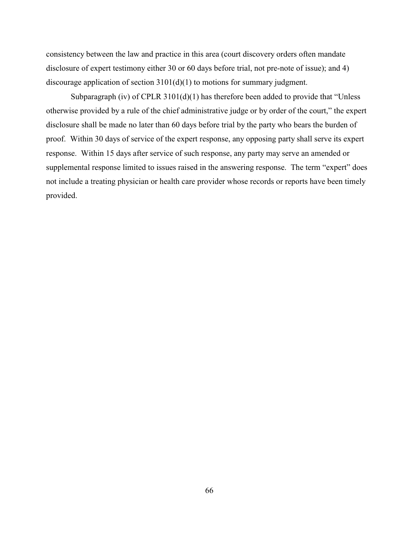consistency between the law and practice in this area (court discovery orders often mandate disclosure of expert testimony either 30 or 60 days before trial, not pre-note of issue); and 4) discourage application of section 3101(d)(1) to motions for summary judgment.

Subparagraph (iv) of CPLR 3101(d)(1) has therefore been added to provide that "Unless otherwise provided by a rule of the chief administrative judge or by order of the court," the expert disclosure shall be made no later than 60 days before trial by the party who bears the burden of proof. Within 30 days of service of the expert response, any opposing party shall serve its expert response. Within 15 days after service of such response, any party may serve an amended or supplemental response limited to issues raised in the answering response. The term "expert" does not include a treating physician or health care provider whose records or reports have been timely provided.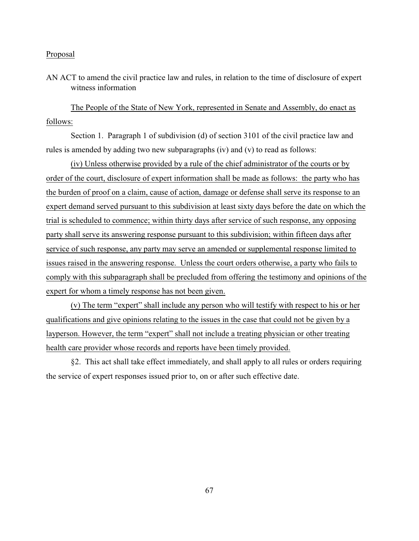AN ACT to amend the civil practice law and rules, in relation to the time of disclosure of expert witness information

The People of the State of New York, represented in Senate and Assembly, do enact as follows:

Section 1. Paragraph 1 of subdivision (d) of section 3101 of the civil practice law and rules is amended by adding two new subparagraphs (iv) and (v) to read as follows:

(iv) Unless otherwise provided by a rule of the chief administrator of the courts or by order of the court, disclosure of expert information shall be made as follows: the party who has the burden of proof on a claim, cause of action, damage or defense shall serve its response to an expert demand served pursuant to this subdivision at least sixty days before the date on which the trial is scheduled to commence; within thirty days after service of such response, any opposing party shall serve its answering response pursuant to this subdivision; within fifteen days after service of such response, any party may serve an amended or supplemental response limited to issues raised in the answering response. Unless the court orders otherwise, a party who fails to comply with this subparagraph shall be precluded from offering the testimony and opinions of the expert for whom a timely response has not been given.

(v) The term "expert" shall include any person who will testify with respect to his or her qualifications and give opinions relating to the issues in the case that could not be given by a layperson. However, the term "expert" shall not include a treating physician or other treating health care provider whose records and reports have been timely provided.

§2. This act shall take effect immediately, and shall apply to all rules or orders requiring the service of expert responses issued prior to, on or after such effective date.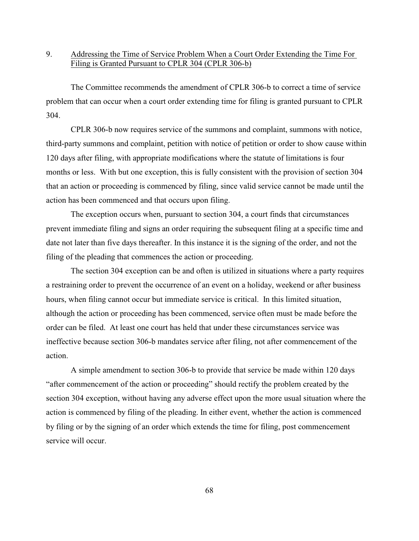# 9. Addressing the Time of Service Problem When a Court Order Extending the Time For Filing is Granted Pursuant to CPLR 304 (CPLR 306-b)

The Committee recommends the amendment of CPLR 306-b to correct a time of service problem that can occur when a court order extending time for filing is granted pursuant to CPLR 304.

CPLR 306-b now requires service of the summons and complaint, summons with notice, third-party summons and complaint, petition with notice of petition or order to show cause within 120 days after filing, with appropriate modifications where the statute of limitations is four months or less. With but one exception, this is fully consistent with the provision of section 304 that an action or proceeding is commenced by filing, since valid service cannot be made until the action has been commenced and that occurs upon filing.

The exception occurs when, pursuant to section 304, a court finds that circumstances prevent immediate filing and signs an order requiring the subsequent filing at a specific time and date not later than five days thereafter. In this instance it is the signing of the order, and not the filing of the pleading that commences the action or proceeding.

The section 304 exception can be and often is utilized in situations where a party requires a restraining order to prevent the occurrence of an event on a holiday, weekend or after business hours, when filing cannot occur but immediate service is critical. In this limited situation, although the action or proceeding has been commenced, service often must be made before the order can be filed. At least one court has held that under these circumstances service was ineffective because section 306-b mandates service after filing, not after commencement of the action.

A simple amendment to section 306-b to provide that service be made within 120 days "after commencement of the action or proceeding" should rectify the problem created by the section 304 exception, without having any adverse effect upon the more usual situation where the action is commenced by filing of the pleading. In either event, whether the action is commenced by filing or by the signing of an order which extends the time for filing, post commencement service will occur.

68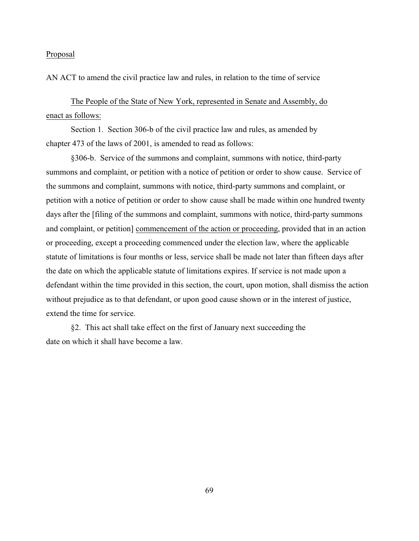AN ACT to amend the civil practice law and rules, in relation to the time of service

The People of the State of New York, represented in Senate and Assembly, do enact as follows:

Section 1. Section 306-b of the civil practice law and rules, as amended by chapter 473 of the laws of 2001, is amended to read as follows:

§306-b. Service of the summons and complaint, summons with notice, third-party summons and complaint, or petition with a notice of petition or order to show cause. Service of the summons and complaint, summons with notice, third-party summons and complaint, or petition with a notice of petition or order to show cause shall be made within one hundred twenty days after the [filing of the summons and complaint, summons with notice, third-party summons and complaint, or petition] commencement of the action or proceeding, provided that in an action or proceeding, except a proceeding commenced under the election law, where the applicable statute of limitations is four months or less, service shall be made not later than fifteen days after the date on which the applicable statute of limitations expires. If service is not made upon a defendant within the time provided in this section, the court, upon motion, shall dismiss the action without prejudice as to that defendant, or upon good cause shown or in the interest of justice, extend the time for service.

§2. This act shall take effect on the first of January next succeeding the date on which it shall have become a law.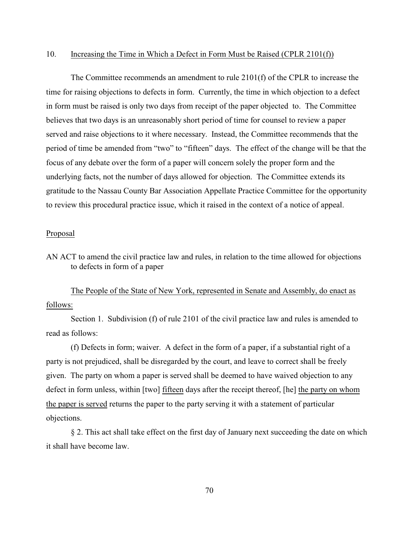### 10. Increasing the Time in Which a Defect in Form Must be Raised (CPLR 2101(f))

The Committee recommends an amendment to rule 2101(f) of the CPLR to increase the time for raising objections to defects in form. Currently, the time in which objection to a defect in form must be raised is only two days from receipt of the paper objected to. The Committee believes that two days is an unreasonably short period of time for counsel to review a paper served and raise objections to it where necessary. Instead, the Committee recommends that the period of time be amended from "two" to "fifteen" days. The effect of the change will be that the focus of any debate over the form of a paper will concern solely the proper form and the underlying facts, not the number of days allowed for objection. The Committee extends its gratitude to the Nassau County Bar Association Appellate Practice Committee for the opportunity to review this procedural practice issue, which it raised in the context of a notice of appeal.

### Proposal

AN ACT to amend the civil practice law and rules, in relation to the time allowed for objections to defects in form of a paper

The People of the State of New York, represented in Senate and Assembly, do enact as follows:

Section 1. Subdivision (f) of rule 2101 of the civil practice law and rules is amended to read as follows:

(f) Defects in form; waiver. A defect in the form of a paper, if a substantial right of a party is not prejudiced, shall be disregarded by the court, and leave to correct shall be freely given. The party on whom a paper is served shall be deemed to have waived objection to any defect in form unless, within [two] fifteen days after the receipt thereof, [he] the party on whom the paper is served returns the paper to the party serving it with a statement of particular objections.

§ 2. This act shall take effect on the first day of January next succeeding the date on which it shall have become law.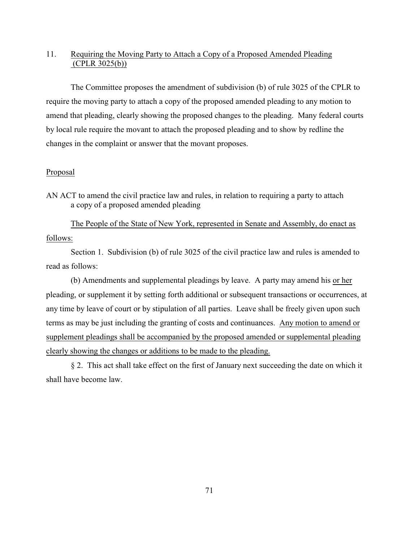# 11. Requiring the Moving Party to Attach a Copy of a Proposed Amended Pleading (CPLR 3025(b))

The Committee proposes the amendment of subdivision (b) of rule 3025 of the CPLR to require the moving party to attach a copy of the proposed amended pleading to any motion to amend that pleading, clearly showing the proposed changes to the pleading. Many federal courts by local rule require the movant to attach the proposed pleading and to show by redline the changes in the complaint or answer that the movant proposes.

### Proposal

The People of the State of New York, represented in Senate and Assembly, do enact as follows:

Section 1. Subdivision (b) of rule 3025 of the civil practice law and rules is amended to read as follows:

(b) Amendments and supplemental pleadings by leave. A party may amend his or her pleading, or supplement it by setting forth additional or subsequent transactions or occurrences, at any time by leave of court or by stipulation of all parties. Leave shall be freely given upon such terms as may be just including the granting of costs and continuances. Any motion to amend or supplement pleadings shall be accompanied by the proposed amended or supplemental pleading clearly showing the changes or additions to be made to the pleading.

§ 2. This act shall take effect on the first of January next succeeding the date on which it shall have become law.

AN ACT to amend the civil practice law and rules, in relation to requiring a party to attach a copy of a proposed amended pleading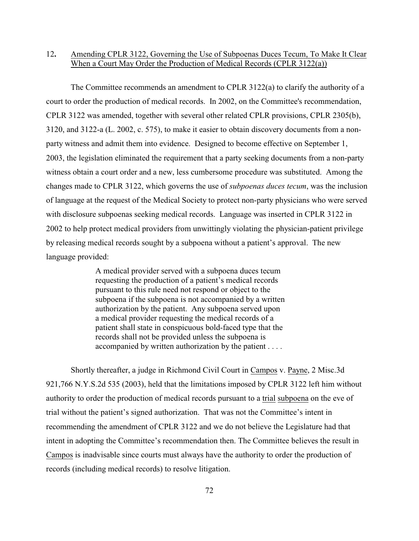## 12**.** Amending CPLR 3122, Governing the Use of Subpoenas Duces Tecum, To Make It Clear When a Court May Order the Production of Medical Records (CPLR 3122(a))

The Committee recommends an amendment to CPLR 3122(a) to clarify the authority of a court to order the production of medical records. In 2002, on the Committee's recommendation, CPLR 3122 was amended, together with several other related CPLR provisions, CPLR 2305(b), 3120, and 3122-a (L. 2002, c. 575), to make it easier to obtain discovery documents from a nonparty witness and admit them into evidence. Designed to become effective on September 1, 2003, the legislation eliminated the requirement that a party seeking documents from a non-party witness obtain a court order and a new, less cumbersome procedure was substituted. Among the changes made to CPLR 3122, which governs the use of *subpoenas duces tecum*, was the inclusion of language at the request of the Medical Society to protect non-party physicians who were served with disclosure subpoenas seeking medical records. Language was inserted in CPLR 3122 in 2002 to help protect medical providers from unwittingly violating the physician-patient privilege by releasing medical records sought by a subpoena without a patient's approval. The new language provided:

> A medical provider served with a subpoena duces tecum requesting the production of a patient's medical records pursuant to this rule need not respond or object to the subpoena if the subpoena is not accompanied by a written authorization by the patient. Any subpoena served upon a medical provider requesting the medical records of a patient shall state in conspicuous bold-faced type that the records shall not be provided unless the subpoena is accompanied by written authorization by the patient . . . .

Shortly thereafter, a judge in Richmond Civil Court in Campos v. Payne, 2 Misc.3d 921,766 N.Y.S.2d 535 (2003), held that the limitations imposed by CPLR 3122 left him without authority to order the production of medical records pursuant to a trial subpoena on the eve of trial without the patient's signed authorization. That was not the Committee's intent in recommending the amendment of CPLR 3122 and we do not believe the Legislature had that intent in adopting the Committee's recommendation then. The Committee believes the result in Campos is inadvisable since courts must always have the authority to order the production of records (including medical records) to resolve litigation.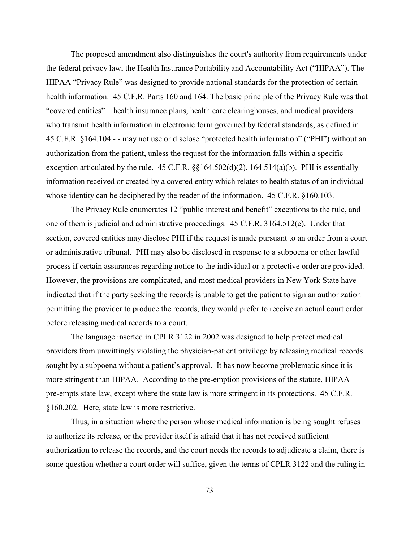The proposed amendment also distinguishes the court's authority from requirements under the federal privacy law, the Health Insurance Portability and Accountability Act ("HIPAA"). The HIPAA "Privacy Rule" was designed to provide national standards for the protection of certain health information. 45 C.F.R. Parts 160 and 164. The basic principle of the Privacy Rule was that "covered entities" – health insurance plans, health care clearinghouses, and medical providers who transmit health information in electronic form governed by federal standards, as defined in 45 C.F.R. §164.104 - - may not use or disclose "protected health information" ("PHI") without an authorization from the patient, unless the request for the information falls within a specific exception articulated by the rule.  $45$  C.F.R.  $\S$  $164.502(d)(2)$ ,  $164.514(a)(b)$ . PHI is essentially information received or created by a covered entity which relates to health status of an individual whose identity can be deciphered by the reader of the information. 45 C.F.R. §160.103.

The Privacy Rule enumerates 12 "public interest and benefit" exceptions to the rule, and one of them is judicial and administrative proceedings. 45 C.F.R. 3164.512(e). Under that section, covered entities may disclose PHI if the request is made pursuant to an order from a court or administrative tribunal. PHI may also be disclosed in response to a subpoena or other lawful process if certain assurances regarding notice to the individual or a protective order are provided. However, the provisions are complicated, and most medical providers in New York State have indicated that if the party seeking the records is unable to get the patient to sign an authorization permitting the provider to produce the records, they would prefer to receive an actual court order before releasing medical records to a court.

The language inserted in CPLR 3122 in 2002 was designed to help protect medical providers from unwittingly violating the physician-patient privilege by releasing medical records sought by a subpoena without a patient's approval. It has now become problematic since it is more stringent than HIPAA. According to the pre-emption provisions of the statute, HIPAA pre-empts state law, except where the state law is more stringent in its protections. 45 C.F.R. §160.202. Here, state law is more restrictive.

Thus, in a situation where the person whose medical information is being sought refuses to authorize its release, or the provider itself is afraid that it has not received sufficient authorization to release the records, and the court needs the records to adjudicate a claim, there is some question whether a court order will suffice, given the terms of CPLR 3122 and the ruling in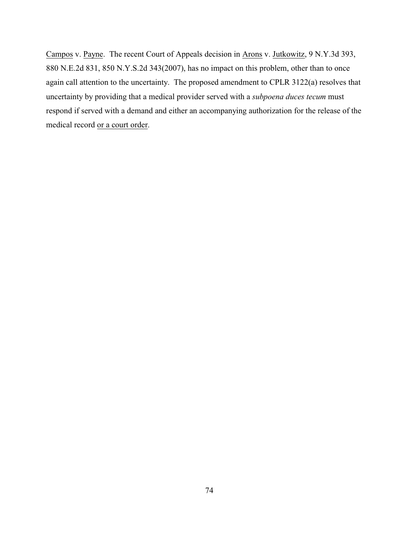Campos v. Payne. The recent Court of Appeals decision in Arons v. Jutkowitz, 9 N.Y.3d 393, 880 N.E.2d 831, 850 N.Y.S.2d 343(2007), has no impact on this problem, other than to once again call attention to the uncertainty. The proposed amendment to CPLR 3122(a) resolves that uncertainty by providing that a medical provider served with a *subpoena duces tecum* must respond if served with a demand and either an accompanying authorization for the release of the medical record or a court order.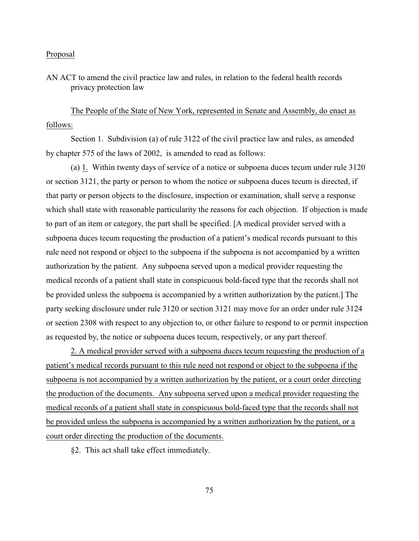AN ACT to amend the civil practice law and rules, in relation to the federal health records privacy protection law

The People of the State of New York, represented in Senate and Assembly, do enact as follows:

Section 1. Subdivision (a) of rule 3122 of the civil practice law and rules, as amended by chapter 575 of the laws of 2002, is amended to read as follows:

(a) 1. Within twenty days of service of a notice or subpoena duces tecum under rule 3120 or section 3121, the party or person to whom the notice or subpoena duces tecum is directed, if that party or person objects to the disclosure, inspection or examination, shall serve a response which shall state with reasonable particularity the reasons for each objection. If objection is made to part of an item or category, the part shall be specified. [A medical provider served with a subpoena duces tecum requesting the production of a patient's medical records pursuant to this rule need not respond or object to the subpoena if the subpoena is not accompanied by a written authorization by the patient. Any subpoena served upon a medical provider requesting the medical records of a patient shall state in conspicuous bold-faced type that the records shall not be provided unless the subpoena is accompanied by a written authorization by the patient.] The party seeking disclosure under rule 3120 or section 3121 may move for an order under rule 3124 or section 2308 with respect to any objection to, or other failure to respond to or permit inspection as requested by, the notice or subpoena duces tecum, respectively, or any part thereof.

2. A medical provider served with a subpoena duces tecum requesting the production of a patient's medical records pursuant to this rule need not respond or object to the subpoena if the subpoena is not accompanied by a written authorization by the patient, or a court order directing the production of the documents. Any subpoena served upon a medical provider requesting the medical records of a patient shall state in conspicuous bold-faced type that the records shall not be provided unless the subpoena is accompanied by a written authorization by the patient, or a court order directing the production of the documents.

§2. This act shall take effect immediately.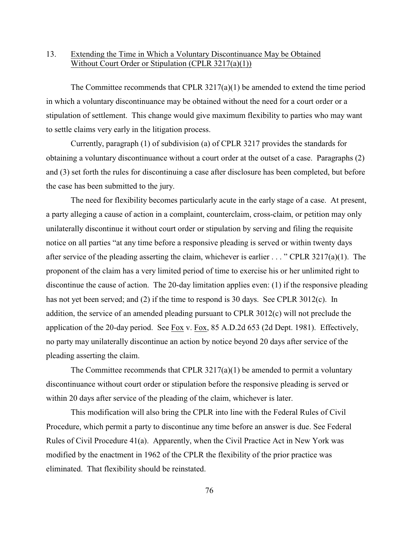## 13. Extending the Time in Which a Voluntary Discontinuance May be Obtained Without Court Order or Stipulation (CPLR 3217(a)(1))

The Committee recommends that CPLR  $3217(a)(1)$  be amended to extend the time period in which a voluntary discontinuance may be obtained without the need for a court order or a stipulation of settlement. This change would give maximum flexibility to parties who may want to settle claims very early in the litigation process.

Currently, paragraph (1) of subdivision (a) of CPLR 3217 provides the standards for obtaining a voluntary discontinuance without a court order at the outset of a case. Paragraphs (2) and (3) set forth the rules for discontinuing a case after disclosure has been completed, but before the case has been submitted to the jury.

The need for flexibility becomes particularly acute in the early stage of a case. At present, a party alleging a cause of action in a complaint, counterclaim, cross-claim, or petition may only unilaterally discontinue it without court order or stipulation by serving and filing the requisite notice on all parties "at any time before a responsive pleading is served or within twenty days after service of the pleading asserting the claim, whichever is earlier . . . " CPLR 3217(a)(1). The proponent of the claim has a very limited period of time to exercise his or her unlimited right to discontinue the cause of action. The 20-day limitation applies even: (1) if the responsive pleading has not yet been served; and (2) if the time to respond is 30 days. See CPLR 3012(c). In addition, the service of an amended pleading pursuant to CPLR 3012(c) will not preclude the application of the 20-day period. See Fox v. Fox, 85 A.D.2d 653 (2d Dept. 1981). Effectively, no party may unilaterally discontinue an action by notice beyond 20 days after service of the pleading asserting the claim.

The Committee recommends that CPLR  $3217(a)(1)$  be amended to permit a voluntary discontinuance without court order or stipulation before the responsive pleading is served or within 20 days after service of the pleading of the claim, whichever is later.

This modification will also bring the CPLR into line with the Federal Rules of Civil Procedure, which permit a party to discontinue any time before an answer is due. See Federal Rules of Civil Procedure 41(a). Apparently, when the Civil Practice Act in New York was modified by the enactment in 1962 of the CPLR the flexibility of the prior practice was eliminated. That flexibility should be reinstated.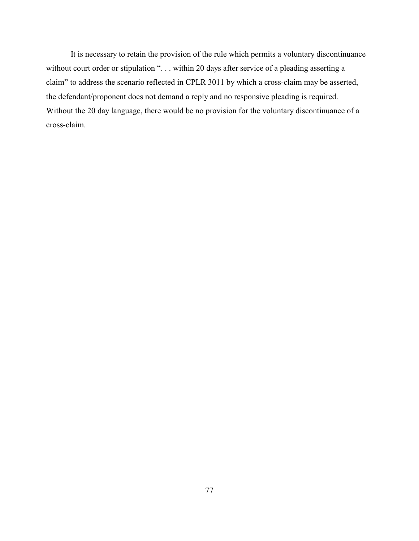It is necessary to retain the provision of the rule which permits a voluntary discontinuance without court order or stipulation "... within 20 days after service of a pleading asserting a claim" to address the scenario reflected in CPLR 3011 by which a cross-claim may be asserted, the defendant/proponent does not demand a reply and no responsive pleading is required. Without the 20 day language, there would be no provision for the voluntary discontinuance of a cross-claim.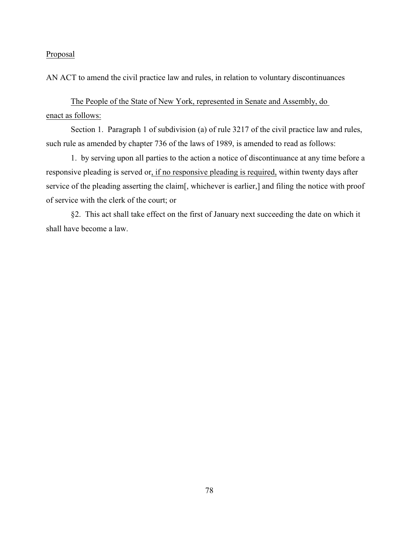AN ACT to amend the civil practice law and rules, in relation to voluntary discontinuances

The People of the State of New York, represented in Senate and Assembly, do enact as follows:

Section 1. Paragraph 1 of subdivision (a) of rule 3217 of the civil practice law and rules, such rule as amended by chapter 736 of the laws of 1989, is amended to read as follows:

1. by serving upon all parties to the action a notice of discontinuance at any time before a responsive pleading is served or, if no responsive pleading is required, within twenty days after service of the pleading asserting the claim[, whichever is earlier,] and filing the notice with proof of service with the clerk of the court; or

§2. This act shall take effect on the first of January next succeeding the date on which it shall have become a law.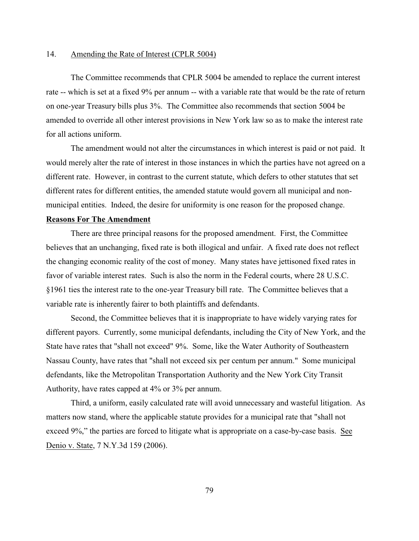#### 14. Amending the Rate of Interest (CPLR 5004)

The Committee recommends that CPLR 5004 be amended to replace the current interest rate -- which is set at a fixed 9% per annum -- with a variable rate that would be the rate of return on one-year Treasury bills plus 3%. The Committee also recommends that section 5004 be amended to override all other interest provisions in New York law so as to make the interest rate for all actions uniform.

The amendment would not alter the circumstances in which interest is paid or not paid. It would merely alter the rate of interest in those instances in which the parties have not agreed on a different rate. However, in contrast to the current statute, which defers to other statutes that set different rates for different entities, the amended statute would govern all municipal and nonmunicipal entities. Indeed, the desire for uniformity is one reason for the proposed change.

#### **Reasons For The Amendment**

There are three principal reasons for the proposed amendment. First, the Committee believes that an unchanging, fixed rate is both illogical and unfair. A fixed rate does not reflect the changing economic reality of the cost of money. Many states have jettisoned fixed rates in favor of variable interest rates. Such is also the norm in the Federal courts, where 28 U.S.C. §1961 ties the interest rate to the one-year Treasury bill rate. The Committee believes that a variable rate is inherently fairer to both plaintiffs and defendants.

Second, the Committee believes that it is inappropriate to have widely varying rates for different payors. Currently, some municipal defendants, including the City of New York, and the State have rates that "shall not exceed" 9%. Some, like the Water Authority of Southeastern Nassau County, have rates that "shall not exceed six per centum per annum." Some municipal defendants, like the Metropolitan Transportation Authority and the New York City Transit Authority, have rates capped at 4% or 3% per annum.

Third, a uniform, easily calculated rate will avoid unnecessary and wasteful litigation. As matters now stand, where the applicable statute provides for a municipal rate that "shall not exceed 9%," the parties are forced to litigate what is appropriate on a case-by-case basis. See Denio v. State, 7 N.Y.3d 159 (2006).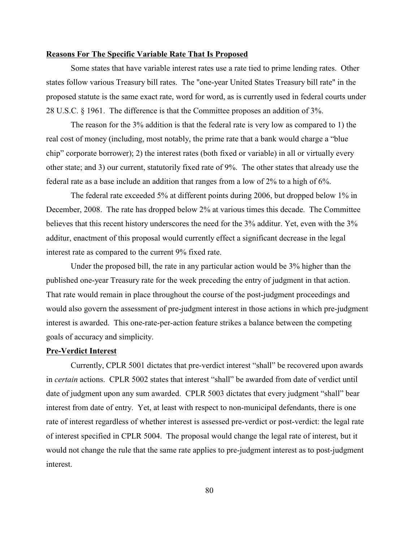#### **Reasons For The Specific Variable Rate That Is Proposed**

Some states that have variable interest rates use a rate tied to prime lending rates. Other states follow various Treasury bill rates. The "one-year United States Treasury bill rate" in the proposed statute is the same exact rate, word for word, as is currently used in federal courts under 28 U.S.C. § 1961. The difference is that the Committee proposes an addition of 3%.

The reason for the 3% addition is that the federal rate is very low as compared to 1) the real cost of money (including, most notably, the prime rate that a bank would charge a "blue chip" corporate borrower); 2) the interest rates (both fixed or variable) in all or virtually every other state; and 3) our current, statutorily fixed rate of 9%. The other states that already use the federal rate as a base include an addition that ranges from a low of 2% to a high of 6%.

The federal rate exceeded 5% at different points during 2006, but dropped below 1% in December, 2008. The rate has dropped below 2% at various times this decade. The Committee believes that this recent history underscores the need for the 3% additur. Yet, even with the 3% additur, enactment of this proposal would currently effect a significant decrease in the legal interest rate as compared to the current 9% fixed rate.

Under the proposed bill, the rate in any particular action would be 3% higher than the published one-year Treasury rate for the week preceding the entry of judgment in that action. That rate would remain in place throughout the course of the post-judgment proceedings and would also govern the assessment of pre-judgment interest in those actions in which pre-judgment interest is awarded. This one-rate-per-action feature strikes a balance between the competing goals of accuracy and simplicity.

#### **Pre-Verdict Interest**

Currently, CPLR 5001 dictates that pre-verdict interest "shall" be recovered upon awards in *certain* actions. CPLR 5002 states that interest "shall" be awarded from date of verdict until date of judgment upon any sum awarded. CPLR 5003 dictates that every judgment "shall" bear interest from date of entry. Yet, at least with respect to non-municipal defendants, there is one rate of interest regardless of whether interest is assessed pre-verdict or post-verdict: the legal rate of interest specified in CPLR 5004. The proposal would change the legal rate of interest, but it would not change the rule that the same rate applies to pre-judgment interest as to post-judgment interest.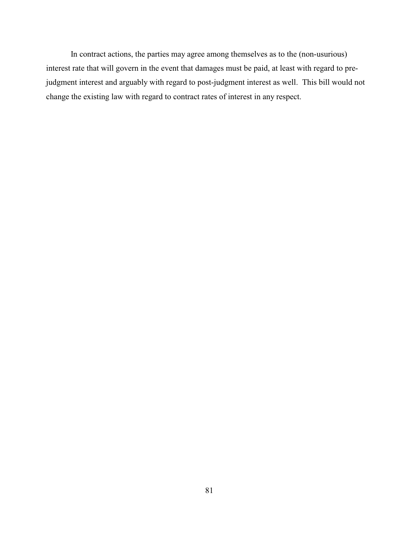In contract actions, the parties may agree among themselves as to the (non-usurious) interest rate that will govern in the event that damages must be paid, at least with regard to prejudgment interest and arguably with regard to post-judgment interest as well. This bill would not change the existing law with regard to contract rates of interest in any respect.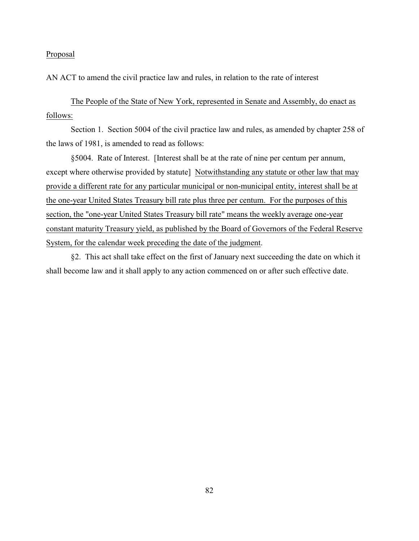AN ACT to amend the civil practice law and rules, in relation to the rate of interest

The People of the State of New York, represented in Senate and Assembly, do enact as follows:

Section 1. Section 5004 of the civil practice law and rules, as amended by chapter 258 of the laws of 1981, is amended to read as follows:

§5004. Rate of Interest. [Interest shall be at the rate of nine per centum per annum, except where otherwise provided by statute] Notwithstanding any statute or other law that may provide a different rate for any particular municipal or non-municipal entity, interest shall be at the one-year United States Treasury bill rate plus three per centum. For the purposes of this section, the "one-year United States Treasury bill rate" means the weekly average one-year constant maturity Treasury yield, as published by the Board of Governors of the Federal Reserve System, for the calendar week preceding the date of the judgment.

§2. This act shall take effect on the first of January next succeeding the date on which it shall become law and it shall apply to any action commenced on or after such effective date.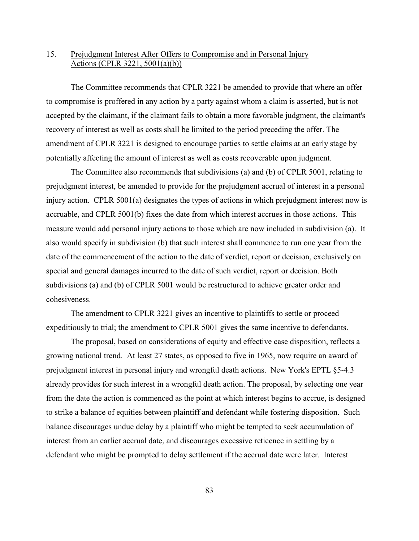## 15. Prejudgment Interest After Offers to Compromise and in Personal Injury Actions (CPLR 3221, 5001(a)(b))

The Committee recommends that CPLR 3221 be amended to provide that where an offer to compromise is proffered in any action by a party against whom a claim is asserted, but is not accepted by the claimant, if the claimant fails to obtain a more favorable judgment, the claimant's recovery of interest as well as costs shall be limited to the period preceding the offer. The amendment of CPLR 3221 is designed to encourage parties to settle claims at an early stage by potentially affecting the amount of interest as well as costs recoverable upon judgment.

The Committee also recommends that subdivisions (a) and (b) of CPLR 5001, relating to prejudgment interest, be amended to provide for the prejudgment accrual of interest in a personal injury action. CPLR 5001(a) designates the types of actions in which prejudgment interest now is accruable, and CPLR 5001(b) fixes the date from which interest accrues in those actions. This measure would add personal injury actions to those which are now included in subdivision (a). It also would specify in subdivision (b) that such interest shall commence to run one year from the date of the commencement of the action to the date of verdict, report or decision, exclusively on special and general damages incurred to the date of such verdict, report or decision. Both subdivisions (a) and (b) of CPLR 5001 would be restructured to achieve greater order and cohesiveness.

The amendment to CPLR 3221 gives an incentive to plaintiffs to settle or proceed expeditiously to trial; the amendment to CPLR 5001 gives the same incentive to defendants.

The proposal, based on considerations of equity and effective case disposition, reflects a growing national trend. At least 27 states, as opposed to five in 1965, now require an award of prejudgment interest in personal injury and wrongful death actions. New York's EPTL §5-4.3 already provides for such interest in a wrongful death action. The proposal, by selecting one year from the date the action is commenced as the point at which interest begins to accrue, is designed to strike a balance of equities between plaintiff and defendant while fostering disposition. Such balance discourages undue delay by a plaintiff who might be tempted to seek accumulation of interest from an earlier accrual date, and discourages excessive reticence in settling by a defendant who might be prompted to delay settlement if the accrual date were later. Interest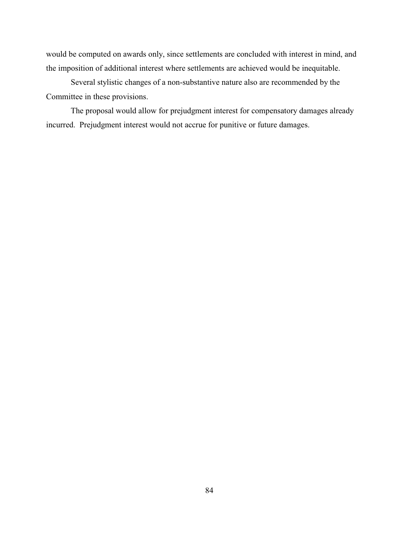would be computed on awards only, since settlements are concluded with interest in mind, and the imposition of additional interest where settlements are achieved would be inequitable.

Several stylistic changes of a non-substantive nature also are recommended by the Committee in these provisions.

The proposal would allow for prejudgment interest for compensatory damages already incurred. Prejudgment interest would not accrue for punitive or future damages.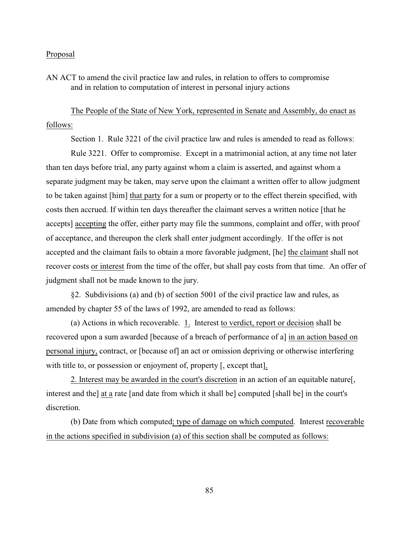AN ACT to amend the civil practice law and rules, in relation to offers to compromise and in relation to computation of interest in personal injury actions

The People of the State of New York, represented in Senate and Assembly, do enact as follows:

Section 1. Rule 3221 of the civil practice law and rules is amended to read as follows:

Rule 3221. Offer to compromise. Except in a matrimonial action, at any time not later than ten days before trial, any party against whom a claim is asserted, and against whom a separate judgment may be taken, may serve upon the claimant a written offer to allow judgment to be taken against [him] that party for a sum or property or to the effect therein specified, with costs then accrued. If within ten days thereafter the claimant serves a written notice [that he accepts] accepting the offer, either party may file the summons, complaint and offer, with proof of acceptance, and thereupon the clerk shall enter judgment accordingly. If the offer is not accepted and the claimant fails to obtain a more favorable judgment, [he] the claimant shall not recover costs or interest from the time of the offer, but shall pay costs from that time. An offer of judgment shall not be made known to the jury.

§2. Subdivisions (a) and (b) of section 5001 of the civil practice law and rules, as amended by chapter 55 of the laws of 1992, are amended to read as follows:

(a) Actions in which recoverable.  $1$ . Interest to verdict, report or decision shall be recovered upon a sum awarded [because of a breach of performance of a] in an action based on personal injury, contract, or [because of] an act or omission depriving or otherwise interfering with title to, or possession or enjoyment of, property [, except that].

2. Interest may be awarded in the court's discretion in an action of an equitable nature[, interest and the] at a rate [and date from which it shall be] computed [shall be] in the court's discretion.

(b) Date from which computed; type of damage on which computed. Interest recoverable in the actions specified in subdivision (a) of this section shall be computed as follows: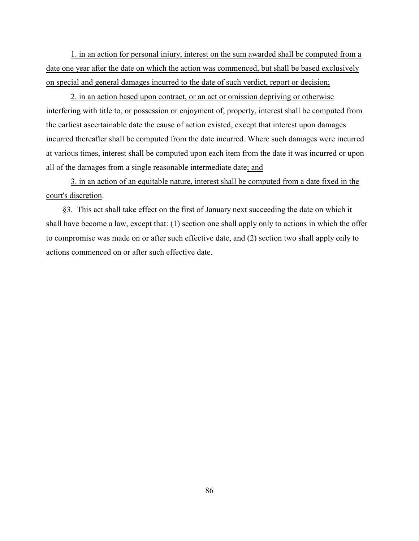1. in an action for personal injury, interest on the sum awarded shall be computed from a date one year after the date on which the action was commenced, but shall be based exclusively on special and general damages incurred to the date of such verdict, report or decision;

2. in an action based upon contract, or an act or omission depriving or otherwise interfering with title to, or possession or enjoyment of, property, interest shall be computed from the earliest ascertainable date the cause of action existed, except that interest upon damages incurred thereafter shall be computed from the date incurred. Where such damages were incurred at various times, interest shall be computed upon each item from the date it was incurred or upon all of the damages from a single reasonable intermediate date; and

3. in an action of an equitable nature, interest shall be computed from a date fixed in the court's discretion.

 §3. This act shall take effect on the first of January next succeeding the date on which it shall have become a law, except that: (1) section one shall apply only to actions in which the offer to compromise was made on or after such effective date, and (2) section two shall apply only to actions commenced on or after such effective date.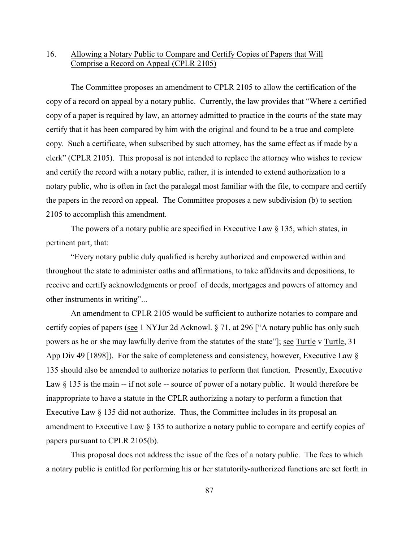## 16. Allowing a Notary Public to Compare and Certify Copies of Papers that Will Comprise a Record on Appeal (CPLR 2105)

The Committee proposes an amendment to CPLR 2105 to allow the certification of the copy of a record on appeal by a notary public. Currently, the law provides that "Where a certified copy of a paper is required by law, an attorney admitted to practice in the courts of the state may certify that it has been compared by him with the original and found to be a true and complete copy. Such a certificate, when subscribed by such attorney, has the same effect as if made by a clerk" (CPLR 2105). This proposal is not intended to replace the attorney who wishes to review and certify the record with a notary public, rather, it is intended to extend authorization to a notary public, who is often in fact the paralegal most familiar with the file, to compare and certify the papers in the record on appeal. The Committee proposes a new subdivision (b) to section 2105 to accomplish this amendment.

The powers of a notary public are specified in Executive Law § 135, which states, in pertinent part, that:

"Every notary public duly qualified is hereby authorized and empowered within and throughout the state to administer oaths and affirmations, to take affidavits and depositions, to receive and certify acknowledgments or proof of deeds, mortgages and powers of attorney and other instruments in writing"...

An amendment to CPLR 2105 would be sufficient to authorize notaries to compare and certify copies of papers (see 1 NYJur 2d Acknowl. § 71, at 296 ["A notary public has only such powers as he or she may lawfully derive from the statutes of the state"]; see Turtle v Turtle, 31 App Div 49 [1898]). For the sake of completeness and consistency, however, Executive Law § 135 should also be amended to authorize notaries to perform that function. Presently, Executive Law  $\S$  135 is the main  $-$  if not sole  $-$  source of power of a notary public. It would therefore be inappropriate to have a statute in the CPLR authorizing a notary to perform a function that Executive Law § 135 did not authorize. Thus, the Committee includes in its proposal an amendment to Executive Law § 135 to authorize a notary public to compare and certify copies of papers pursuant to CPLR 2105(b).

This proposal does not address the issue of the fees of a notary public. The fees to which a notary public is entitled for performing his or her statutorily-authorized functions are set forth in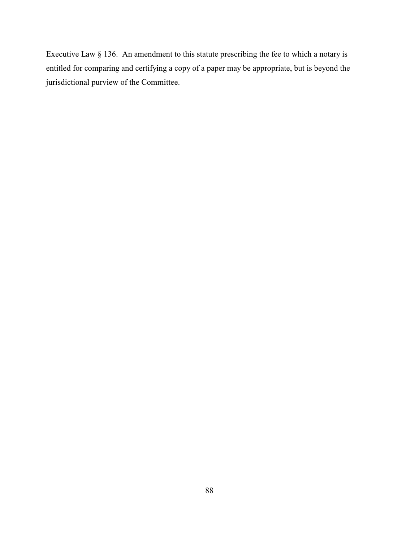Executive Law § 136. An amendment to this statute prescribing the fee to which a notary is entitled for comparing and certifying a copy of a paper may be appropriate, but is beyond the jurisdictional purview of the Committee.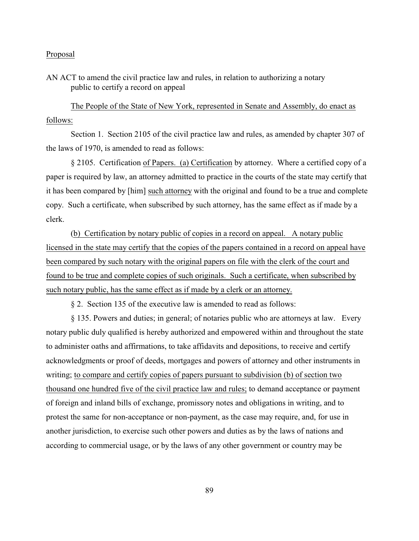AN ACT to amend the civil practice law and rules, in relation to authorizing a notary public to certify a record on appeal

The People of the State of New York, represented in Senate and Assembly, do enact as follows:

Section 1. Section 2105 of the civil practice law and rules, as amended by chapter 307 of the laws of 1970, is amended to read as follows:

§ 2105. Certification of Papers. (a) Certification by attorney. Where a certified copy of a paper is required by law, an attorney admitted to practice in the courts of the state may certify that it has been compared by [him] such attorney with the original and found to be a true and complete copy. Such a certificate, when subscribed by such attorney, has the same effect as if made by a clerk.

(b) Certification by notary public of copies in a record on appeal. A notary public licensed in the state may certify that the copies of the papers contained in a record on appeal have been compared by such notary with the original papers on file with the clerk of the court and found to be true and complete copies of such originals. Such a certificate, when subscribed by such notary public, has the same effect as if made by a clerk or an attorney.

§ 2. Section 135 of the executive law is amended to read as follows:

§ 135. Powers and duties; in general; of notaries public who are attorneys at law. Every notary public duly qualified is hereby authorized and empowered within and throughout the state to administer oaths and affirmations, to take affidavits and depositions, to receive and certify acknowledgments or proof of deeds, mortgages and powers of attorney and other instruments in writing; to compare and certify copies of papers pursuant to subdivision (b) of section two thousand one hundred five of the civil practice law and rules; to demand acceptance or payment of foreign and inland bills of exchange, promissory notes and obligations in writing, and to protest the same for non-acceptance or non-payment, as the case may require, and, for use in another jurisdiction, to exercise such other powers and duties as by the laws of nations and according to commercial usage, or by the laws of any other government or country may be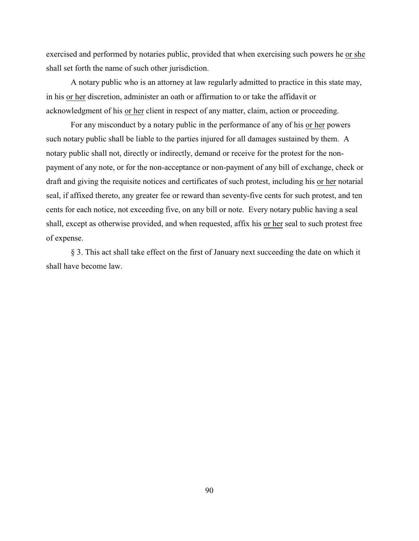exercised and performed by notaries public, provided that when exercising such powers he or she shall set forth the name of such other jurisdiction.

A notary public who is an attorney at law regularly admitted to practice in this state may, in his or her discretion, administer an oath or affirmation to or take the affidavit or acknowledgment of his or her client in respect of any matter, claim, action or proceeding.

For any misconduct by a notary public in the performance of any of his or her powers such notary public shall be liable to the parties injured for all damages sustained by them. A notary public shall not, directly or indirectly, demand or receive for the protest for the nonpayment of any note, or for the non-acceptance or non-payment of any bill of exchange, check or draft and giving the requisite notices and certificates of such protest, including his or her notarial seal, if affixed thereto, any greater fee or reward than seventy-five cents for such protest, and ten cents for each notice, not exceeding five, on any bill or note. Every notary public having a seal shall, except as otherwise provided, and when requested, affix his or her seal to such protest free of expense.

§ 3. This act shall take effect on the first of January next succeeding the date on which it shall have become law.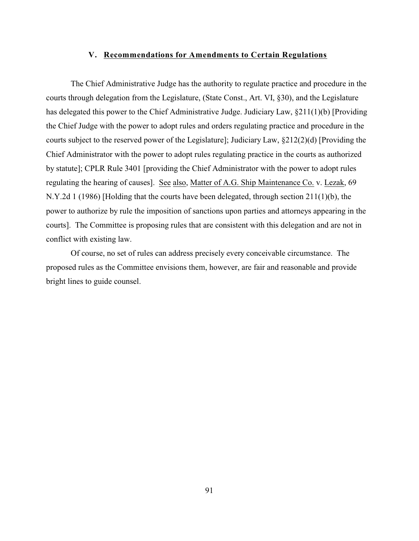#### **V. Recommendations for Amendments to Certain Regulations**

The Chief Administrative Judge has the authority to regulate practice and procedure in the courts through delegation from the Legislature, (State Const., Art. VI, §30), and the Legislature has delegated this power to the Chief Administrative Judge. Judiciary Law, §211(1)(b) [Providing the Chief Judge with the power to adopt rules and orders regulating practice and procedure in the courts subject to the reserved power of the Legislature]; Judiciary Law, §212(2)(d) [Providing the Chief Administrator with the power to adopt rules regulating practice in the courts as authorized by statute]; CPLR Rule 3401 [providing the Chief Administrator with the power to adopt rules regulating the hearing of causes]. See also, Matter of A.G. Ship Maintenance Co. v. Lezak, 69 N.Y.2d 1 (1986) [Holding that the courts have been delegated, through section 211(1)(b), the power to authorize by rule the imposition of sanctions upon parties and attorneys appearing in the courts]. The Committee is proposing rules that are consistent with this delegation and are not in conflict with existing law.

Of course, no set of rules can address precisely every conceivable circumstance. The proposed rules as the Committee envisions them, however, are fair and reasonable and provide bright lines to guide counsel.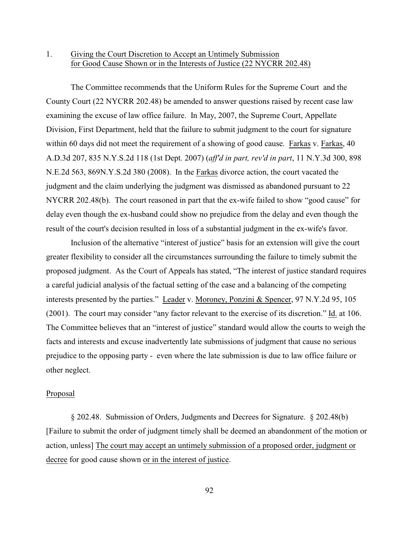## 1. Giving the Court Discretion to Accept an Untimely Submission for Good Cause Shown or in the Interests of Justice (22 NYCRR 202.48)

The Committee recommends that the Uniform Rules for the Supreme Court and the County Court (22 NYCRR 202.48) be amended to answer questions raised by recent case law examining the excuse of law office failure. In May, 2007, the Supreme Court, Appellate Division, First Department, held that the failure to submit judgment to the court for signature within 60 days did not meet the requirement of a showing of good cause. Farkas v. Farkas, 40 A.D.3d 207, 835 N.Y.S.2d 118 (1st Dept. 2007) (*aff'd in part, rev'd in part*, 11 N.Y.3d 300, 898 N.E.2d 563, 869N.Y.S.2d 380 (2008). In the Farkas divorce action, the court vacated the judgment and the claim underlying the judgment was dismissed as abandoned pursuant to 22 NYCRR 202.48(b). The court reasoned in part that the ex-wife failed to show "good cause" for delay even though the ex-husband could show no prejudice from the delay and even though the result of the court's decision resulted in loss of a substantial judgment in the ex-wife's favor.

Inclusion of the alternative "interest of justice" basis for an extension will give the court greater flexibility to consider all the circumstances surrounding the failure to timely submit the proposed judgment. As the Court of Appeals has stated, "The interest of justice standard requires a careful judicial analysis of the factual setting of the case and a balancing of the competing interests presented by the parties." Leader v. Moroney, Ponzini & Spencer, 97 N.Y.2d 95, 105 (2001). The court may consider "any factor relevant to the exercise of its discretion." Id. at 106. The Committee believes that an "interest of justice" standard would allow the courts to weigh the facts and interests and excuse inadvertently late submissions of judgment that cause no serious prejudice to the opposing party - even where the late submission is due to law office failure or other neglect.

## Proposal

§ 202.48. Submission of Orders, Judgments and Decrees for Signature. § 202.48(b) [Failure to submit the order of judgment timely shall be deemed an abandonment of the motion or action, unless] The court may accept an untimely submission of a proposed order, judgment or decree for good cause shown or in the interest of justice.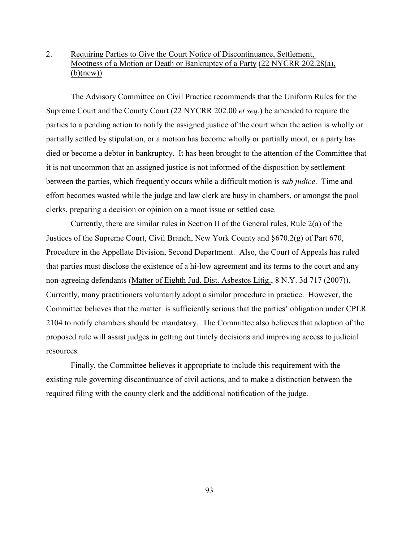# 2. Requiring Parties to Give the Court Notice of Discontinuance, Settlement, Mootness of a Motion or Death or Bankruptcy of a Party (22 NYCRR 202.28(a), (b)(new))

The Advisory Committee on Civil Practice recommends that the Uniform Rules for the Supreme Court and the County Court (22 NYCRR 202.00 *et seq*.) be amended to require the parties to a pending action to notify the assigned justice of the court when the action is wholly or partially settled by stipulation, or a motion has become wholly or partially moot, or a party has died or become a debtor in bankruptcy. It has been brought to the attention of the Committee that it is not uncommon that an assigned justice is not informed of the disposition by settlement between the parties, which frequently occurs while a difficult motion is *sub judice*. Time and effort becomes wasted while the judge and law clerk are busy in chambers, or amongst the pool clerks, preparing a decision or opinion on a moot issue or settled case.

Currently, there are similar rules in Section II of the General rules, Rule 2(a) of the Justices of the Supreme Court, Civil Branch, New York County and §670.2(g) of Part 670, Procedure in the Appellate Division, Second Department. Also, the Court of Appeals has ruled that parties must disclose the existence of a hi-low agreement and its terms to the court and any non-agreeing defendants (Matter of Eighth Jud. Dist. Asbestos Litig., 8 N.Y. 3d 717 (2007)). Currently, many practitioners voluntarily adopt a similar procedure in practice. However, the Committee believes that the matter is sufficiently serious that the parties' obligation under CPLR 2104 to notify chambers should be mandatory. The Committee also believes that adoption of the proposed rule will assist judges in getting out timely decisions and improving access to judicial resources.

Finally, the Committee believes it appropriate to include this requirement with the existing rule governing discontinuance of civil actions, and to make a distinction between the required filing with the county clerk and the additional notification of the judge.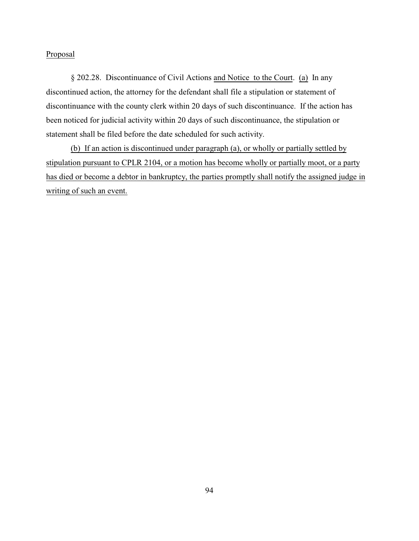§ 202.28. Discontinuance of Civil Actions and Notice to the Court. (a) In any discontinued action, the attorney for the defendant shall file a stipulation or statement of discontinuance with the county clerk within 20 days of such discontinuance. If the action has been noticed for judicial activity within 20 days of such discontinuance, the stipulation or statement shall be filed before the date scheduled for such activity.

(b) If an action is discontinued under paragraph (a), or wholly or partially settled by stipulation pursuant to CPLR 2104, or a motion has become wholly or partially moot, or a party has died or become a debtor in bankruptcy, the parties promptly shall notify the assigned judge in writing of such an event.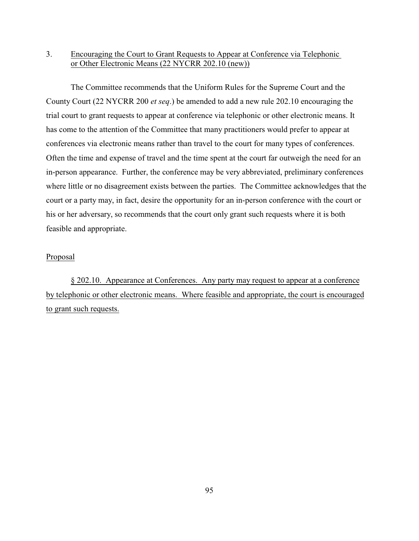# 3. Encouraging the Court to Grant Requests to Appear at Conference via Telephonic or Other Electronic Means (22 NYCRR 202.10 (new))

The Committee recommends that the Uniform Rules for the Supreme Court and the County Court (22 NYCRR 200 *et seq*.) be amended to add a new rule 202.10 encouraging the trial court to grant requests to appear at conference via telephonic or other electronic means. It has come to the attention of the Committee that many practitioners would prefer to appear at conferences via electronic means rather than travel to the court for many types of conferences. Often the time and expense of travel and the time spent at the court far outweigh the need for an in-person appearance. Further, the conference may be very abbreviated, preliminary conferences where little or no disagreement exists between the parties. The Committee acknowledges that the court or a party may, in fact, desire the opportunity for an in-person conference with the court or his or her adversary, so recommends that the court only grant such requests where it is both feasible and appropriate.

## Proposal

§ 202.10. Appearance at Conferences. Any party may request to appear at a conference by telephonic or other electronic means. Where feasible and appropriate, the court is encouraged to grant such requests.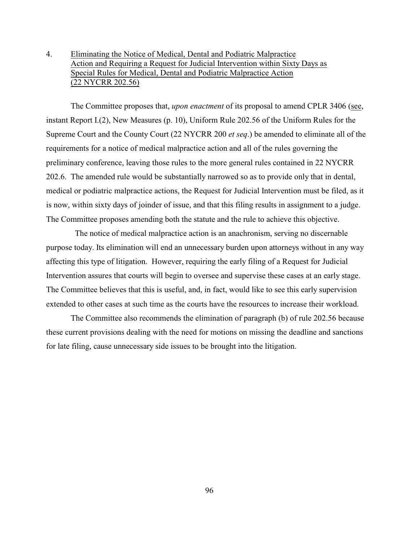# 4. Eliminating the Notice of Medical, Dental and Podiatric Malpractice Action and Requiring a Request for Judicial Intervention within Sixty Days as Special Rules for Medical, Dental and Podiatric Malpractice Action (22 NYCRR 202.56)

The Committee proposes that, *upon enactment* of its proposal to amend CPLR 3406 (see, instant Report I.(2), New Measures (p. 10), Uniform Rule 202.56 of the Uniform Rules for the Supreme Court and the County Court (22 NYCRR 200 *et seq*.) be amended to eliminate all of the requirements for a notice of medical malpractice action and all of the rules governing the preliminary conference, leaving those rules to the more general rules contained in 22 NYCRR 202.6. The amended rule would be substantially narrowed so as to provide only that in dental, medical or podiatric malpractice actions, the Request for Judicial Intervention must be filed, as it is now, within sixty days of joinder of issue, and that this filing results in assignment to a judge. The Committee proposes amending both the statute and the rule to achieve this objective.

 The notice of medical malpractice action is an anachronism, serving no discernable purpose today. Its elimination will end an unnecessary burden upon attorneys without in any way affecting this type of litigation. However, requiring the early filing of a Request for Judicial Intervention assures that courts will begin to oversee and supervise these cases at an early stage. The Committee believes that this is useful, and, in fact, would like to see this early supervision extended to other cases at such time as the courts have the resources to increase their workload.

The Committee also recommends the elimination of paragraph (b) of rule 202.56 because these current provisions dealing with the need for motions on missing the deadline and sanctions for late filing, cause unnecessary side issues to be brought into the litigation.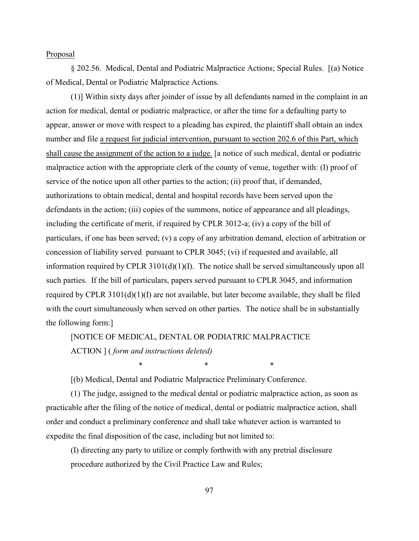§ 202.56. Medical, Dental and Podiatric Malpractice Actions; Special Rules. [(a) Notice of Medical, Dental or Podiatric Malpractice Actions.

 (1)] Within sixty days after joinder of issue by all defendants named in the complaint in an action for medical, dental or podiatric malpractice, or after the time for a defaulting party to appear, answer or move with respect to a pleading has expired, the plaintiff shall obtain an index number and file a request for judicial intervention, pursuant to section 202.6 of this Part, which shall cause the assignment of the action to a judge. [a notice of such medical, dental or podiatric malpractice action with the appropriate clerk of the county of venue, together with: (I) proof of service of the notice upon all other parties to the action; (ii) proof that, if demanded, authorizations to obtain medical, dental and hospital records have been served upon the defendants in the action; (iii) copies of the summons, notice of appearance and all pleadings, including the certificate of merit, if required by CPLR 3012-a; (iv) a copy of the bill of particulars, if one has been served; (v) a copy of any arbitration demand, election of arbitration or concession of liability served pursuant to CPLR 3045; (vi) if requested and available, all information required by CPLR  $3101(d)(1)(I)$ . The notice shall be served simultaneously upon all such parties. If the bill of particulars, papers served pursuant to CPLR 3045, and information required by CPLR 3101(d)(1)(I) are not available, but later become available, they shall be filed with the court simultaneously when served on other parties. The notice shall be in substantially the following form:]

## [NOTICE OF MEDICAL, DENTAL OR PODIATRIC MALPRACTICE

ACTION ] ( *form and instructions deleted)*

[(b) Medical, Dental and Podiatric Malpractice Preliminary Conference.

(1) The judge, assigned to the medical dental or podiatric malpractice action, as soon as practicable after the filing of the notice of medical, dental or podiatric malpractice action, shall order and conduct a preliminary conference and shall take whatever action is warranted to expedite the final disposition of the case, including but not limited to:

*\* \* \**

(I) directing any party to utilize or comply forthwith with any pretrial disclosure procedure authorized by the Civil Practice Law and Rules;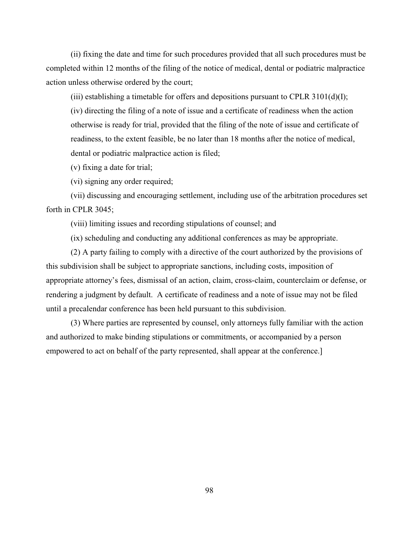(ii) fixing the date and time for such procedures provided that all such procedures must be completed within 12 months of the filing of the notice of medical, dental or podiatric malpractice action unless otherwise ordered by the court;

(iii) establishing a timetable for offers and depositions pursuant to CPLR  $3101(d)(I)$ ;

 (iv) directing the filing of a note of issue and a certificate of readiness when the action otherwise is ready for trial, provided that the filing of the note of issue and certificate of readiness, to the extent feasible, be no later than 18 months after the notice of medical, dental or podiatric malpractice action is filed;

(v) fixing a date for trial;

(vi) signing any order required;

 (vii) discussing and encouraging settlement, including use of the arbitration procedures set forth in CPLR 3045;

(viii) limiting issues and recording stipulations of counsel; and

(ix) scheduling and conducting any additional conferences as may be appropriate.

(2) A party failing to comply with a directive of the court authorized by the provisions of this subdivision shall be subject to appropriate sanctions, including costs, imposition of appropriate attorney's fees, dismissal of an action, claim, cross-claim, counterclaim or defense, or rendering a judgment by default. A certificate of readiness and a note of issue may not be filed until a precalendar conference has been held pursuant to this subdivision.

 (3) Where parties are represented by counsel, only attorneys fully familiar with the action and authorized to make binding stipulations or commitments, or accompanied by a person empowered to act on behalf of the party represented, shall appear at the conference.]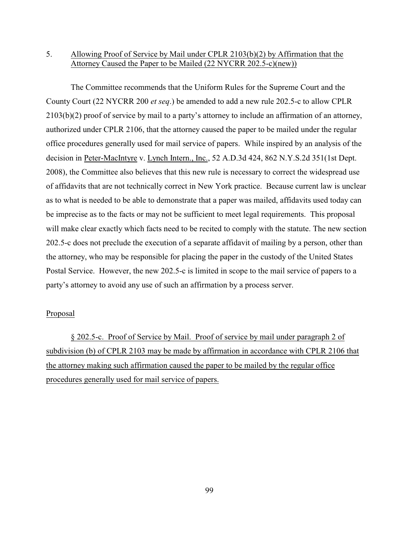# 5. Allowing Proof of Service by Mail under CPLR 2103(b)(2) by Affirmation that the Attorney Caused the Paper to be Mailed (22 NYCRR 202.5-c)(new))

The Committee recommends that the Uniform Rules for the Supreme Court and the County Court (22 NYCRR 200 *et seq*.) be amended to add a new rule 202.5-c to allow CPLR 2103(b)(2) proof of service by mail to a party's attorney to include an affirmation of an attorney, authorized under CPLR 2106, that the attorney caused the paper to be mailed under the regular office procedures generally used for mail service of papers. While inspired by an analysis of the decision in Peter-MacIntyre v. Lynch Intern., Inc., 52 A.D.3d 424, 862 N.Y.S.2d 351(1st Dept. 2008), the Committee also believes that this new rule is necessary to correct the widespread use of affidavits that are not technically correct in New York practice. Because current law is unclear as to what is needed to be able to demonstrate that a paper was mailed, affidavits used today can be imprecise as to the facts or may not be sufficient to meet legal requirements. This proposal will make clear exactly which facts need to be recited to comply with the statute. The new section 202.5-c does not preclude the execution of a separate affidavit of mailing by a person, other than the attorney, who may be responsible for placing the paper in the custody of the United States Postal Service. However, the new 202.5-c is limited in scope to the mail service of papers to a party's attorney to avoid any use of such an affirmation by a process server.

#### Proposal

§ 202.5-c. Proof of Service by Mail. Proof of service by mail under paragraph 2 of subdivision (b) of CPLR 2103 may be made by affirmation in accordance with CPLR 2106 that the attorney making such affirmation caused the paper to be mailed by the regular office procedures generally used for mail service of papers.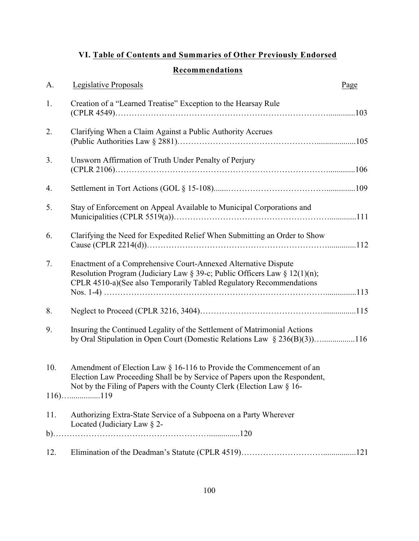# **VI. Table of Contents and Summaries of Other Previously Endorsed**

# **Recommendations**

| A.  | Legislative Proposals                                                                                                                                                                                                                        | Page |
|-----|----------------------------------------------------------------------------------------------------------------------------------------------------------------------------------------------------------------------------------------------|------|
| 1.  | Creation of a "Learned Treatise" Exception to the Hearsay Rule                                                                                                                                                                               |      |
| 2.  | Clarifying When a Claim Against a Public Authority Accrues                                                                                                                                                                                   |      |
| 3.  | Unsworn Affirmation of Truth Under Penalty of Perjury                                                                                                                                                                                        |      |
| 4.  |                                                                                                                                                                                                                                              |      |
| 5.  | Stay of Enforcement on Appeal Available to Municipal Corporations and                                                                                                                                                                        |      |
| 6.  | Clarifying the Need for Expedited Relief When Submitting an Order to Show                                                                                                                                                                    |      |
| 7.  | Enactment of a Comprehensive Court-Annexed Alternative Dispute<br>Resolution Program (Judiciary Law § 39-c; Public Officers Law § 12(1)(n);<br>CPLR 4510-a)(See also Temporarily Tabled Regulatory Recommendations                           |      |
| 8.  |                                                                                                                                                                                                                                              |      |
| 9.  | Insuring the Continued Legality of the Settlement of Matrimonial Actions                                                                                                                                                                     |      |
| 10. | Amendment of Election Law $\S$ 16-116 to Provide the Commencement of an<br>Election Law Proceeding Shall be by Service of Papers upon the Respondent,<br>Not by the Filing of Papers with the County Clerk (Election Law § 16-<br>$116)$ 119 |      |
| 11. | Authorizing Extra-State Service of a Subpoena on a Party Wherever<br>Located (Judiciary Law $\S$ 2-                                                                                                                                          |      |
|     |                                                                                                                                                                                                                                              |      |
| 12. |                                                                                                                                                                                                                                              |      |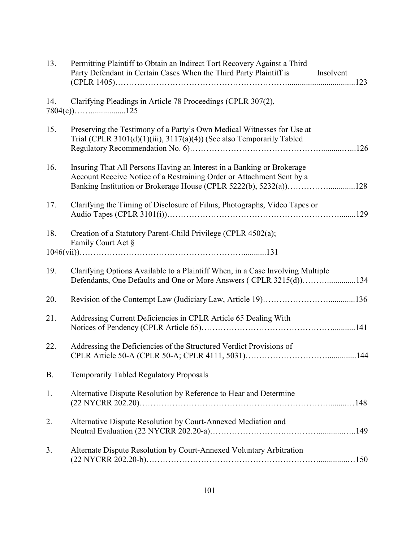| 13.       | Permitting Plaintiff to Obtain an Indirect Tort Recovery Against a Third<br>Party Defendant in Certain Cases When the Third Party Plaintiff is<br>Insolvent                                                          |  |
|-----------|----------------------------------------------------------------------------------------------------------------------------------------------------------------------------------------------------------------------|--|
| 14.       | Clarifying Pleadings in Article 78 Proceedings (CPLR 307(2),                                                                                                                                                         |  |
| 15.       | Preserving the Testimony of a Party's Own Medical Witnesses for Use at<br>Trial (CPLR $3101(d)(1)(iii)$ , $3117(a)(4)$ ) (See also Temporarily Tabled                                                                |  |
| 16.       | Insuring That All Persons Having an Interest in a Banking or Brokerage<br>Account Receive Notice of a Restraining Order or Attachment Sent by a<br>Banking Institution or Brokerage House (CPLR 5222(b), 5232(a))128 |  |
| 17.       | Clarifying the Timing of Disclosure of Films, Photographs, Video Tapes or                                                                                                                                            |  |
| 18.       | Creation of a Statutory Parent-Child Privilege (CPLR 4502(a);<br>Family Court Act §                                                                                                                                  |  |
|           |                                                                                                                                                                                                                      |  |
| 19.       | Clarifying Options Available to a Plaintiff When, in a Case Involving Multiple<br>Defendants, One Defaults and One or More Answers (CPLR 3215(d))134                                                                 |  |
| 20.       | Revision of the Contempt Law (Judiciary Law, Article 19)136                                                                                                                                                          |  |
| 21.       | Addressing Current Deficiencies in CPLR Article 65 Dealing With                                                                                                                                                      |  |
| 22.       | Addressing the Deficiencies of the Structured Verdict Provisions of                                                                                                                                                  |  |
| <b>B.</b> | <b>Temporarily Tabled Regulatory Proposals</b>                                                                                                                                                                       |  |
| 1.        | Alternative Dispute Resolution by Reference to Hear and Determine                                                                                                                                                    |  |
| 2.        | Alternative Dispute Resolution by Court-Annexed Mediation and                                                                                                                                                        |  |
| 3.        | Alternate Dispute Resolution by Court-Annexed Voluntary Arbitration                                                                                                                                                  |  |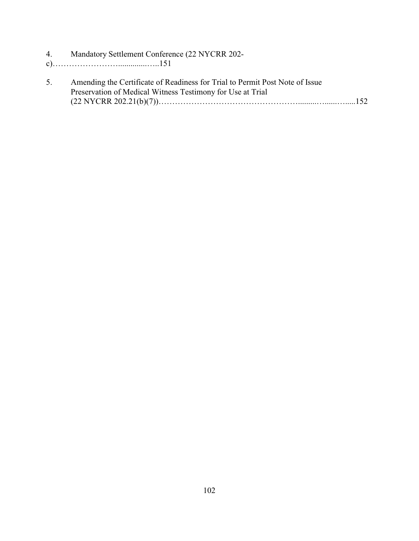- 4. Mandatory Settlement Conference (22 NYCRR 202-
- c)……………………..............…..151
- 5. Amending the Certificate of Readiness for Trial to Permit Post Note of Issue Preservation of Medical Witness Testimony for Use at Trial (22 NYCRR 202.21(b)(7))…………………………………………….........…......….....152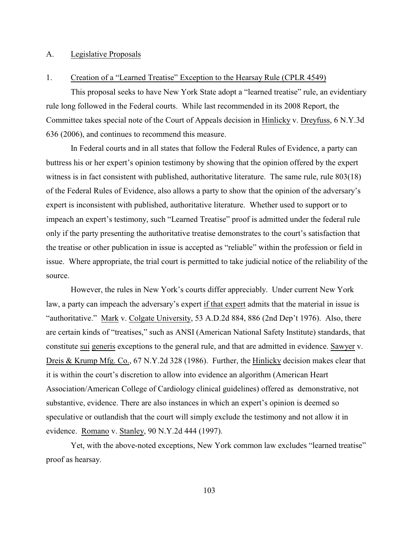## A. Legislative Proposals

#### 1. Creation of a "Learned Treatise" Exception to the Hearsay Rule (CPLR 4549)

This proposal seeks to have New York State adopt a "learned treatise" rule, an evidentiary rule long followed in the Federal courts. While last recommended in its 2008 Report, the Committee takes special note of the Court of Appeals decision in Hinlicky v. Dreyfuss, 6 N.Y.3d 636 (2006), and continues to recommend this measure.

In Federal courts and in all states that follow the Federal Rules of Evidence, a party can buttress his or her expert's opinion testimony by showing that the opinion offered by the expert witness is in fact consistent with published, authoritative literature. The same rule, rule 803(18) of the Federal Rules of Evidence, also allows a party to show that the opinion of the adversary's expert is inconsistent with published, authoritative literature. Whether used to support or to impeach an expert's testimony, such "Learned Treatise" proof is admitted under the federal rule only if the party presenting the authoritative treatise demonstrates to the court's satisfaction that the treatise or other publication in issue is accepted as "reliable" within the profession or field in issue. Where appropriate, the trial court is permitted to take judicial notice of the reliability of the source.

However, the rules in New York's courts differ appreciably. Under current New York law, a party can impeach the adversary's expert if that expert admits that the material in issue is "authoritative." Mark v. Colgate University, 53 A.D.2d 884, 886 (2nd Dep't 1976). Also, there are certain kinds of "treatises," such as ANSI (American National Safety Institute) standards, that constitute sui generis exceptions to the general rule, and that are admitted in evidence. Sawyer v. Dreis & Krump Mfg. Co., 67 N.Y.2d 328 (1986). Further, the Hinlicky decision makes clear that it is within the court's discretion to allow into evidence an algorithm (American Heart Association/American College of Cardiology clinical guidelines) offered as demonstrative, not substantive, evidence. There are also instances in which an expert's opinion is deemed so speculative or outlandish that the court will simply exclude the testimony and not allow it in evidence. Romano v. Stanley, 90 N.Y.2d 444 (1997).

Yet, with the above-noted exceptions, New York common law excludes "learned treatise" proof as hearsay.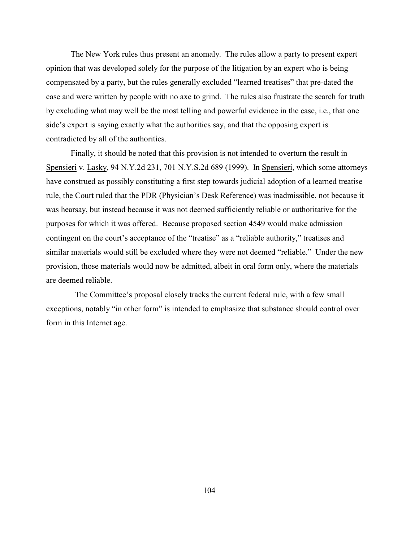The New York rules thus present an anomaly. The rules allow a party to present expert opinion that was developed solely for the purpose of the litigation by an expert who is being compensated by a party, but the rules generally excluded "learned treatises" that pre-dated the case and were written by people with no axe to grind. The rules also frustrate the search for truth by excluding what may well be the most telling and powerful evidence in the case, i.e., that one side's expert is saying exactly what the authorities say, and that the opposing expert is contradicted by all of the authorities.

Finally, it should be noted that this provision is not intended to overturn the result in Spensieri v. Lasky, 94 N.Y.2d 231, 701 N.Y.S.2d 689 (1999). In Spensieri, which some attorneys have construed as possibly constituting a first step towards judicial adoption of a learned treatise rule, the Court ruled that the PDR (Physician's Desk Reference) was inadmissible, not because it was hearsay, but instead because it was not deemed sufficiently reliable or authoritative for the purposes for which it was offered. Because proposed section 4549 would make admission contingent on the court's acceptance of the "treatise" as a "reliable authority," treatises and similar materials would still be excluded where they were not deemed "reliable." Under the new provision, those materials would now be admitted, albeit in oral form only, where the materials are deemed reliable.

 The Committee's proposal closely tracks the current federal rule, with a few small exceptions, notably "in other form" is intended to emphasize that substance should control over form in this Internet age.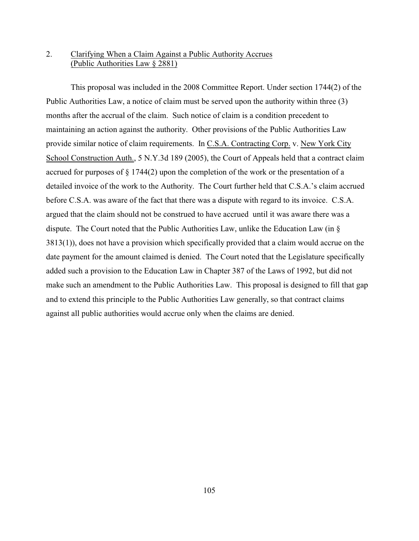# 2. Clarifying When a Claim Against a Public Authority Accrues (Public Authorities Law § 2881)

This proposal was included in the 2008 Committee Report. Under section 1744(2) of the Public Authorities Law, a notice of claim must be served upon the authority within three (3) months after the accrual of the claim. Such notice of claim is a condition precedent to maintaining an action against the authority. Other provisions of the Public Authorities Law provide similar notice of claim requirements. In C.S.A. Contracting Corp. v. New York City School Construction Auth., 5 N.Y.3d 189 (2005), the Court of Appeals held that a contract claim accrued for purposes of § 1744(2) upon the completion of the work or the presentation of a detailed invoice of the work to the Authority. The Court further held that C.S.A.'s claim accrued before C.S.A. was aware of the fact that there was a dispute with regard to its invoice. C.S.A. argued that the claim should not be construed to have accrued until it was aware there was a dispute. The Court noted that the Public Authorities Law, unlike the Education Law (in § 3813(1)), does not have a provision which specifically provided that a claim would accrue on the date payment for the amount claimed is denied. The Court noted that the Legislature specifically added such a provision to the Education Law in Chapter 387 of the Laws of 1992, but did not make such an amendment to the Public Authorities Law. This proposal is designed to fill that gap and to extend this principle to the Public Authorities Law generally, so that contract claims against all public authorities would accrue only when the claims are denied.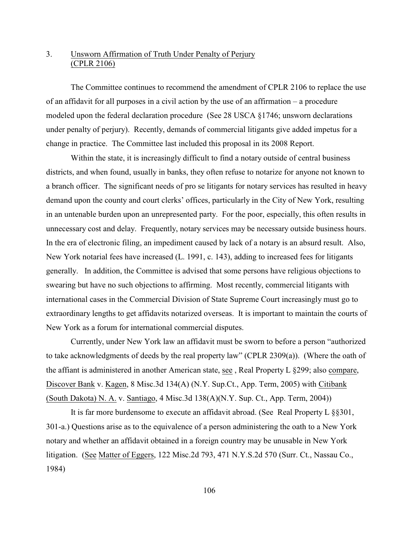# 3. Unsworn Affirmation of Truth Under Penalty of Perjury (CPLR 2106)

The Committee continues to recommend the amendment of CPLR 2106 to replace the use of an affidavit for all purposes in a civil action by the use of an affirmation – a procedure modeled upon the federal declaration procedure (See 28 USCA §1746; unsworn declarations under penalty of perjury). Recently, demands of commercial litigants give added impetus for a change in practice. The Committee last included this proposal in its 2008 Report.

Within the state, it is increasingly difficult to find a notary outside of central business districts, and when found, usually in banks, they often refuse to notarize for anyone not known to a branch officer. The significant needs of pro se litigants for notary services has resulted in heavy demand upon the county and court clerks' offices, particularly in the City of New York, resulting in an untenable burden upon an unrepresented party. For the poor, especially, this often results in unnecessary cost and delay. Frequently, notary services may be necessary outside business hours. In the era of electronic filing, an impediment caused by lack of a notary is an absurd result. Also, New York notarial fees have increased (L. 1991, c. 143), adding to increased fees for litigants generally. In addition, the Committee is advised that some persons have religious objections to swearing but have no such objections to affirming. Most recently, commercial litigants with international cases in the Commercial Division of State Supreme Court increasingly must go to extraordinary lengths to get affidavits notarized overseas. It is important to maintain the courts of New York as a forum for international commercial disputes.

Currently, under New York law an affidavit must be sworn to before a person "authorized to take acknowledgments of deeds by the real property law" (CPLR 2309(a)). (Where the oath of the affiant is administered in another American state, see , Real Property L §299; also compare, Discover Bank v. Kagen, 8 Misc.3d 134(A) (N.Y. Sup.Ct., App. Term, 2005) with Citibank (South Dakota) N. A. v. Santiago, 4 Misc.3d 138(A)(N.Y. Sup. Ct., App. Term, 2004))

It is far more burdensome to execute an affidavit abroad. (See Real Property L §§301, 301-a.) Questions arise as to the equivalence of a person administering the oath to a New York notary and whether an affidavit obtained in a foreign country may be unusable in New York litigation. (See Matter of Eggers, 122 Misc.2d 793, 471 N.Y.S.2d 570 (Surr. Ct., Nassau Co., 1984)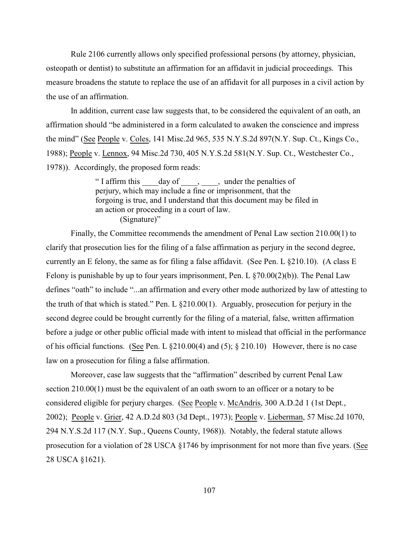Rule 2106 currently allows only specified professional persons (by attorney, physician, osteopath or dentist) to substitute an affirmation for an affidavit in judicial proceedings. This measure broadens the statute to replace the use of an affidavit for all purposes in a civil action by the use of an affirmation.

In addition, current case law suggests that, to be considered the equivalent of an oath, an affirmation should "be administered in a form calculated to awaken the conscience and impress the mind" (See People v. Coles, 141 Misc.2d 965, 535 N.Y.S.2d 897(N.Y. Sup. Ct., Kings Co., 1988); People v. Lennox, 94 Misc.2d 730, 405 N.Y.S.2d 581(N.Y. Sup. Ct., Westchester Co., 1978)). Accordingly, the proposed form reads:

> "I affirm this \_\_\_\_day of \_\_\_\_, \_\_\_\_, under the penalties of perjury, which may include a fine or imprisonment, that the forgoing is true, and I understand that this document may be filed in an action or proceeding in a court of law. (Signature)"

Finally, the Committee recommends the amendment of Penal Law section 210.00(1) to clarify that prosecution lies for the filing of a false affirmation as perjury in the second degree, currently an E felony, the same as for filing a false affidavit. (See Pen. L §210.10). (A class E Felony is punishable by up to four years imprisonment, Pen. L  $\S(70.00(2)(b))$ . The Penal Law defines "oath" to include "...an affirmation and every other mode authorized by law of attesting to the truth of that which is stated." Pen. L §210.00(1). Arguably, prosecution for perjury in the second degree could be brought currently for the filing of a material, false, written affirmation before a judge or other public official made with intent to mislead that official in the performance of his official functions. (See Pen. L  $\S210.00(4)$  and (5);  $\S210.10$ ) However, there is no case law on a prosecution for filing a false affirmation.

Moreover, case law suggests that the "affirmation" described by current Penal Law section 210.00(1) must be the equivalent of an oath sworn to an officer or a notary to be considered eligible for perjury charges. (See People v. McAndris, 300 A.D.2d 1 (1st Dept., 2002); People v. Grier, 42 A.D.2d 803 (3d Dept., 1973); People v. Lieberman, 57 Misc.2d 1070, 294 N.Y.S.2d 117 (N.Y. Sup., Queens County, 1968)). Notably, the federal statute allows prosecution for a violation of 28 USCA §1746 by imprisonment for not more than five years. (See 28 USCA §1621).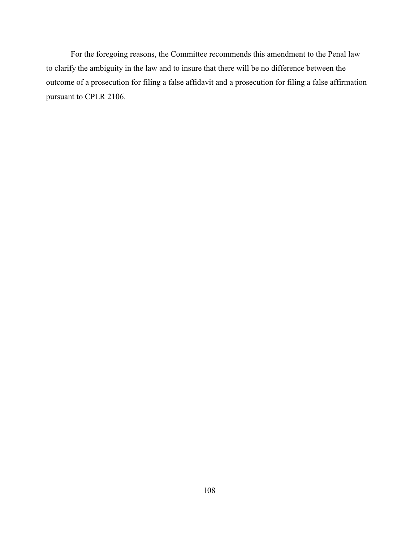For the foregoing reasons, the Committee recommends this amendment to the Penal law to clarify the ambiguity in the law and to insure that there will be no difference between the outcome of a prosecution for filing a false affidavit and a prosecution for filing a false affirmation pursuant to CPLR 2106.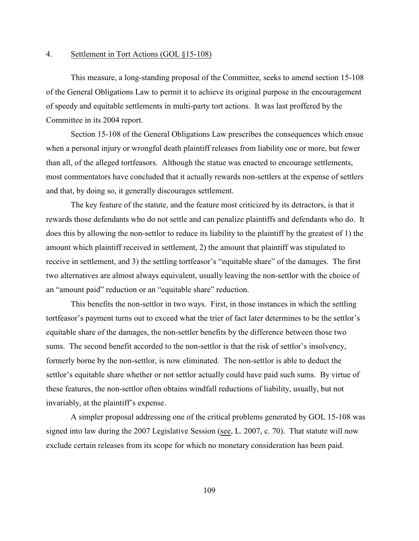### 4. Settlement in Tort Actions (GOL §15-108)

This measure, a long-standing proposal of the Committee, seeks to amend section 15-108 of the General Obligations Law to permit it to achieve its original purpose in the encouragement of speedy and equitable settlements in multi-party tort actions. It was last proffered by the Committee in its 2004 report.

Section 15-108 of the General Obligations Law prescribes the consequences which ensue when a personal injury or wrongful death plaintiff releases from liability one or more, but fewer than all, of the alleged tortfeasors. Although the statue was enacted to encourage settlements, most commentators have concluded that it actually rewards non-settlers at the expense of settlers and that, by doing so, it generally discourages settlement.

The key feature of the statute, and the feature most criticized by its detractors, is that it rewards those defendants who do not settle and can penalize plaintiffs and defendants who do. It does this by allowing the non-settlor to reduce its liability to the plaintiff by the greatest of 1) the amount which plaintiff received in settlement, 2) the amount that plaintiff was stipulated to receive in settlement, and 3) the settling tortfeasor's "equitable share" of the damages. The first two alternatives are almost always equivalent, usually leaving the non-settlor with the choice of an "amount paid" reduction or an "equitable share" reduction.

This benefits the non-settlor in two ways. First, in those instances in which the settling tortfeasor's payment turns out to exceed what the trier of fact later determines to be the settlor's equitable share of the damages, the non-settler benefits by the difference between those two sums. The second benefit accorded to the non-settlor is that the risk of settlor's insolvency, formerly borne by the non-settlor, is now eliminated. The non-settlor is able to deduct the settlor's equitable share whether or not settlor actually could have paid such sums. By virtue of these features, the non-settlor often obtains windfall reductions of liability, usually, but not invariably, at the plaintiff's expense.

A simpler proposal addressing one of the critical problems generated by GOL 15-108 was signed into law during the 2007 Legislative Session (see, L. 2007, c. 70). That statute will now exclude certain releases from its scope for which no monetary consideration has been paid.

109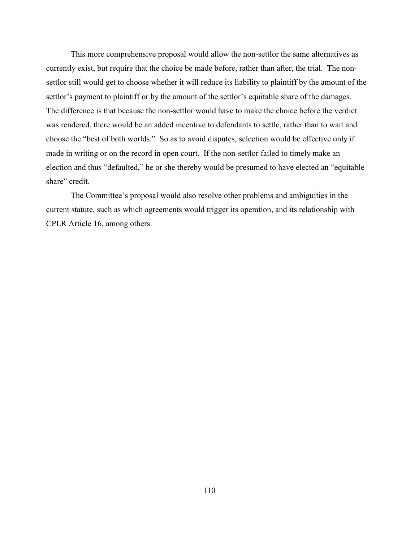This more comprehensive proposal would allow the non-settlor the same alternatives as currently exist, but require that the choice be made before, rather than after, the trial. The nonsettlor still would get to choose whether it will reduce its liability to plaintiff by the amount of the settlor's payment to plaintiff or by the amount of the settlor's equitable share of the damages. The difference is that because the non-settlor would have to make the choice before the verdict was rendered, there would be an added incentive to defendants to settle, rather than to wait and choose the "best of both worlds." So as to avoid disputes, selection would be effective only if made in writing or on the record in open court. If the non-settlor failed to timely make an election and thus "defaulted," he or she thereby would be presumed to have elected an "equitable share" credit.

The Committee's proposal would also resolve other problems and ambiguities in the current statute, such as which agreements would trigger its operation, and its relationship with CPLR Article 16, among others.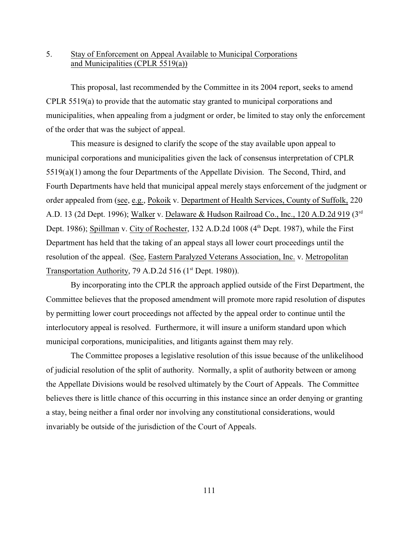# 5. Stay of Enforcement on Appeal Available to Municipal Corporations and Municipalities (CPLR 5519(a))

This proposal, last recommended by the Committee in its 2004 report, seeks to amend CPLR 5519(a) to provide that the automatic stay granted to municipal corporations and municipalities, when appealing from a judgment or order, be limited to stay only the enforcement of the order that was the subject of appeal.

This measure is designed to clarify the scope of the stay available upon appeal to municipal corporations and municipalities given the lack of consensus interpretation of CPLR 5519(a)(1) among the four Departments of the Appellate Division. The Second, Third, and Fourth Departments have held that municipal appeal merely stays enforcement of the judgment or order appealed from (see, e.g., Pokoik v. Department of Health Services, County of Suffolk, 220 A.D. 13 (2d Dept. 1996); Walker v. Delaware & Hudson Railroad Co., Inc., 120 A.D.2d 919 (3rd) Dept. 1986); Spillman v. City of Rochester, 132 A.D.2d 1008  $(4<sup>th</sup>$  Dept. 1987), while the First Department has held that the taking of an appeal stays all lower court proceedings until the resolution of the appeal. (See, Eastern Paralyzed Veterans Association, Inc. v. Metropolitan Transportation Authority, 79 A.D.2d 516 (1<sup>st</sup> Dept. 1980)).

By incorporating into the CPLR the approach applied outside of the First Department, the Committee believes that the proposed amendment will promote more rapid resolution of disputes by permitting lower court proceedings not affected by the appeal order to continue until the interlocutory appeal is resolved. Furthermore, it will insure a uniform standard upon which municipal corporations, municipalities, and litigants against them may rely.

The Committee proposes a legislative resolution of this issue because of the unlikelihood of judicial resolution of the split of authority. Normally, a split of authority between or among the Appellate Divisions would be resolved ultimately by the Court of Appeals. The Committee believes there is little chance of this occurring in this instance since an order denying or granting a stay, being neither a final order nor involving any constitutional considerations, would invariably be outside of the jurisdiction of the Court of Appeals.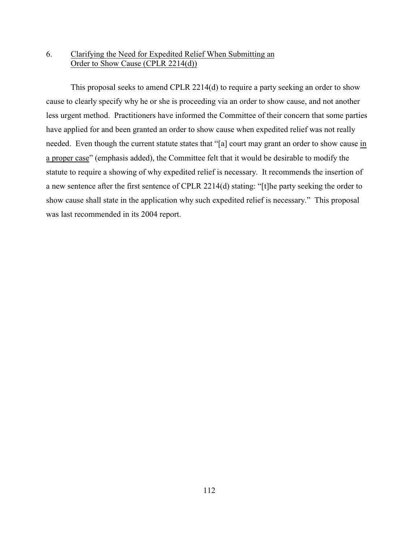# 6. Clarifying the Need for Expedited Relief When Submitting an Order to Show Cause (CPLR 2214(d))

This proposal seeks to amend CPLR 2214(d) to require a party seeking an order to show cause to clearly specify why he or she is proceeding via an order to show cause, and not another less urgent method. Practitioners have informed the Committee of their concern that some parties have applied for and been granted an order to show cause when expedited relief was not really needed. Even though the current statute states that "[a] court may grant an order to show cause in a proper case" (emphasis added), the Committee felt that it would be desirable to modify the statute to require a showing of why expedited relief is necessary. It recommends the insertion of a new sentence after the first sentence of CPLR 2214(d) stating: "[t]he party seeking the order to show cause shall state in the application why such expedited relief is necessary." This proposal was last recommended in its 2004 report.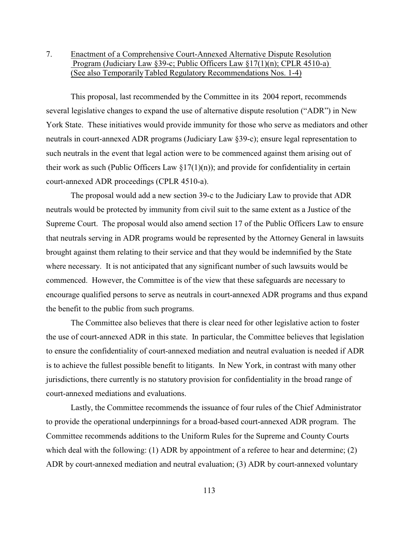# 7. Enactment of a Comprehensive Court-Annexed Alternative Dispute Resolution Program (Judiciary Law §39-c; Public Officers Law §17(1)(n); CPLR 4510-a) (See also TemporarilyTabled Regulatory Recommendations Nos. 1-4)

This proposal, last recommended by the Committee in its 2004 report, recommends several legislative changes to expand the use of alternative dispute resolution ("ADR") in New York State. These initiatives would provide immunity for those who serve as mediators and other neutrals in court-annexed ADR programs (Judiciary Law §39-c); ensure legal representation to such neutrals in the event that legal action were to be commenced against them arising out of their work as such (Public Officers Law  $\S17(1)(n)$ ); and provide for confidentiality in certain court-annexed ADR proceedings (CPLR 4510-a).

The proposal would add a new section 39-c to the Judiciary Law to provide that ADR neutrals would be protected by immunity from civil suit to the same extent as a Justice of the Supreme Court. The proposal would also amend section 17 of the Public Officers Law to ensure that neutrals serving in ADR programs would be represented by the Attorney General in lawsuits brought against them relating to their service and that they would be indemnified by the State where necessary. It is not anticipated that any significant number of such lawsuits would be commenced. However, the Committee is of the view that these safeguards are necessary to encourage qualified persons to serve as neutrals in court-annexed ADR programs and thus expand the benefit to the public from such programs.

The Committee also believes that there is clear need for other legislative action to foster the use of court-annexed ADR in this state. In particular, the Committee believes that legislation to ensure the confidentiality of court-annexed mediation and neutral evaluation is needed if ADR is to achieve the fullest possible benefit to litigants. In New York, in contrast with many other jurisdictions, there currently is no statutory provision for confidentiality in the broad range of court-annexed mediations and evaluations.

Lastly, the Committee recommends the issuance of four rules of the Chief Administrator to provide the operational underpinnings for a broad-based court-annexed ADR program. The Committee recommends additions to the Uniform Rules for the Supreme and County Courts which deal with the following: (1) ADR by appointment of a referee to hear and determine; (2) ADR by court-annexed mediation and neutral evaluation; (3) ADR by court-annexed voluntary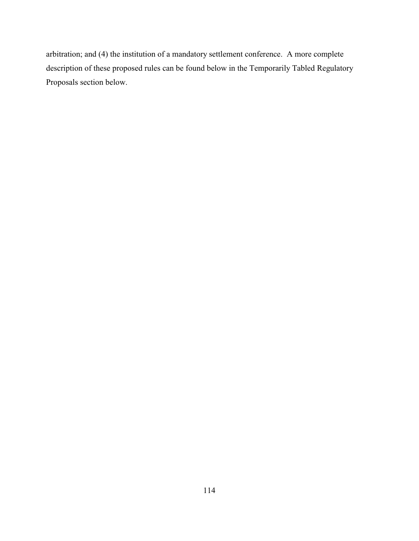arbitration; and (4) the institution of a mandatory settlement conference. A more complete description of these proposed rules can be found below in the Temporarily Tabled Regulatory Proposals section below.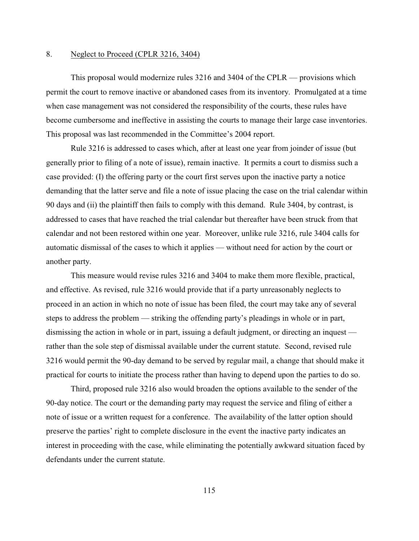#### 8. Neglect to Proceed (CPLR 3216, 3404)

This proposal would modernize rules 3216 and 3404 of the CPLR — provisions which permit the court to remove inactive or abandoned cases from its inventory. Promulgated at a time when case management was not considered the responsibility of the courts, these rules have become cumbersome and ineffective in assisting the courts to manage their large case inventories. This proposal was last recommended in the Committee's 2004 report.

Rule 3216 is addressed to cases which, after at least one year from joinder of issue (but generally prior to filing of a note of issue), remain inactive. It permits a court to dismiss such a case provided: (I) the offering party or the court first serves upon the inactive party a notice demanding that the latter serve and file a note of issue placing the case on the trial calendar within 90 days and (ii) the plaintiff then fails to comply with this demand. Rule 3404, by contrast, is addressed to cases that have reached the trial calendar but thereafter have been struck from that calendar and not been restored within one year. Moreover, unlike rule 3216, rule 3404 calls for automatic dismissal of the cases to which it applies — without need for action by the court or another party.

This measure would revise rules 3216 and 3404 to make them more flexible, practical, and effective. As revised, rule 3216 would provide that if a party unreasonably neglects to proceed in an action in which no note of issue has been filed, the court may take any of several steps to address the problem — striking the offending party's pleadings in whole or in part, dismissing the action in whole or in part, issuing a default judgment, or directing an inquest rather than the sole step of dismissal available under the current statute. Second, revised rule 3216 would permit the 90-day demand to be served by regular mail, a change that should make it practical for courts to initiate the process rather than having to depend upon the parties to do so.

Third, proposed rule 3216 also would broaden the options available to the sender of the 90-day notice. The court or the demanding party may request the service and filing of either a note of issue or a written request for a conference. The availability of the latter option should preserve the parties' right to complete disclosure in the event the inactive party indicates an interest in proceeding with the case, while eliminating the potentially awkward situation faced by defendants under the current statute.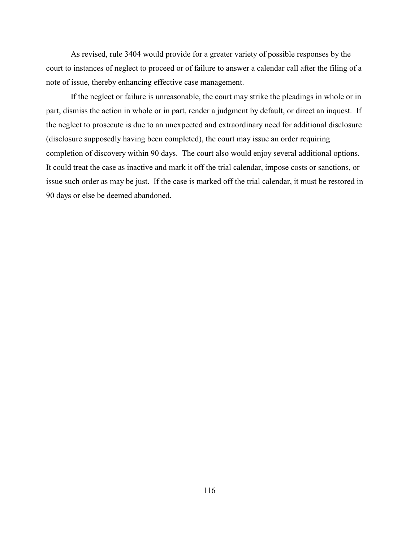As revised, rule 3404 would provide for a greater variety of possible responses by the court to instances of neglect to proceed or of failure to answer a calendar call after the filing of a note of issue, thereby enhancing effective case management.

If the neglect or failure is unreasonable, the court may strike the pleadings in whole or in part, dismiss the action in whole or in part, render a judgment by default, or direct an inquest. If the neglect to prosecute is due to an unexpected and extraordinary need for additional disclosure (disclosure supposedly having been completed), the court may issue an order requiring completion of discovery within 90 days. The court also would enjoy several additional options. It could treat the case as inactive and mark it off the trial calendar, impose costs or sanctions, or issue such order as may be just. If the case is marked off the trial calendar, it must be restored in 90 days or else be deemed abandoned.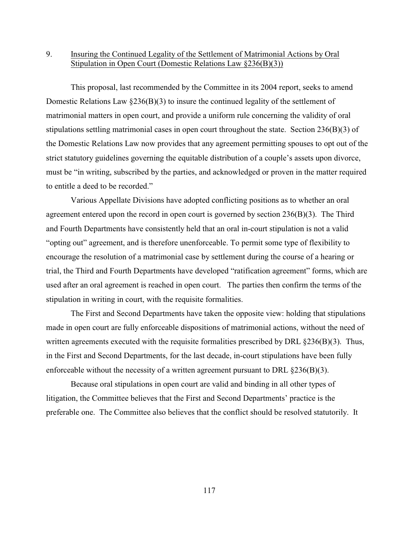## 9. Insuring the Continued Legality of the Settlement of Matrimonial Actions by Oral Stipulation in Open Court (Domestic Relations Law §236(B)(3))

This proposal, last recommended by the Committee in its 2004 report, seeks to amend Domestic Relations Law §236(B)(3) to insure the continued legality of the settlement of matrimonial matters in open court, and provide a uniform rule concerning the validity of oral stipulations settling matrimonial cases in open court throughout the state. Section  $236(B)(3)$  of the Domestic Relations Law now provides that any agreement permitting spouses to opt out of the strict statutory guidelines governing the equitable distribution of a couple's assets upon divorce, must be "in writing, subscribed by the parties, and acknowledged or proven in the matter required to entitle a deed to be recorded."

Various Appellate Divisions have adopted conflicting positions as to whether an oral agreement entered upon the record in open court is governed by section 236(B)(3). The Third and Fourth Departments have consistently held that an oral in-court stipulation is not a valid "opting out" agreement, and is therefore unenforceable. To permit some type of flexibility to encourage the resolution of a matrimonial case by settlement during the course of a hearing or trial, the Third and Fourth Departments have developed "ratification agreement" forms, which are used after an oral agreement is reached in open court. The parties then confirm the terms of the stipulation in writing in court, with the requisite formalities.

The First and Second Departments have taken the opposite view: holding that stipulations made in open court are fully enforceable dispositions of matrimonial actions, without the need of written agreements executed with the requisite formalities prescribed by DRL §236(B)(3). Thus, in the First and Second Departments, for the last decade, in-court stipulations have been fully enforceable without the necessity of a written agreement pursuant to DRL §236(B)(3).

Because oral stipulations in open court are valid and binding in all other types of litigation, the Committee believes that the First and Second Departments' practice is the preferable one. The Committee also believes that the conflict should be resolved statutorily. It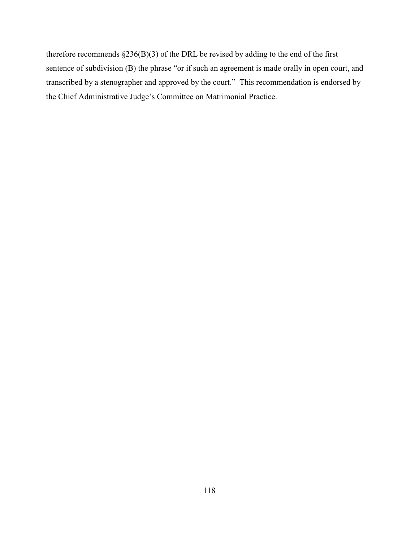therefore recommends §236(B)(3) of the DRL be revised by adding to the end of the first sentence of subdivision (B) the phrase "or if such an agreement is made orally in open court, and transcribed by a stenographer and approved by the court." This recommendation is endorsed by the Chief Administrative Judge's Committee on Matrimonial Practice.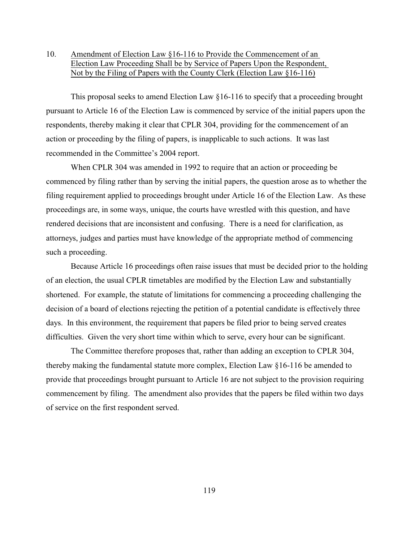# 10. Amendment of Election Law §16-116 to Provide the Commencement of an Election Law Proceeding Shall be by Service of Papers Upon the Respondent, Not by the Filing of Papers with the County Clerk (Election Law §16-116)

This proposal seeks to amend Election Law §16-116 to specify that a proceeding brought pursuant to Article 16 of the Election Law is commenced by service of the initial papers upon the respondents, thereby making it clear that CPLR 304, providing for the commencement of an action or proceeding by the filing of papers, is inapplicable to such actions. It was last recommended in the Committee's 2004 report.

When CPLR 304 was amended in 1992 to require that an action or proceeding be commenced by filing rather than by serving the initial papers, the question arose as to whether the filing requirement applied to proceedings brought under Article 16 of the Election Law. As these proceedings are, in some ways, unique, the courts have wrestled with this question, and have rendered decisions that are inconsistent and confusing. There is a need for clarification, as attorneys, judges and parties must have knowledge of the appropriate method of commencing such a proceeding.

Because Article 16 proceedings often raise issues that must be decided prior to the holding of an election, the usual CPLR timetables are modified by the Election Law and substantially shortened. For example, the statute of limitations for commencing a proceeding challenging the decision of a board of elections rejecting the petition of a potential candidate is effectively three days. In this environment, the requirement that papers be filed prior to being served creates difficulties. Given the very short time within which to serve, every hour can be significant.

The Committee therefore proposes that, rather than adding an exception to CPLR 304, thereby making the fundamental statute more complex, Election Law §16-116 be amended to provide that proceedings brought pursuant to Article 16 are not subject to the provision requiring commencement by filing. The amendment also provides that the papers be filed within two days of service on the first respondent served.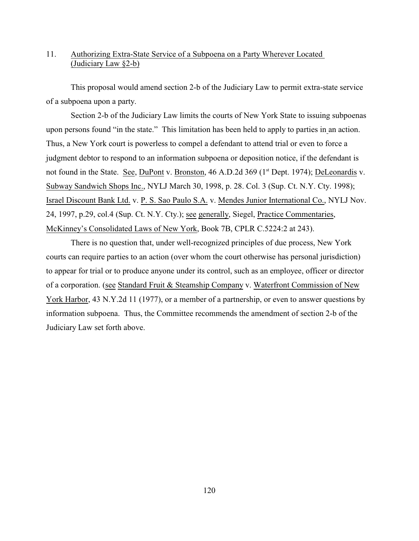## 11. Authorizing Extra-State Service of a Subpoena on a Party Wherever Located (Judiciary Law §2-b)

This proposal would amend section 2-b of the Judiciary Law to permit extra-state service of a subpoena upon a party.

Section 2-b of the Judiciary Law limits the courts of New York State to issuing subpoenas upon persons found "in the state." This limitation has been held to apply to parties in an action. Thus, a New York court is powerless to compel a defendant to attend trial or even to force a judgment debtor to respond to an information subpoena or deposition notice, if the defendant is not found in the State. See, DuPont v. Bronston, 46 A.D.2d 369 (1<sup>st</sup> Dept. 1974); DeLeonardis v. Subway Sandwich Shops Inc., NYLJ March 30, 1998, p. 28. Col. 3 (Sup. Ct. N.Y. Cty. 1998); Israel Discount Bank Ltd. v. P. S. Sao Paulo S.A. v. Mendes Junior International Co., NYLJ Nov. 24, 1997, p.29, col.4 (Sup. Ct. N.Y. Cty.); see generally, Siegel, Practice Commentaries, McKinney's Consolidated Laws of New York, Book 7B, CPLR C.5224:2 at 243).

There is no question that, under well-recognized principles of due process, New York courts can require parties to an action (over whom the court otherwise has personal jurisdiction) to appear for trial or to produce anyone under its control, such as an employee, officer or director of a corporation. (see Standard Fruit & Steamship Company v. Waterfront Commission of New York Harbor, 43 N.Y.2d 11 (1977), or a member of a partnership, or even to answer questions by information subpoena. Thus, the Committee recommends the amendment of section 2-b of the Judiciary Law set forth above.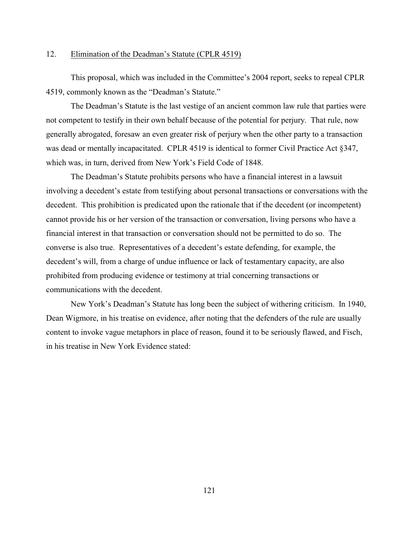### 12. Elimination of the Deadman's Statute (CPLR 4519)

This proposal, which was included in the Committee's 2004 report, seeks to repeal CPLR 4519, commonly known as the "Deadman's Statute."

The Deadman's Statute is the last vestige of an ancient common law rule that parties were not competent to testify in their own behalf because of the potential for perjury. That rule, now generally abrogated, foresaw an even greater risk of perjury when the other party to a transaction was dead or mentally incapacitated. CPLR 4519 is identical to former Civil Practice Act §347, which was, in turn, derived from New York's Field Code of 1848.

The Deadman's Statute prohibits persons who have a financial interest in a lawsuit involving a decedent's estate from testifying about personal transactions or conversations with the decedent. This prohibition is predicated upon the rationale that if the decedent (or incompetent) cannot provide his or her version of the transaction or conversation, living persons who have a financial interest in that transaction or conversation should not be permitted to do so. The converse is also true. Representatives of a decedent's estate defending, for example, the decedent's will, from a charge of undue influence or lack of testamentary capacity, are also prohibited from producing evidence or testimony at trial concerning transactions or communications with the decedent.

New York's Deadman's Statute has long been the subject of withering criticism. In 1940, Dean Wigmore, in his treatise on evidence, after noting that the defenders of the rule are usually content to invoke vague metaphors in place of reason, found it to be seriously flawed, and Fisch, in his treatise in New York Evidence stated: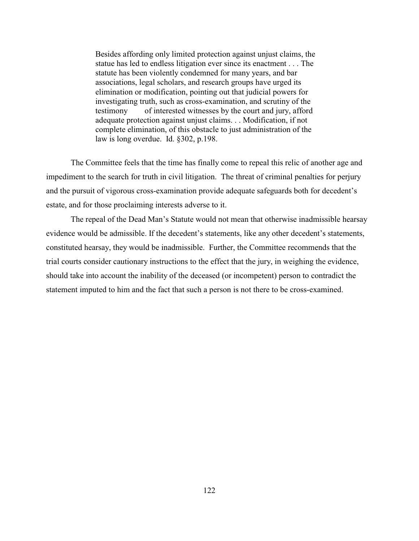Besides affording only limited protection against unjust claims, the statue has led to endless litigation ever since its enactment . . . The statute has been violently condemned for many years, and bar associations, legal scholars, and research groups have urged its elimination or modification, pointing out that judicial powers for investigating truth, such as cross-examination, and scrutiny of the testimony of interested witnesses by the court and jury, afford adequate protection against unjust claims. . . Modification, if not complete elimination, of this obstacle to just administration of the law is long overdue. Id. §302, p.198.

The Committee feels that the time has finally come to repeal this relic of another age and impediment to the search for truth in civil litigation. The threat of criminal penalties for perjury and the pursuit of vigorous cross-examination provide adequate safeguards both for decedent's estate, and for those proclaiming interests adverse to it.

The repeal of the Dead Man's Statute would not mean that otherwise inadmissible hearsay evidence would be admissible. If the decedent's statements, like any other decedent's statements, constituted hearsay, they would be inadmissible. Further, the Committee recommends that the trial courts consider cautionary instructions to the effect that the jury, in weighing the evidence, should take into account the inability of the deceased (or incompetent) person to contradict the statement imputed to him and the fact that such a person is not there to be cross-examined.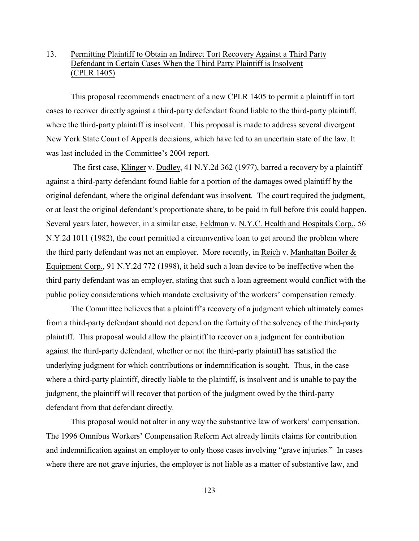# 13. Permitting Plaintiff to Obtain an Indirect Tort Recovery Against a Third Party Defendant in Certain Cases When the Third Party Plaintiff is Insolvent (CPLR 1405)

This proposal recommends enactment of a new CPLR 1405 to permit a plaintiff in tort cases to recover directly against a third-party defendant found liable to the third-party plaintiff, where the third-party plaintiff is insolvent. This proposal is made to address several divergent New York State Court of Appeals decisions, which have led to an uncertain state of the law. It was last included in the Committee's 2004 report.

 The first case, Klinger v. Dudley, 41 N.Y.2d 362 (1977), barred a recovery by a plaintiff against a third-party defendant found liable for a portion of the damages owed plaintiff by the original defendant, where the original defendant was insolvent. The court required the judgment, or at least the original defendant's proportionate share, to be paid in full before this could happen. Several years later, however, in a similar case, Feldman v. N.Y.C. Health and Hospitals Corp., 56 N.Y.2d 1011 (1982), the court permitted a circumventive loan to get around the problem where the third party defendant was not an employer. More recently, in Reich v. Manhattan Boiler & Equipment Corp., 91 N.Y.2d 772 (1998), it held such a loan device to be ineffective when the third party defendant was an employer, stating that such a loan agreement would conflict with the public policy considerations which mandate exclusivity of the workers' compensation remedy.

The Committee believes that a plaintiff's recovery of a judgment which ultimately comes from a third-party defendant should not depend on the fortuity of the solvency of the third-party plaintiff. This proposal would allow the plaintiff to recover on a judgment for contribution against the third-party defendant, whether or not the third-party plaintiff has satisfied the underlying judgment for which contributions or indemnification is sought. Thus, in the case where a third-party plaintiff, directly liable to the plaintiff, is insolvent and is unable to pay the judgment, the plaintiff will recover that portion of the judgment owed by the third-party defendant from that defendant directly.

This proposal would not alter in any way the substantive law of workers' compensation. The 1996 Omnibus Workers' Compensation Reform Act already limits claims for contribution and indemnification against an employer to only those cases involving "grave injuries." In cases where there are not grave injuries, the employer is not liable as a matter of substantive law, and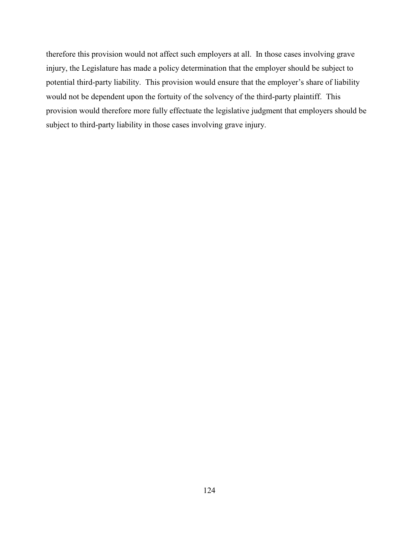therefore this provision would not affect such employers at all. In those cases involving grave injury, the Legislature has made a policy determination that the employer should be subject to potential third-party liability. This provision would ensure that the employer's share of liability would not be dependent upon the fortuity of the solvency of the third-party plaintiff. This provision would therefore more fully effectuate the legislative judgment that employers should be subject to third-party liability in those cases involving grave injury.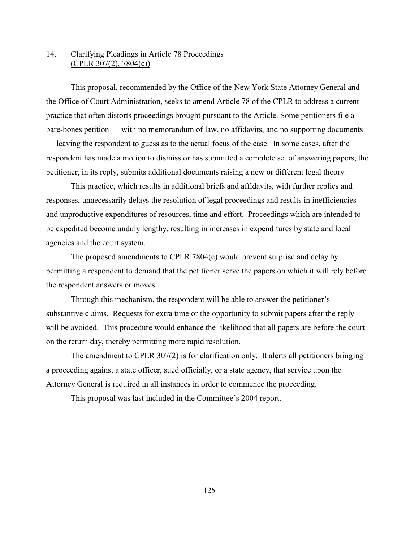## 14. Clarifying Pleadings in Article 78 Proceedings (CPLR 307(2), 7804(c))

This proposal, recommended by the Office of the New York State Attorney General and the Office of Court Administration, seeks to amend Article 78 of the CPLR to address a current practice that often distorts proceedings brought pursuant to the Article. Some petitioners file a bare-bones petition — with no memorandum of law, no affidavits, and no supporting documents — leaving the respondent to guess as to the actual focus of the case. In some cases, after the respondent has made a motion to dismiss or has submitted a complete set of answering papers, the petitioner, in its reply, submits additional documents raising a new or different legal theory.

This practice, which results in additional briefs and affidavits, with further replies and responses, unnecessarily delays the resolution of legal proceedings and results in inefficiencies and unproductive expenditures of resources, time and effort. Proceedings which are intended to be expedited become unduly lengthy, resulting in increases in expenditures by state and local agencies and the court system.

The proposed amendments to CPLR 7804(c) would prevent surprise and delay by permitting a respondent to demand that the petitioner serve the papers on which it will rely before the respondent answers or moves.

Through this mechanism, the respondent will be able to answer the petitioner's substantive claims. Requests for extra time or the opportunity to submit papers after the reply will be avoided. This procedure would enhance the likelihood that all papers are before the court on the return day, thereby permitting more rapid resolution.

The amendment to CPLR 307(2) is for clarification only. It alerts all petitioners bringing a proceeding against a state officer, sued officially, or a state agency, that service upon the Attorney General is required in all instances in order to commence the proceeding.

This proposal was last included in the Committee's 2004 report.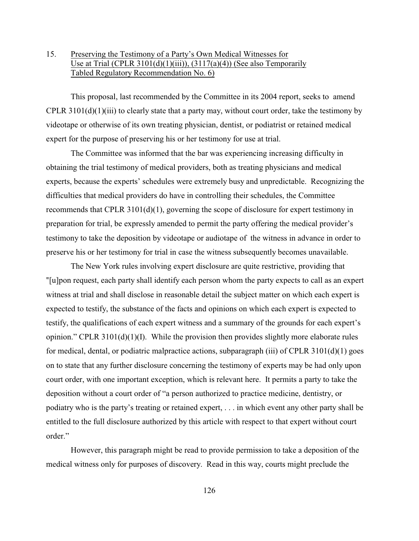# 15. Preserving the Testimony of a Party's Own Medical Witnesses for Use at Trial (CPLR  $3101(d)(1)(iii)$ ),  $(3117(a)(4))$  (See also Temporarily Tabled Regulatory Recommendation No. 6)

This proposal, last recommended by the Committee in its 2004 report, seeks to amend CPLR  $3101(d)(1)(iii)$  to clearly state that a party may, without court order, take the testimony by videotape or otherwise of its own treating physician, dentist, or podiatrist or retained medical expert for the purpose of preserving his or her testimony for use at trial.

The Committee was informed that the bar was experiencing increasing difficulty in obtaining the trial testimony of medical providers, both as treating physicians and medical experts, because the experts' schedules were extremely busy and unpredictable. Recognizing the difficulties that medical providers do have in controlling their schedules, the Committee recommends that CPLR 3101(d)(1), governing the scope of disclosure for expert testimony in preparation for trial, be expressly amended to permit the party offering the medical provider's testimony to take the deposition by videotape or audiotape of the witness in advance in order to preserve his or her testimony for trial in case the witness subsequently becomes unavailable.

The New York rules involving expert disclosure are quite restrictive, providing that ?[u]pon request, each party shall identify each person whom the party expects to call as an expert witness at trial and shall disclose in reasonable detail the subject matter on which each expert is expected to testify, the substance of the facts and opinions on which each expert is expected to testify, the qualifications of each expert witness and a summary of the grounds for each expert's opinion." CPLR 3101(d)(1)(I). While the provision then provides slightly more elaborate rules for medical, dental, or podiatric malpractice actions, subparagraph (iii) of CPLR 3101(d)(1) goes on to state that any further disclosure concerning the testimony of experts may be had only upon court order, with one important exception, which is relevant here. It permits a party to take the deposition without a court order of "a person authorized to practice medicine, dentistry, or podiatry who is the party's treating or retained expert, . . . in which event any other party shall be entitled to the full disclosure authorized by this article with respect to that expert without court order."

However, this paragraph might be read to provide permission to take a deposition of the medical witness only for purposes of discovery. Read in this way, courts might preclude the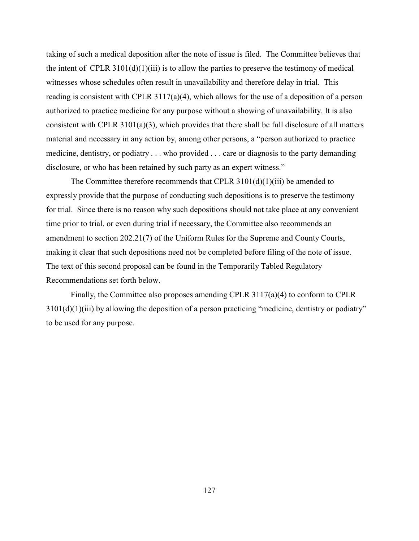taking of such a medical deposition after the note of issue is filed. The Committee believes that the intent of CPLR  $3101(d)(1)(iii)$  is to allow the parties to preserve the testimony of medical witnesses whose schedules often result in unavailability and therefore delay in trial. This reading is consistent with CPLR 3117(a)(4), which allows for the use of a deposition of a person authorized to practice medicine for any purpose without a showing of unavailability. It is also consistent with CPLR 3101(a)(3), which provides that there shall be full disclosure of all matters material and necessary in any action by, among other persons, a "person authorized to practice medicine, dentistry, or podiatry . . . who provided . . . care or diagnosis to the party demanding disclosure, or who has been retained by such party as an expert witness."

The Committee therefore recommends that CPLR  $3101(d)(1)(iii)$  be amended to expressly provide that the purpose of conducting such depositions is to preserve the testimony for trial. Since there is no reason why such depositions should not take place at any convenient time prior to trial, or even during trial if necessary, the Committee also recommends an amendment to section 202.21(7) of the Uniform Rules for the Supreme and County Courts, making it clear that such depositions need not be completed before filing of the note of issue. The text of this second proposal can be found in the Temporarily Tabled Regulatory Recommendations set forth below.

Finally, the Committee also proposes amending CPLR 3117(a)(4) to conform to CPLR  $3101(d)(1)(iii)$  by allowing the deposition of a person practicing "medicine, dentistry or podiatry" to be used for any purpose.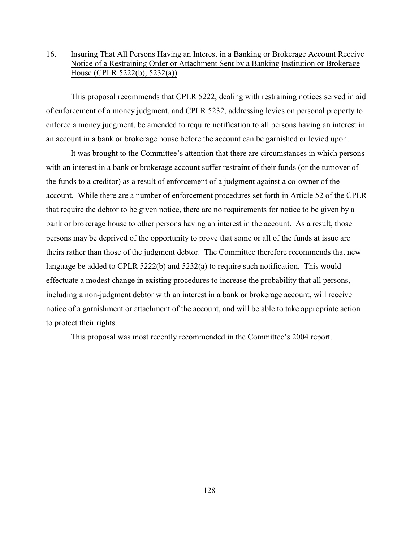## 16. Insuring That All Persons Having an Interest in a Banking or Brokerage Account Receive Notice of a Restraining Order or Attachment Sent by a Banking Institution or Brokerage House (CPLR 5222(b), 5232(a))

This proposal recommends that CPLR 5222, dealing with restraining notices served in aid of enforcement of a money judgment, and CPLR 5232, addressing levies on personal property to enforce a money judgment, be amended to require notification to all persons having an interest in an account in a bank or brokerage house before the account can be garnished or levied upon.

It was brought to the Committee's attention that there are circumstances in which persons with an interest in a bank or brokerage account suffer restraint of their funds (or the turnover of the funds to a creditor) as a result of enforcement of a judgment against a co-owner of the account. While there are a number of enforcement procedures set forth in Article 52 of the CPLR that require the debtor to be given notice, there are no requirements for notice to be given by a bank or brokerage house to other persons having an interest in the account. As a result, those persons may be deprived of the opportunity to prove that some or all of the funds at issue are theirs rather than those of the judgment debtor. The Committee therefore recommends that new language be added to CPLR 5222(b) and 5232(a) to require such notification. This would effectuate a modest change in existing procedures to increase the probability that all persons, including a non-judgment debtor with an interest in a bank or brokerage account, will receive notice of a garnishment or attachment of the account, and will be able to take appropriate action to protect their rights.

This proposal was most recently recommended in the Committee's 2004 report.

128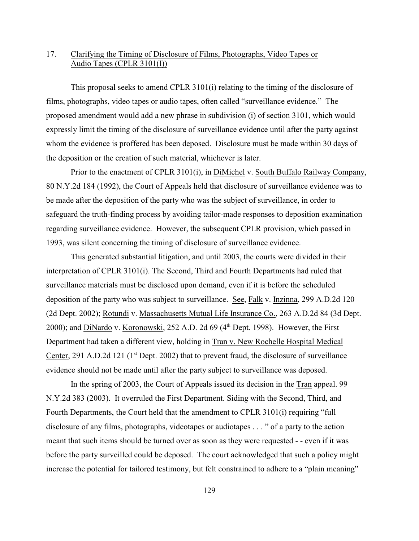# 17. Clarifying the Timing of Disclosure of Films, Photographs, Video Tapes or Audio Tapes (CPLR 3101(I))

This proposal seeks to amend CPLR 3101(i) relating to the timing of the disclosure of films, photographs, video tapes or audio tapes, often called "surveillance evidence." The proposed amendment would add a new phrase in subdivision (i) of section 3101, which would expressly limit the timing of the disclosure of surveillance evidence until after the party against whom the evidence is proffered has been deposed. Disclosure must be made within 30 days of the deposition or the creation of such material, whichever is later.

Prior to the enactment of CPLR 3101(i), in DiMichel v. South Buffalo Railway Company, 80 N.Y.2d 184 (1992), the Court of Appeals held that disclosure of surveillance evidence was to be made after the deposition of the party who was the subject of surveillance, in order to safeguard the truth-finding process by avoiding tailor-made responses to deposition examination regarding surveillance evidence. However, the subsequent CPLR provision, which passed in 1993, was silent concerning the timing of disclosure of surveillance evidence.

This generated substantial litigation, and until 2003, the courts were divided in their interpretation of CPLR 3101(i). The Second, Third and Fourth Departments had ruled that surveillance materials must be disclosed upon demand, even if it is before the scheduled deposition of the party who was subject to surveillance. See, Falk v. Inzinna, 299 A.D.2d 120 (2d Dept. 2002); Rotundi v. Massachusetts Mutual Life Insurance Co., 263 A.D.2d 84 (3d Dept. 2000); and DiNardo v. Koronowski, 252 A.D. 2d  $69$  ( $4<sup>th</sup>$  Dept. 1998). However, the First Department had taken a different view, holding in Tran v. New Rochelle Hospital Medical Center, 291 A.D.2d 121 ( $1<sup>st</sup>$  Dept. 2002) that to prevent fraud, the disclosure of surveillance evidence should not be made until after the party subject to surveillance was deposed.

In the spring of 2003, the Court of Appeals issued its decision in the Tran appeal. 99 N.Y.2d 383 (2003). It overruled the First Department. Siding with the Second, Third, and Fourth Departments, the Court held that the amendment to CPLR 3101(i) requiring "full disclosure of any films, photographs, videotapes or audiotapes . . . " of a party to the action meant that such items should be turned over as soon as they were requested - - even if it was before the party surveilled could be deposed. The court acknowledged that such a policy might increase the potential for tailored testimony, but felt constrained to adhere to a "plain meaning"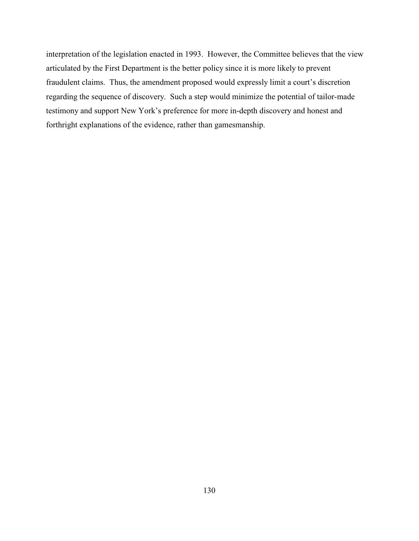interpretation of the legislation enacted in 1993. However, the Committee believes that the view articulated by the First Department is the better policy since it is more likely to prevent fraudulent claims. Thus, the amendment proposed would expressly limit a court's discretion regarding the sequence of discovery. Such a step would minimize the potential of tailor-made testimony and support New York's preference for more in-depth discovery and honest and forthright explanations of the evidence, rather than gamesmanship.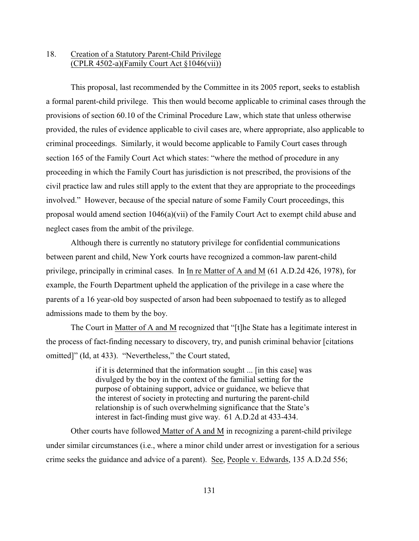## 18. Creation of a Statutory Parent-Child Privilege (CPLR 4502-a)(Family Court Act §1046(vii))

This proposal, last recommended by the Committee in its 2005 report, seeks to establish a formal parent-child privilege. This then would become applicable to criminal cases through the provisions of section 60.10 of the Criminal Procedure Law, which state that unless otherwise provided, the rules of evidence applicable to civil cases are, where appropriate, also applicable to criminal proceedings. Similarly, it would become applicable to Family Court cases through section 165 of the Family Court Act which states: "where the method of procedure in any proceeding in which the Family Court has jurisdiction is not prescribed, the provisions of the civil practice law and rules still apply to the extent that they are appropriate to the proceedings involved." However, because of the special nature of some Family Court proceedings, this proposal would amend section 1046(a)(vii) of the Family Court Act to exempt child abuse and neglect cases from the ambit of the privilege.

Although there is currently no statutory privilege for confidential communications between parent and child, New York courts have recognized a common-law parent-child privilege, principally in criminal cases. In In re Matter of A and M (61 A.D.2d 426, 1978), for example, the Fourth Department upheld the application of the privilege in a case where the parents of a 16 year-old boy suspected of arson had been subpoenaed to testify as to alleged admissions made to them by the boy.

The Court in Matter of A and M recognized that "[t]he State has a legitimate interest in the process of fact-finding necessary to discovery, try, and punish criminal behavior [citations omitted]" (Id, at 433). "Nevertheless," the Court stated,

> if it is determined that the information sought ... [in this case] was divulged by the boy in the context of the familial setting for the purpose of obtaining support, advice or guidance, we believe that the interest of society in protecting and nurturing the parent-child relationship is of such overwhelming significance that the State's interest in fact-finding must give way. 61 A.D.2d at 433-434.

Other courts have followed Matter of A and M in recognizing a parent-child privilege under similar circumstances (i.e., where a minor child under arrest or investigation for a serious crime seeks the guidance and advice of a parent). See, People v. Edwards, 135 A.D.2d 556;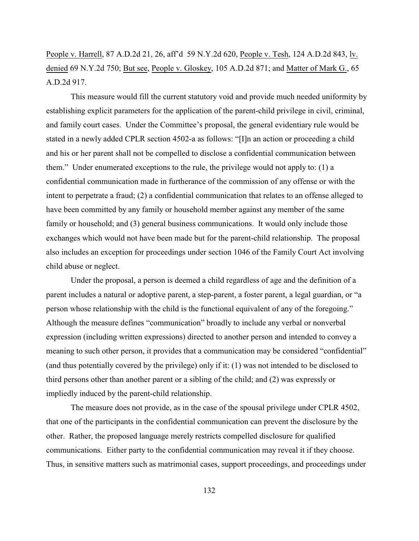People v. Harrell, 87 A.D.2d 21, 26, aff'd 59 N.Y.2d 620, People v. Tesh, 124 A.D.2d 843, lv. denied 69 N.Y.2d 750; But see, People v. Gloskey, 105 A.D.2d 871; and Matter of Mark G., 65 A.D.2d 917.

This measure would fill the current statutory void and provide much needed uniformity by establishing explicit parameters for the application of the parent-child privilege in civil, criminal, and family court cases. Under the Committee's proposal, the general evidentiary rule would be stated in a newly added CPLR section 4502-a as follows: "[I]n an action or proceeding a child and his or her parent shall not be compelled to disclose a confidential communication between them." Under enumerated exceptions to the rule, the privilege would not apply to: (1) a confidential communication made in furtherance of the commission of any offense or with the intent to perpetrate a fraud; (2) a confidential communication that relates to an offense alleged to have been committed by any family or household member against any member of the same family or household; and (3) general business communications. It would only include those exchanges which would not have been made but for the parent-child relationship. The proposal also includes an exception for proceedings under section 1046 of the Family Court Act involving child abuse or neglect.

Under the proposal, a person is deemed a child regardless of age and the definition of a parent includes a natural or adoptive parent, a step-parent, a foster parent, a legal guardian, or "a person whose relationship with the child is the functional equivalent of any of the foregoing." Although the measure defines "communication" broadly to include any verbal or nonverbal expression (including written expressions) directed to another person and intended to convey a meaning to such other person, it provides that a communication may be considered "confidential" (and thus potentially covered by the privilege) only if it: (1) was not intended to be disclosed to third persons other than another parent or a sibling of the child; and (2) was expressly or impliedly induced by the parent-child relationship.

The measure does not provide, as in the case of the spousal privilege under CPLR 4502, that one of the participants in the confidential communication can prevent the disclosure by the other. Rather, the proposed language merely restricts compelled disclosure for qualified communications. Either party to the confidential communication may reveal it if they choose. Thus, in sensitive matters such as matrimonial cases, support proceedings, and proceedings under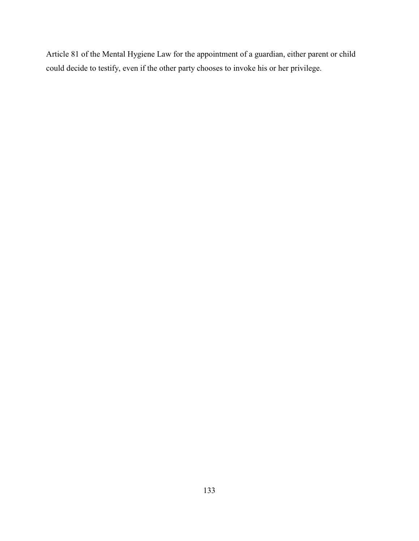Article 81 of the Mental Hygiene Law for the appointment of a guardian, either parent or child could decide to testify, even if the other party chooses to invoke his or her privilege.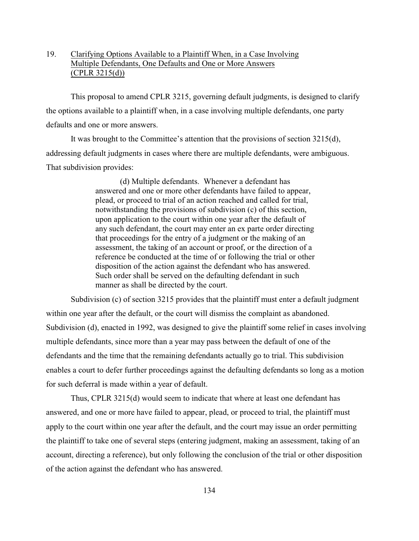## 19. Clarifying Options Available to a Plaintiff When, in a Case Involving Multiple Defendants, One Defaults and One or More Answers  $(CPLR 3215(d))$

This proposal to amend CPLR 3215, governing default judgments, is designed to clarify the options available to a plaintiff when, in a case involving multiple defendants, one party defaults and one or more answers.

It was brought to the Committee's attention that the provisions of section 3215(d), addressing default judgments in cases where there are multiple defendants, were ambiguous. That subdivision provides:

> (d) Multiple defendants. Whenever a defendant has answered and one or more other defendants have failed to appear, plead, or proceed to trial of an action reached and called for trial, notwithstanding the provisions of subdivision (c) of this section, upon application to the court within one year after the default of any such defendant, the court may enter an ex parte order directing that proceedings for the entry of a judgment or the making of an assessment, the taking of an account or proof, or the direction of a reference be conducted at the time of or following the trial or other disposition of the action against the defendant who has answered. Such order shall be served on the defaulting defendant in such manner as shall be directed by the court.

Subdivision (c) of section 3215 provides that the plaintiff must enter a default judgment within one year after the default, or the court will dismiss the complaint as abandoned. Subdivision (d), enacted in 1992, was designed to give the plaintiff some relief in cases involving multiple defendants, since more than a year may pass between the default of one of the defendants and the time that the remaining defendants actually go to trial. This subdivision enables a court to defer further proceedings against the defaulting defendants so long as a motion for such deferral is made within a year of default.

Thus, CPLR 3215(d) would seem to indicate that where at least one defendant has answered, and one or more have failed to appear, plead, or proceed to trial, the plaintiff must apply to the court within one year after the default, and the court may issue an order permitting the plaintiff to take one of several steps (entering judgment, making an assessment, taking of an account, directing a reference), but only following the conclusion of the trial or other disposition of the action against the defendant who has answered.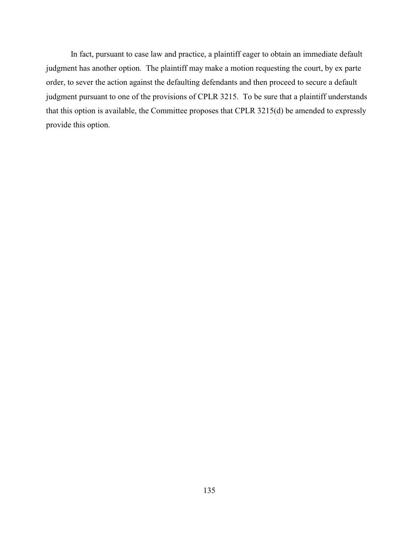In fact, pursuant to case law and practice, a plaintiff eager to obtain an immediate default judgment has another option. The plaintiff may make a motion requesting the court, by ex parte order, to sever the action against the defaulting defendants and then proceed to secure a default judgment pursuant to one of the provisions of CPLR 3215. To be sure that a plaintiff understands that this option is available, the Committee proposes that CPLR 3215(d) be amended to expressly provide this option.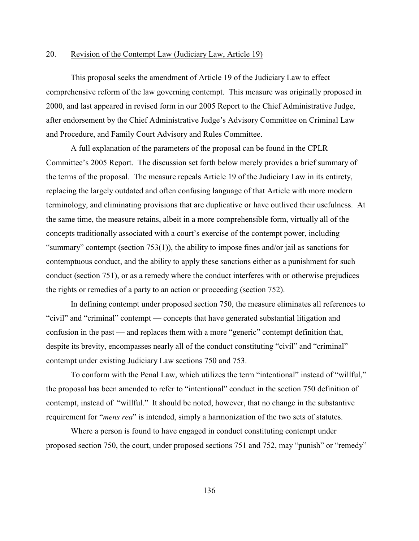### 20. Revision of the Contempt Law (Judiciary Law, Article 19)

This proposal seeks the amendment of Article 19 of the Judiciary Law to effect comprehensive reform of the law governing contempt. This measure was originally proposed in 2000, and last appeared in revised form in our 2005 Report to the Chief Administrative Judge, after endorsement by the Chief Administrative Judge's Advisory Committee on Criminal Law and Procedure, and Family Court Advisory and Rules Committee.

A full explanation of the parameters of the proposal can be found in the CPLR Committee's 2005 Report. The discussion set forth below merely provides a brief summary of the terms of the proposal. The measure repeals Article 19 of the Judiciary Law in its entirety, replacing the largely outdated and often confusing language of that Article with more modern terminology, and eliminating provisions that are duplicative or have outlived their usefulness. At the same time, the measure retains, albeit in a more comprehensible form, virtually all of the concepts traditionally associated with a court's exercise of the contempt power, including "summary" contempt (section  $753(1)$ ), the ability to impose fines and/or jail as sanctions for contemptuous conduct, and the ability to apply these sanctions either as a punishment for such conduct (section 751), or as a remedy where the conduct interferes with or otherwise prejudices the rights or remedies of a party to an action or proceeding (section 752).

In defining contempt under proposed section 750, the measure eliminates all references to "civil" and "criminal" contempt — concepts that have generated substantial litigation and confusion in the past — and replaces them with a more "generic" contempt definition that, despite its brevity, encompasses nearly all of the conduct constituting "civil" and "criminal" contempt under existing Judiciary Law sections 750 and 753.

To conform with the Penal Law, which utilizes the term "intentional" instead of "willful," the proposal has been amended to refer to "intentional" conduct in the section 750 definition of contempt, instead of "willful." It should be noted, however, that no change in the substantive requirement for "*mens rea*" is intended, simply a harmonization of the two sets of statutes.

Where a person is found to have engaged in conduct constituting contempt under proposed section 750, the court, under proposed sections 751 and 752, may "punish" or "remedy"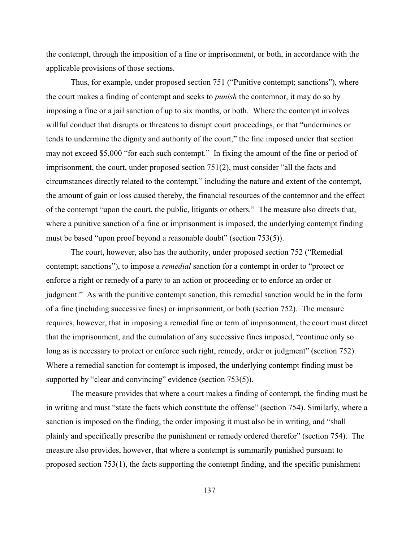the contempt, through the imposition of a fine or imprisonment, or both, in accordance with the applicable provisions of those sections.

Thus, for example, under proposed section 751 ("Punitive contempt; sanctions"), where the court makes a finding of contempt and seeks to *punish* the contemnor, it may do so by imposing a fine or a jail sanction of up to six months, or both. Where the contempt involves willful conduct that disrupts or threatens to disrupt court proceedings, or that "undermines or tends to undermine the dignity and authority of the court," the fine imposed under that section may not exceed \$5,000 "for each such contempt." In fixing the amount of the fine or period of imprisonment, the court, under proposed section 751(2), must consider "all the facts and circumstances directly related to the contempt," including the nature and extent of the contempt, the amount of gain or loss caused thereby, the financial resources of the contemnor and the effect of the contempt "upon the court, the public, litigants or others." The measure also directs that, where a punitive sanction of a fine or imprisonment is imposed, the underlying contempt finding must be based "upon proof beyond a reasonable doubt" (section 753(5)).

The court, however, also has the authority, under proposed section 752 ("Remedial contempt; sanctions"), to impose a *remedial* sanction for a contempt in order to "protect or enforce a right or remedy of a party to an action or proceeding or to enforce an order or judgment." As with the punitive contempt sanction, this remedial sanction would be in the form of a fine (including successive fines) or imprisonment, or both (section 752). The measure requires, however, that in imposing a remedial fine or term of imprisonment, the court must direct that the imprisonment, and the cumulation of any successive fines imposed, "continue only so long as is necessary to protect or enforce such right, remedy, order or judgment" (section 752). Where a remedial sanction for contempt is imposed, the underlying contempt finding must be supported by "clear and convincing" evidence (section 753(5)).

The measure provides that where a court makes a finding of contempt, the finding must be in writing and must "state the facts which constitute the offense" (section 754). Similarly, where a sanction is imposed on the finding, the order imposing it must also be in writing, and "shall plainly and specifically prescribe the punishment or remedy ordered therefor" (section 754). The measure also provides, however, that where a contempt is summarily punished pursuant to proposed section 753(1), the facts supporting the contempt finding, and the specific punishment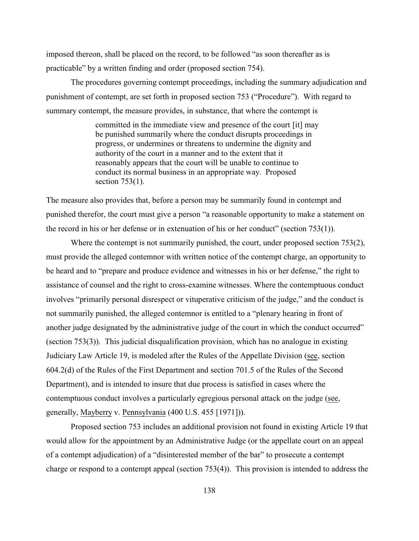imposed thereon, shall be placed on the record, to be followed "as soon thereafter as is practicable" by a written finding and order (proposed section 754).

The procedures governing contempt proceedings, including the summary adjudication and punishment of contempt, are set forth in proposed section 753 ("Procedure"). With regard to summary contempt, the measure provides, in substance, that where the contempt is

> committed in the immediate view and presence of the court [it] may be punished summarily where the conduct disrupts proceedings in progress, or undermines or threatens to undermine the dignity and authority of the court in a manner and to the extent that it reasonably appears that the court will be unable to continue to conduct its normal business in an appropriate way. Proposed section 753(1).

The measure also provides that, before a person may be summarily found in contempt and punished therefor, the court must give a person "a reasonable opportunity to make a statement on the record in his or her defense or in extenuation of his or her conduct" (section 753(1)).

Where the contempt is not summarily punished, the court, under proposed section 753(2), must provide the alleged contemnor with written notice of the contempt charge, an opportunity to be heard and to "prepare and produce evidence and witnesses in his or her defense," the right to assistance of counsel and the right to cross-examine witnesses. Where the contemptuous conduct involves "primarily personal disrespect or vituperative criticism of the judge," and the conduct is not summarily punished, the alleged contemnor is entitled to a "plenary hearing in front of another judge designated by the administrative judge of the court in which the conduct occurred" (section 753(3)). This judicial disqualification provision, which has no analogue in existing Judiciary Law Article 19, is modeled after the Rules of the Appellate Division (see, section 604.2(d) of the Rules of the First Department and section 701.5 of the Rules of the Second Department), and is intended to insure that due process is satisfied in cases where the contemptuous conduct involves a particularly egregious personal attack on the judge (see, generally, Mayberry v. Pennsylvania (400 U.S. 455 [1971])).

Proposed section 753 includes an additional provision not found in existing Article 19 that would allow for the appointment by an Administrative Judge (or the appellate court on an appeal of a contempt adjudication) of a "disinterested member of the bar" to prosecute a contempt charge or respond to a contempt appeal (section 753(4)). This provision is intended to address the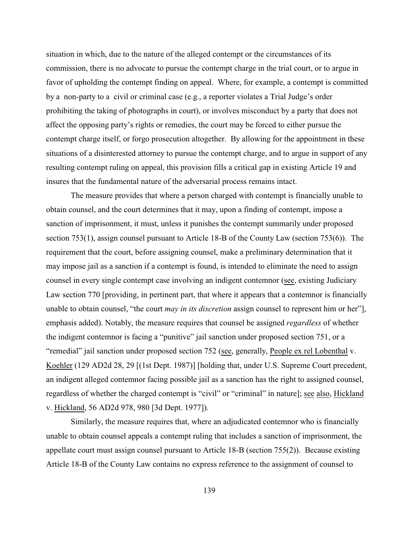situation in which, due to the nature of the alleged contempt or the circumstances of its commission, there is no advocate to pursue the contempt charge in the trial court, or to argue in favor of upholding the contempt finding on appeal. Where, for example, a contempt is committed by a non-party to a civil or criminal case (e.g., a reporter violates a Trial Judge's order prohibiting the taking of photographs in court), or involves misconduct by a party that does not affect the opposing party's rights or remedies, the court may be forced to either pursue the contempt charge itself, or forgo prosecution altogether. By allowing for the appointment in these situations of a disinterested attorney to pursue the contempt charge, and to argue in support of any resulting contempt ruling on appeal, this provision fills a critical gap in existing Article 19 and insures that the fundamental nature of the adversarial process remains intact.

The measure provides that where a person charged with contempt is financially unable to obtain counsel, and the court determines that it may, upon a finding of contempt, impose a sanction of imprisonment, it must, unless it punishes the contempt summarily under proposed section 753(1), assign counsel pursuant to Article 18-B of the County Law (section 753(6)). The requirement that the court, before assigning counsel, make a preliminary determination that it may impose jail as a sanction if a contempt is found, is intended to eliminate the need to assign counsel in every single contempt case involving an indigent contemnor (see, existing Judiciary Law section 770 [providing, in pertinent part, that where it appears that a contemnor is financially unable to obtain counsel, "the court *may in its discretion* assign counsel to represent him or her"], emphasis added). Notably, the measure requires that counsel be assigned *regardless* of whether the indigent contemnor is facing a "punitive" jail sanction under proposed section 751, or a "remedial" jail sanction under proposed section 752 (see, generally, People ex rel Lobenthal v. Koehler (129 AD2d 28, 29 [(1st Dept. 1987)] [holding that, under U.S. Supreme Court precedent, an indigent alleged contemnor facing possible jail as a sanction has the right to assigned counsel, regardless of whether the charged contempt is "civil" or "criminal" in nature]; see also, Hickland v. Hickland, 56 AD2d 978, 980 [3d Dept. 1977]).

Similarly, the measure requires that, where an adjudicated contemnor who is financially unable to obtain counsel appeals a contempt ruling that includes a sanction of imprisonment, the appellate court must assign counsel pursuant to Article 18-B (section 755(2)). Because existing Article 18-B of the County Law contains no express reference to the assignment of counsel to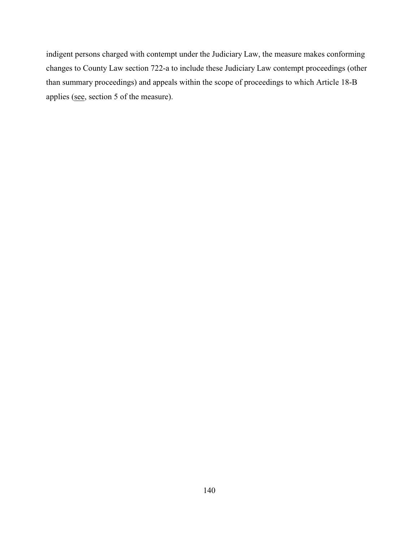indigent persons charged with contempt under the Judiciary Law, the measure makes conforming changes to County Law section 722-a to include these Judiciary Law contempt proceedings (other than summary proceedings) and appeals within the scope of proceedings to which Article 18-B applies (see, section 5 of the measure).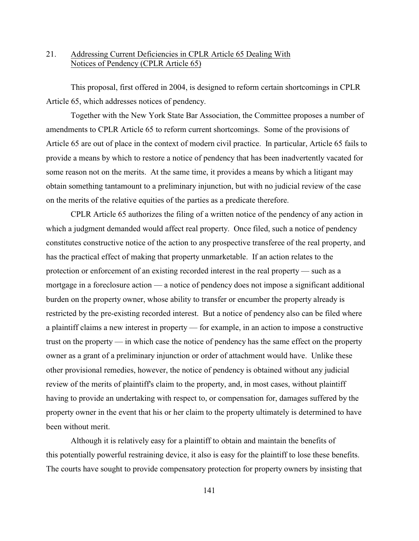## 21. Addressing Current Deficiencies in CPLR Article 65 Dealing With Notices of Pendency (CPLR Article 65)

This proposal, first offered in 2004, is designed to reform certain shortcomings in CPLR Article 65, which addresses notices of pendency.

Together with the New York State Bar Association, the Committee proposes a number of amendments to CPLR Article 65 to reform current shortcomings. Some of the provisions of Article 65 are out of place in the context of modern civil practice. In particular, Article 65 fails to provide a means by which to restore a notice of pendency that has been inadvertently vacated for some reason not on the merits. At the same time, it provides a means by which a litigant may obtain something tantamount to a preliminary injunction, but with no judicial review of the case on the merits of the relative equities of the parties as a predicate therefore.

CPLR Article 65 authorizes the filing of a written notice of the pendency of any action in which a judgment demanded would affect real property. Once filed, such a notice of pendency constitutes constructive notice of the action to any prospective transferee of the real property, and has the practical effect of making that property unmarketable. If an action relates to the protection or enforcement of an existing recorded interest in the real property — such as a mortgage in a foreclosure action — a notice of pendency does not impose a significant additional burden on the property owner, whose ability to transfer or encumber the property already is restricted by the pre-existing recorded interest. But a notice of pendency also can be filed where a plaintiff claims a new interest in property — for example, in an action to impose a constructive trust on the property — in which case the notice of pendency has the same effect on the property owner as a grant of a preliminary injunction or order of attachment would have. Unlike these other provisional remedies, however, the notice of pendency is obtained without any judicial review of the merits of plaintiff's claim to the property, and, in most cases, without plaintiff having to provide an undertaking with respect to, or compensation for, damages suffered by the property owner in the event that his or her claim to the property ultimately is determined to have been without merit.

Although it is relatively easy for a plaintiff to obtain and maintain the benefits of this potentially powerful restraining device, it also is easy for the plaintiff to lose these benefits. The courts have sought to provide compensatory protection for property owners by insisting that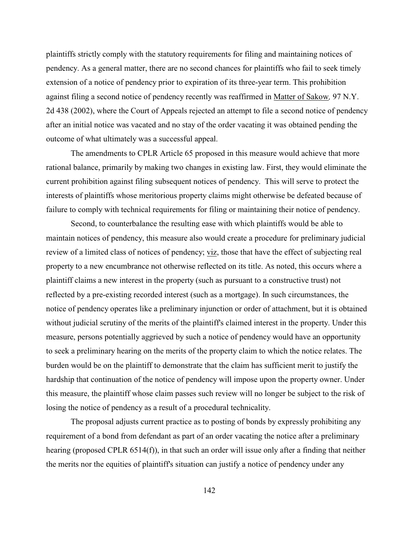plaintiffs strictly comply with the statutory requirements for filing and maintaining notices of pendency. As a general matter, there are no second chances for plaintiffs who fail to seek timely extension of a notice of pendency prior to expiration of its three-year term. This prohibition against filing a second notice of pendency recently was reaffirmed in Matter of Sakow*,* 97 N.Y. 2d 438 (2002), where the Court of Appeals rejected an attempt to file a second notice of pendency after an initial notice was vacated and no stay of the order vacating it was obtained pending the outcome of what ultimately was a successful appeal.

The amendments to CPLR Article 65 proposed in this measure would achieve that more rational balance, primarily by making two changes in existing law. First, they would eliminate the current prohibition against filing subsequent notices of pendency. This will serve to protect the interests of plaintiffs whose meritorious property claims might otherwise be defeated because of failure to comply with technical requirements for filing or maintaining their notice of pendency.

Second, to counterbalance the resulting ease with which plaintiffs would be able to maintain notices of pendency, this measure also would create a procedure for preliminary judicial review of a limited class of notices of pendency; viz, those that have the effect of subjecting real property to a new encumbrance not otherwise reflected on its title. As noted, this occurs where a plaintiff claims a new interest in the property (such as pursuant to a constructive trust) not reflected by a pre-existing recorded interest (such as a mortgage). In such circumstances, the notice of pendency operates like a preliminary injunction or order of attachment, but it is obtained without judicial scrutiny of the merits of the plaintiff's claimed interest in the property. Under this measure, persons potentially aggrieved by such a notice of pendency would have an opportunity to seek a preliminary hearing on the merits of the property claim to which the notice relates. The burden would be on the plaintiff to demonstrate that the claim has sufficient merit to justify the hardship that continuation of the notice of pendency will impose upon the property owner. Under this measure, the plaintiff whose claim passes such review will no longer be subject to the risk of losing the notice of pendency as a result of a procedural technicality.

The proposal adjusts current practice as to posting of bonds by expressly prohibiting any requirement of a bond from defendant as part of an order vacating the notice after a preliminary hearing (proposed CPLR 6514(f)), in that such an order will issue only after a finding that neither the merits nor the equities of plaintiff's situation can justify a notice of pendency under any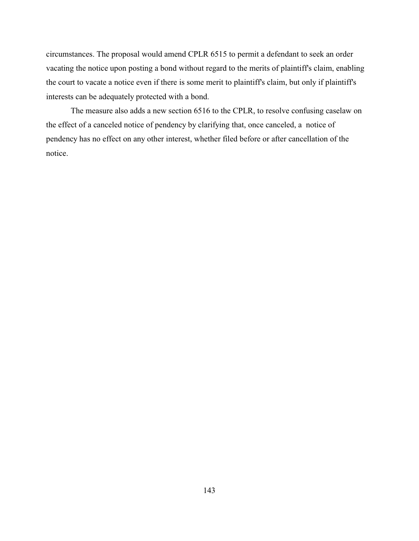circumstances. The proposal would amend CPLR 6515 to permit a defendant to seek an order vacating the notice upon posting a bond without regard to the merits of plaintiff's claim, enabling the court to vacate a notice even if there is some merit to plaintiff's claim, but only if plaintiff's interests can be adequately protected with a bond.

The measure also adds a new section 6516 to the CPLR, to resolve confusing caselaw on the effect of a canceled notice of pendency by clarifying that, once canceled, a notice of pendency has no effect on any other interest, whether filed before or after cancellation of the notice.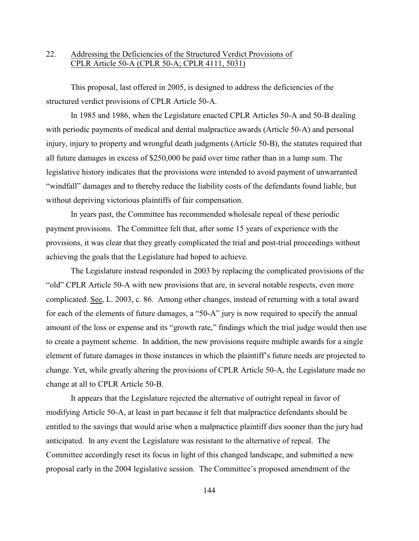# 22. Addressing the Deficiencies of the Structured Verdict Provisions of CPLR Article 50-A (CPLR 50-A; CPLR 4111, 5031)

This proposal, last offered in 2005, is designed to address the deficiencies of the structured verdict provisions of CPLR Article 50-A.

In 1985 and 1986, when the Legislature enacted CPLR Articles 50-A and 50-B dealing with periodic payments of medical and dental malpractice awards (Article 50-A) and personal injury, injury to property and wrongful death judgments (Article 50-B), the statutes required that all future damages in excess of \$250,000 be paid over time rather than in a lump sum. The legislative history indicates that the provisions were intended to avoid payment of unwarranted "windfall" damages and to thereby reduce the liability costs of the defendants found liable, but without depriving victorious plaintiffs of fair compensation.

In years past, the Committee has recommended wholesale repeal of these periodic payment provisions. The Committee felt that, after some 15 years of experience with the provisions, it was clear that they greatly complicated the trial and post-trial proceedings without achieving the goals that the Legislature had hoped to achieve.

The Legislature instead responded in 2003 by replacing the complicated provisions of the "old" CPLR Article 50-A with new provisions that are, in several notable respects, even more complicated. See, L. 2003, c. 86. Among other changes, instead of returning with a total award for each of the elements of future damages, a "50-A" jury is now required to specify the annual amount of the loss or expense and its "growth rate," findings which the trial judge would then use to create a payment scheme. In addition, the new provisions require multiple awards for a single element of future damages in those instances in which the plaintiff's future needs are projected to change. Yet, while greatly altering the provisions of CPLR Article 50-A, the Legislature made no change at all to CPLR Article 50-B.

It appears that the Legislature rejected the alternative of outright repeal in favor of modifying Article 50-A, at least in part because it felt that malpractice defendants should be entitled to the savings that would arise when a malpractice plaintiff dies sooner than the jury had anticipated. In any event the Legislature was resistant to the alternative of repeal. The Committee accordingly reset its focus in light of this changed landscape, and submitted a new proposal early in the 2004 legislative session. The Committee's proposed amendment of the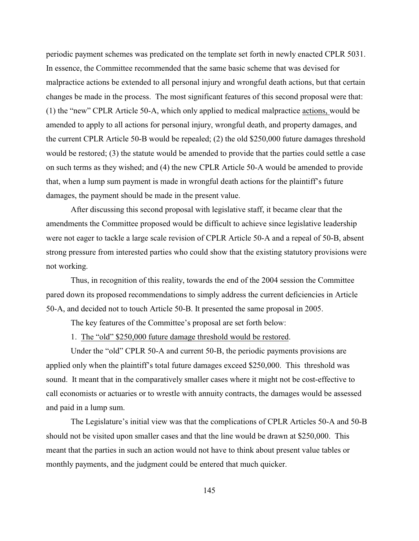periodic payment schemes was predicated on the template set forth in newly enacted CPLR 5031. In essence, the Committee recommended that the same basic scheme that was devised for malpractice actions be extended to all personal injury and wrongful death actions, but that certain changes be made in the process. The most significant features of this second proposal were that: (1) the "new" CPLR Article 50-A, which only applied to medical malpractice actions, would be amended to apply to all actions for personal injury, wrongful death, and property damages, and the current CPLR Article 50-B would be repealed; (2) the old \$250,000 future damages threshold would be restored; (3) the statute would be amended to provide that the parties could settle a case on such terms as they wished; and (4) the new CPLR Article 50-A would be amended to provide that, when a lump sum payment is made in wrongful death actions for the plaintiff's future damages, the payment should be made in the present value.

After discussing this second proposal with legislative staff, it became clear that the amendments the Committee proposed would be difficult to achieve since legislative leadership were not eager to tackle a large scale revision of CPLR Article 50-A and a repeal of 50-B, absent strong pressure from interested parties who could show that the existing statutory provisions were not working.

Thus, in recognition of this reality, towards the end of the 2004 session the Committee pared down its proposed recommendations to simply address the current deficiencies in Article 50-A, and decided not to touch Article 50-B. It presented the same proposal in 2005.

The key features of the Committee's proposal are set forth below:

1. The "old" \$250,000 future damage threshold would be restored.

Under the "old" CPLR 50-A and current 50-B, the periodic payments provisions are applied only when the plaintiff's total future damages exceed \$250,000. This threshold was sound. It meant that in the comparatively smaller cases where it might not be cost-effective to call economists or actuaries or to wrestle with annuity contracts, the damages would be assessed and paid in a lump sum.

The Legislature's initial view was that the complications of CPLR Articles 50-A and 50-B should not be visited upon smaller cases and that the line would be drawn at \$250,000. This meant that the parties in such an action would not have to think about present value tables or monthly payments, and the judgment could be entered that much quicker.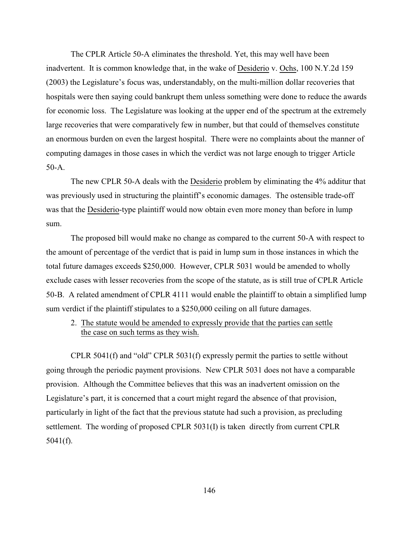The CPLR Article 50-A eliminates the threshold. Yet, this may well have been inadvertent. It is common knowledge that, in the wake of Desiderio v. Ochs, 100 N.Y.2d 159 (2003) the Legislature's focus was, understandably, on the multi-million dollar recoveries that hospitals were then saying could bankrupt them unless something were done to reduce the awards for economic loss. The Legislature was looking at the upper end of the spectrum at the extremely large recoveries that were comparatively few in number, but that could of themselves constitute an enormous burden on even the largest hospital. There were no complaints about the manner of computing damages in those cases in which the verdict was not large enough to trigger Article 50-A.

The new CPLR 50-A deals with the Desiderio problem by eliminating the 4% additur that was previously used in structuring the plaintiff's economic damages. The ostensible trade-off was that the Desiderio-type plaintiff would now obtain even more money than before in lump sum.

The proposed bill would make no change as compared to the current 50-A with respect to the amount of percentage of the verdict that is paid in lump sum in those instances in which the total future damages exceeds \$250,000. However, CPLR 5031 would be amended to wholly exclude cases with lesser recoveries from the scope of the statute, as is still true of CPLR Article 50-B. A related amendment of CPLR 4111 would enable the plaintiff to obtain a simplified lump sum verdict if the plaintiff stipulates to a \$250,000 ceiling on all future damages.

2. The statute would be amended to expressly provide that the parties can settle the case on such terms as they wish.

CPLR 5041(f) and "old" CPLR 5031(f) expressly permit the parties to settle without going through the periodic payment provisions. New CPLR 5031 does not have a comparable provision. Although the Committee believes that this was an inadvertent omission on the Legislature's part, it is concerned that a court might regard the absence of that provision, particularly in light of the fact that the previous statute had such a provision, as precluding settlement. The wording of proposed CPLR 5031(I) is taken directly from current CPLR 5041(f).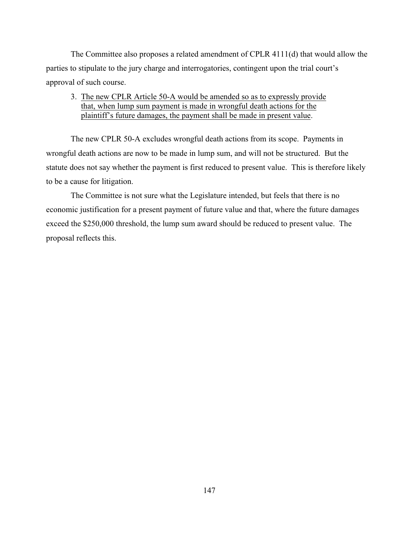The Committee also proposes a related amendment of CPLR 4111(d) that would allow the parties to stipulate to the jury charge and interrogatories, contingent upon the trial court's approval of such course.

# 3. The new CPLR Article 50-A would be amended so as to expressly provide that, when lump sum payment is made in wrongful death actions for the plaintiff's future damages, the payment shall be made in present value.

The new CPLR 50-A excludes wrongful death actions from its scope. Payments in wrongful death actions are now to be made in lump sum, and will not be structured. But the statute does not say whether the payment is first reduced to present value. This is therefore likely to be a cause for litigation.

The Committee is not sure what the Legislature intended, but feels that there is no economic justification for a present payment of future value and that, where the future damages exceed the \$250,000 threshold, the lump sum award should be reduced to present value. The proposal reflects this.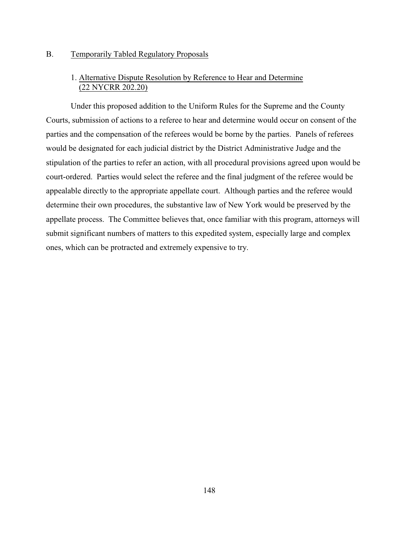## B. Temporarily Tabled Regulatory Proposals

## 1. Alternative Dispute Resolution by Reference to Hear and Determine (22 NYCRR 202.20)

Under this proposed addition to the Uniform Rules for the Supreme and the County Courts, submission of actions to a referee to hear and determine would occur on consent of the parties and the compensation of the referees would be borne by the parties. Panels of referees would be designated for each judicial district by the District Administrative Judge and the stipulation of the parties to refer an action, with all procedural provisions agreed upon would be court-ordered. Parties would select the referee and the final judgment of the referee would be appealable directly to the appropriate appellate court. Although parties and the referee would determine their own procedures, the substantive law of New York would be preserved by the appellate process. The Committee believes that, once familiar with this program, attorneys will submit significant numbers of matters to this expedited system, especially large and complex ones, which can be protracted and extremely expensive to try.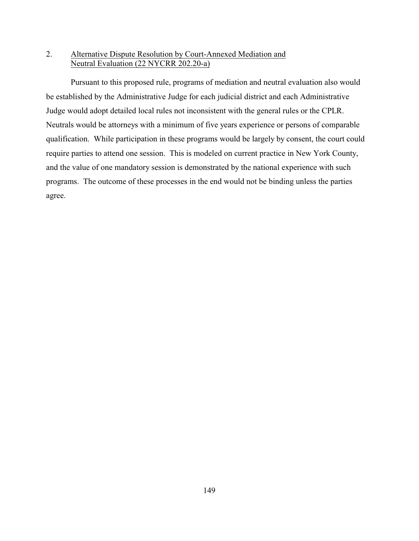# 2. Alternative Dispute Resolution by Court-Annexed Mediation and Neutral Evaluation (22 NYCRR 202.20-a)

Pursuant to this proposed rule, programs of mediation and neutral evaluation also would be established by the Administrative Judge for each judicial district and each Administrative Judge would adopt detailed local rules not inconsistent with the general rules or the CPLR. Neutrals would be attorneys with a minimum of five years experience or persons of comparable qualification. While participation in these programs would be largely by consent, the court could require parties to attend one session. This is modeled on current practice in New York County, and the value of one mandatory session is demonstrated by the national experience with such programs. The outcome of these processes in the end would not be binding unless the parties agree.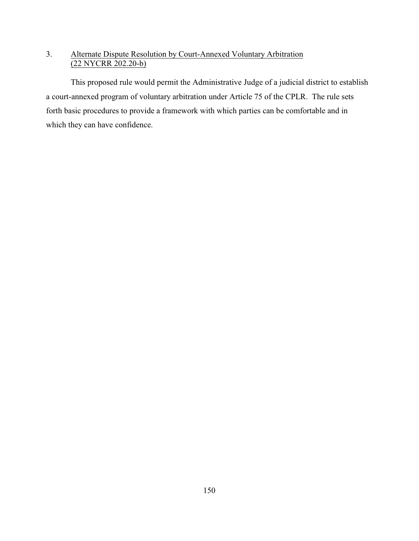# 3. Alternate Dispute Resolution by Court-Annexed Voluntary Arbitration (22 NYCRR 202.20-b)

This proposed rule would permit the Administrative Judge of a judicial district to establish a court-annexed program of voluntary arbitration under Article 75 of the CPLR. The rule sets forth basic procedures to provide a framework with which parties can be comfortable and in which they can have confidence.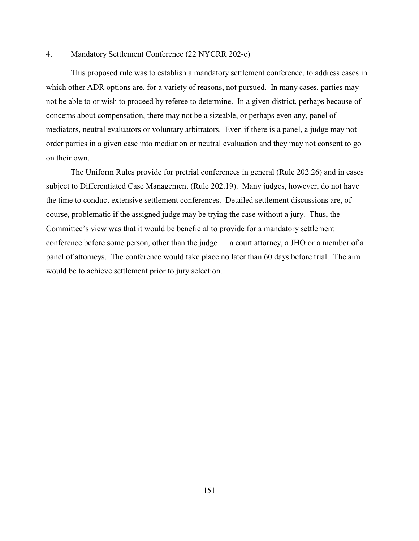#### 4. Mandatory Settlement Conference (22 NYCRR 202-c)

This proposed rule was to establish a mandatory settlement conference, to address cases in which other ADR options are, for a variety of reasons, not pursued. In many cases, parties may not be able to or wish to proceed by referee to determine. In a given district, perhaps because of concerns about compensation, there may not be a sizeable, or perhaps even any, panel of mediators, neutral evaluators or voluntary arbitrators. Even if there is a panel, a judge may not order parties in a given case into mediation or neutral evaluation and they may not consent to go on their own.

The Uniform Rules provide for pretrial conferences in general (Rule 202.26) and in cases subject to Differentiated Case Management (Rule 202.19). Many judges, however, do not have the time to conduct extensive settlement conferences. Detailed settlement discussions are, of course, problematic if the assigned judge may be trying the case without a jury. Thus, the Committee's view was that it would be beneficial to provide for a mandatory settlement conference before some person, other than the judge — a court attorney, a JHO or a member of a panel of attorneys. The conference would take place no later than 60 days before trial. The aim would be to achieve settlement prior to jury selection.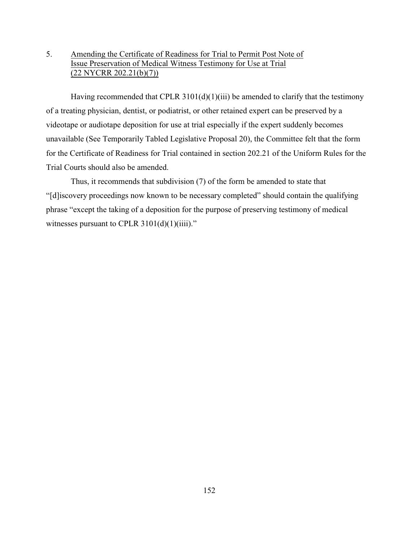# 5. Amending the Certificate of Readiness for Trial to Permit Post Note of Issue Preservation of Medical Witness Testimony for Use at Trial (22 NYCRR 202.21(b)(7))

Having recommended that CPLR  $3101(d)(1)(iii)$  be amended to clarify that the testimony of a treating physician, dentist, or podiatrist, or other retained expert can be preserved by a videotape or audiotape deposition for use at trial especially if the expert suddenly becomes unavailable (See Temporarily Tabled Legislative Proposal 20), the Committee felt that the form for the Certificate of Readiness for Trial contained in section 202.21 of the Uniform Rules for the Trial Courts should also be amended.

Thus, it recommends that subdivision (7) of the form be amended to state that "[d]iscovery proceedings now known to be necessary completed" should contain the qualifying phrase "except the taking of a deposition for the purpose of preserving testimony of medical witnesses pursuant to CPLR  $3101(d)(1)(iii)$ ."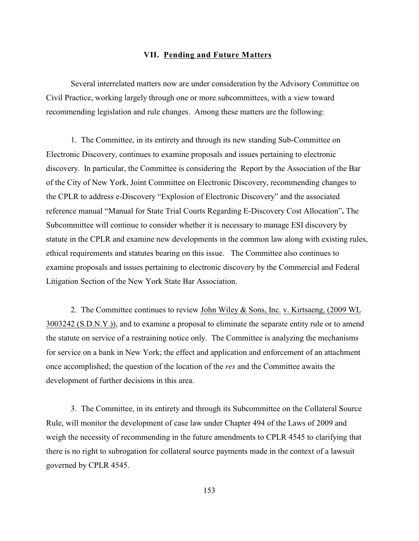### **VII. Pending and Future Matters**

Several interrelated matters now are under consideration by the Advisory Committee on Civil Practice, working largely through one or more subcommittees, with a view toward recommending legislation and rule changes. Among these matters are the following:

 1. The Committee, in its entirety and through its new standing Sub-Committee on Electronic Discovery, continues to examine proposals and issues pertaining to electronic discovery. In particular, the Committee is considering the Report by the Association of the Bar of the City of New York, Joint Committee on Electronic Discovery, recommending changes to the CPLR to address e-Discovery "Explosion of Electronic Discovery" and the associated reference manual "Manual for State Trial Courts Regarding E-Discovery Cost Allocation"**.** The Subcommittee will continue to consider whether it is necessary to manage ESI discovery by statute in the CPLR and examine new developments in the common law along with existing rules, ethical requirements and statutes bearing on this issue. The Committee also continues to examine proposals and issues pertaining to electronic discovery by the Commercial and Federal Litigation Section of the New York State Bar Association.

2. The Committee continues to review John Wiley & Sons, Inc. v. Kirtsaeng, (2009 WL 3003242 (S.D.N.Y.)), and to examine a proposal to eliminate the separate entity rule or to amend the statute on service of a restraining notice only. The Committee is analyzing the mechanisms for service on a bank in New York; the effect and application and enforcement of an attachment once accomplished; the question of the location of the *res* and the Committee awaits the development of further decisions in this area.

3. The Committee, in its entirety and through its Subcommittee on the Collateral Source Rule, will monitor the development of case law under Chapter 494 of the Laws of 2009 and weigh the necessity of recommending in the future amendments to CPLR 4545 to clarifying that there is no right to subrogation for collateral source payments made in the context of a lawsuit governed by CPLR 4545.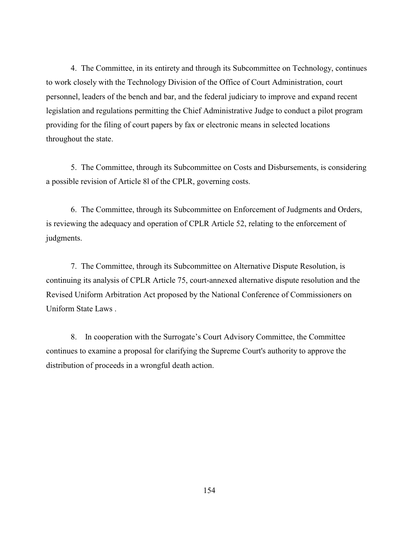4. The Committee, in its entirety and through its Subcommittee on Technology, continues to work closely with the Technology Division of the Office of Court Administration, court personnel, leaders of the bench and bar, and the federal judiciary to improve and expand recent legislation and regulations permitting the Chief Administrative Judge to conduct a pilot program providing for the filing of court papers by fax or electronic means in selected locations throughout the state.

5. The Committee, through its Subcommittee on Costs and Disbursements, is considering a possible revision of Article 8l of the CPLR, governing costs.

6. The Committee, through its Subcommittee on Enforcement of Judgments and Orders, is reviewing the adequacy and operation of CPLR Article 52, relating to the enforcement of judgments.

7. The Committee, through its Subcommittee on Alternative Dispute Resolution, is continuing its analysis of CPLR Article 75, court-annexed alternative dispute resolution and the Revised Uniform Arbitration Act proposed by the National Conference of Commissioners on Uniform State Laws .

8. In cooperation with the Surrogate's Court Advisory Committee, the Committee continues to examine a proposal for clarifying the Supreme Court's authority to approve the distribution of proceeds in a wrongful death action.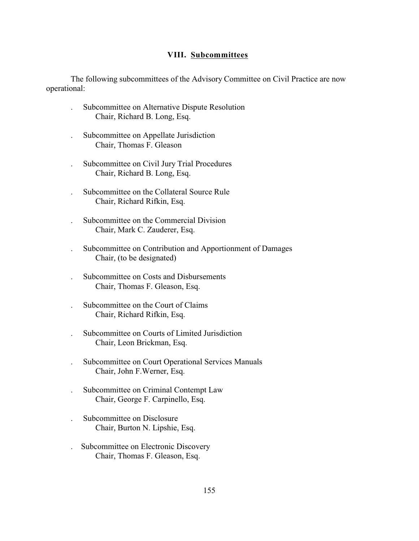### **VIII. Subcommittees**

The following subcommittees of the Advisory Committee on Civil Practice are now operational:

- . Subcommittee on Alternative Dispute Resolution Chair, Richard B. Long, Esq.
- . Subcommittee on Appellate Jurisdiction Chair, Thomas F. Gleason
- . Subcommittee on Civil Jury Trial Procedures Chair, Richard B. Long, Esq.
- . Subcommittee on the Collateral Source Rule Chair, Richard Rifkin, Esq.
- . Subcommittee on the Commercial Division Chair, Mark C. Zauderer, Esq.
- . Subcommittee on Contribution and Apportionment of Damages Chair, (to be designated)
- . Subcommittee on Costs and Disbursements Chair, Thomas F. Gleason, Esq.
- . Subcommittee on the Court of Claims Chair, Richard Rifkin, Esq.
- . Subcommittee on Courts of Limited Jurisdiction Chair, Leon Brickman, Esq.
- . Subcommittee on Court Operational Services Manuals Chair, John F.Werner, Esq.
- . Subcommittee on Criminal Contempt Law Chair, George F. Carpinello, Esq.
- . Subcommittee on Disclosure Chair, Burton N. Lipshie, Esq.
- . Subcommittee on Electronic Discovery Chair, Thomas F. Gleason, Esq.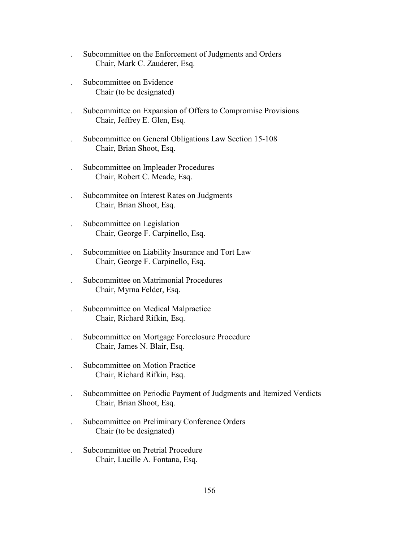- . Subcommittee on the Enforcement of Judgments and Orders Chair, Mark C. Zauderer, Esq.
- . Subcommittee on Evidence Chair (to be designated)
- . Subcommittee on Expansion of Offers to Compromise Provisions Chair, Jeffrey E. Glen, Esq.
- . Subcommittee on General Obligations Law Section 15-108 Chair, Brian Shoot, Esq.
- . Subcommittee on Impleader Procedures Chair, Robert C. Meade, Esq.
- . Subcommitee on Interest Rates on Judgments Chair, Brian Shoot, Esq.
- . Subcommittee on Legislation Chair, George F. Carpinello, Esq.
- . Subcommittee on Liability Insurance and Tort Law Chair, George F. Carpinello, Esq.
- . Subcommittee on Matrimonial Procedures Chair, Myrna Felder, Esq.
- . Subcommittee on Medical Malpractice Chair, Richard Rifkin, Esq.
- . Subcommittee on Mortgage Foreclosure Procedure Chair, James N. Blair, Esq.
- . Subcommittee on Motion Practice Chair, Richard Rifkin, Esq.
- . Subcommittee on Periodic Payment of Judgments and Itemized Verdicts Chair, Brian Shoot, Esq.
- . Subcommittee on Preliminary Conference Orders Chair (to be designated)
- . Subcommittee on Pretrial Procedure Chair, Lucille A. Fontana, Esq.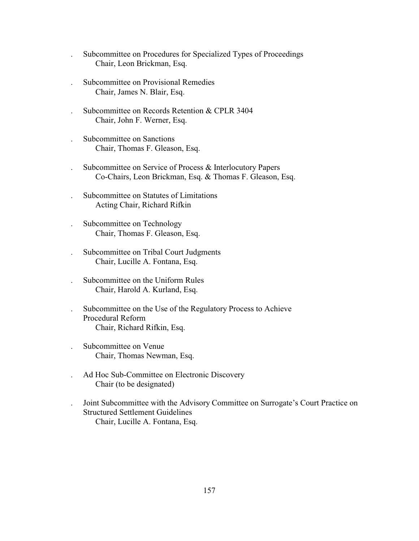- . Subcommittee on Procedures for Specialized Types of Proceedings Chair, Leon Brickman, Esq.
- . Subcommittee on Provisional Remedies Chair, James N. Blair, Esq.
- . Subcommittee on Records Retention & CPLR 3404 Chair, John F. Werner, Esq.
- . Subcommittee on Sanctions Chair, Thomas F. Gleason, Esq.
- . Subcommittee on Service of Process & Interlocutory Papers Co-Chairs, Leon Brickman, Esq. & Thomas F. Gleason, Esq.
- . Subcommittee on Statutes of Limitations Acting Chair, Richard Rifkin
- . Subcommittee on Technology Chair, Thomas F. Gleason, Esq.
- . Subcommittee on Tribal Court Judgments Chair, Lucille A. Fontana, Esq.
- . Subcommittee on the Uniform Rules Chair, Harold A. Kurland, Esq.
- . Subcommittee on the Use of the Regulatory Process to Achieve Procedural Reform Chair, Richard Rifkin, Esq.
- . Subcommittee on Venue Chair, Thomas Newman, Esq.
- . Ad Hoc Sub-Committee on Electronic Discovery Chair (to be designated)
- . Joint Subcommittee with the Advisory Committee on Surrogate's Court Practice on Structured Settlement Guidelines Chair, Lucille A. Fontana, Esq.